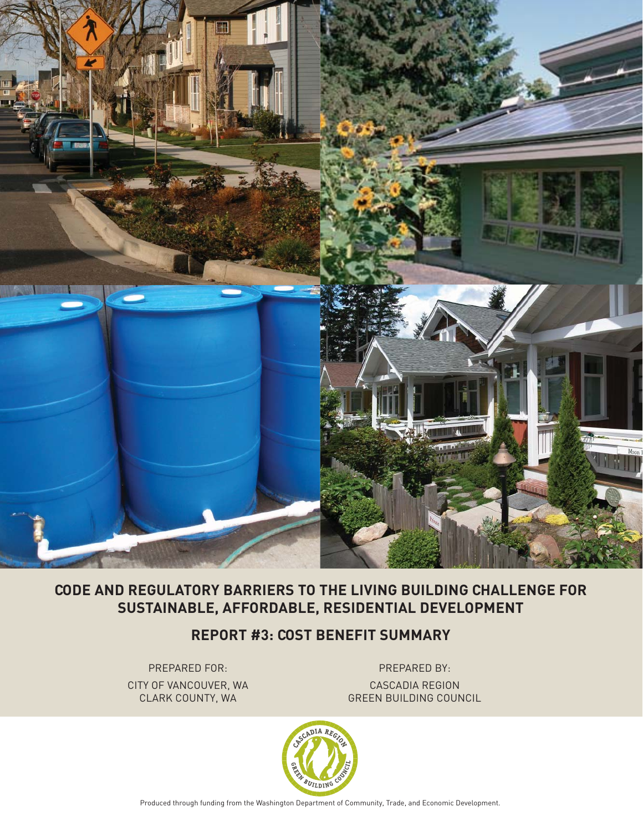

# **CODE AND REGULATORY BARRIERS TO THE LIVING BUILDING CHALLENGE FOR SUSTAINABLE, AFFORDABLE, RESIDENTIAL DEVELOPMENT**

**REPORT #3: COST BENEFIT SUMMARY**

PREPARED FOR: PREPARED BY: CITY OF VANCOUVER, WA CASCADIA REGION

CLARK COUNTY, WA GREEN BUILDING COUNCIL



Produced through funding from the Washington Department of Community, Trade, and Economic Development.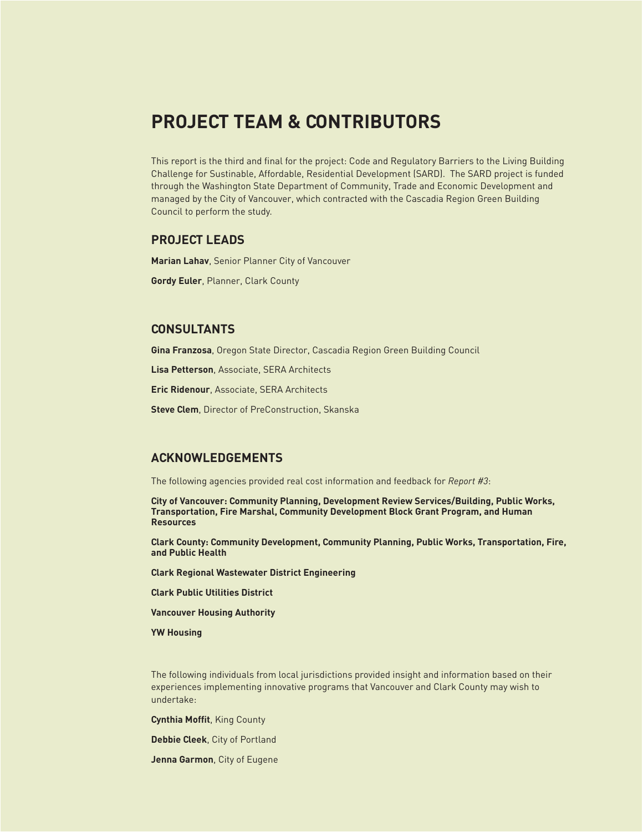# **PROJECT TEAM & CONTRIBUTORS**

This report is the third and final for the project: Code and Regulatory Barriers to the Living Building Challenge for Sustinable, Affordable, Residential Development (SARD). The SARD project is funded through the Washington State Department of Community, Trade and Economic Development and managed by the City of Vancouver, which contracted with the Cascadia Region Green Building Council to perform the study.

### **PROJECT LEADS**

**Marian Lahav**, Senior Planner City of Vancouver

**Gordy Euler**, Planner, Clark County

### **CONSULTANTS**

**Gina Franzosa**, Oregon State Director, Cascadia Region Green Building Council

**Lisa Petterson**, Associate, SERA Architects

**Eric Ridenour**, Associate, SERA Architects

**Steve Clem**, Director of PreConstruction, Skanska

### **ACKNOWLEDGEMENTS**

The following agencies provided real cost information and feedback for *Report #3*:

**City of Vancouver: Community Planning, Development Review Services/Building, Public Works, Transportation, Fire Marshal, Community Development Block Grant Program, and Human Resources**

**Clark County: Community Development, Community Planning, Public Works, Transportation, Fire, and Public Health**

**Clark Regional Wastewater District Engineering**

**Clark Public Utilities District**

**Vancouver Housing Authority**

**YW Housing**

The following individuals from local jurisdictions provided insight and information based on their experiences implementing innovative programs that Vancouver and Clark County may wish to undertake:

**Cynthia Moffit, King County** 

**Debbie Cleek**, City of Portland

**Jenna Garmon**, City of Eugene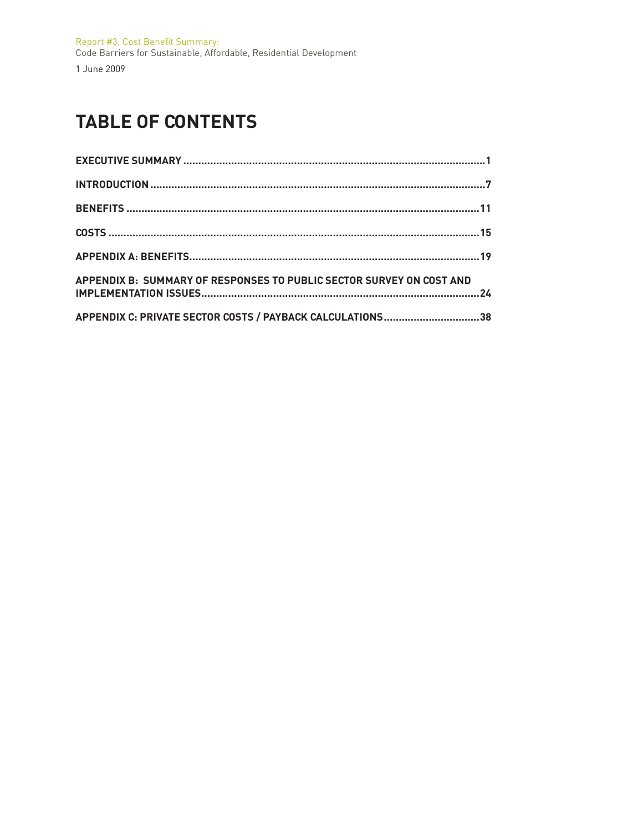# **TABLE OF CONTENTS**

| APPENDIX B: SUMMARY OF RESPONSES TO PUBLIC SECTOR SURVEY ON COST AND |  |
|----------------------------------------------------------------------|--|
| APPENDIX C: PRIVATE SECTOR COSTS / PAYBACK CALCULATIONS38            |  |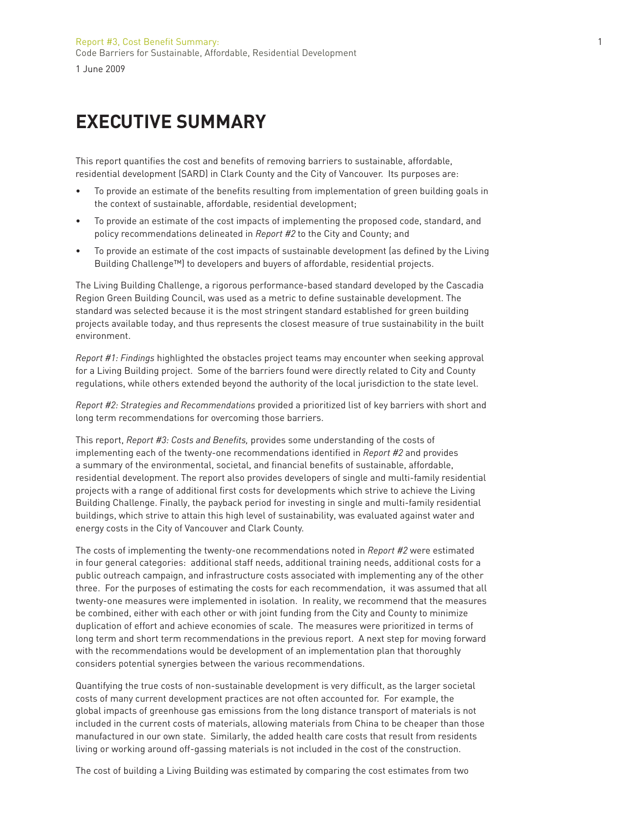# **EXECUTIVE SUMMARY**

This report quantifies the cost and benefits of removing barriers to sustainable, affordable, residential development (SARD) in Clark County and the City of Vancouver. Its purposes are:

- To provide an estimate of the benefits resulting from implementation of green building goals in the context of sustainable, affordable, residential development;
- To provide an estimate of the cost impacts of implementing the proposed code, standard, and policy recommendations delineated in *Report #2* to the City and County; and
- To provide an estimate of the cost impacts of sustainable development (as defined by the Living Building Challenge™) to developers and buyers of affordable, residential projects.

The Living Building Challenge, a rigorous performance-based standard developed by the Cascadia Region Green Building Council, was used as a metric to define sustainable development. The standard was selected because it is the most stringent standard established for green building projects available today, and thus represents the closest measure of true sustainability in the built environment.

*Report #1: Findings* highlighted the obstacles project teams may encounter when seeking approval for a Living Building project. Some of the barriers found were directly related to City and County regulations, while others extended beyond the authority of the local jurisdiction to the state level.

*Report #2: Strategies and Recommendations* provided a prioritized list of key barriers with short and long term recommendations for overcoming those barriers.

This report, *Report #3: Costs and Benefits*, provides some understanding of the costs of implementing each of the twenty-one recommendations identified in *Report #2* and provides a summary of the environmental, societal, and financial benefits of sustainable, affordable, residential development. The report also provides developers of single and multi-family residential projects with a range of additional first costs for developments which strive to achieve the Living Building Challenge. Finally, the payback period for investing in single and multi-family residential buildings, which strive to attain this high level of sustainability, was evaluated against water and energy costs in the City of Vancouver and Clark County.

The costs of implementing the twenty-one recommendations noted in *Report #2* were estimated in four general categories: additional staff needs, additional training needs, additional costs for a public outreach campaign, and infrastructure costs associated with implementing any of the other three. For the purposes of estimating the costs for each recommendation, it was assumed that all twenty-one measures were implemented in isolation. In reality, we recommend that the measures be combined, either with each other or with joint funding from the City and County to minimize duplication of effort and achieve economies of scale. The measures were prioritized in terms of long term and short term recommendations in the previous report. A next step for moving forward with the recommendations would be development of an implementation plan that thoroughly considers potential synergies between the various recommendations.

Quantifying the true costs of non-sustainable development is very difficult, as the larger societal costs of many current development practices are not often accounted for. For example, the global impacts of greenhouse gas emissions from the long distance transport of materials is not included in the current costs of materials, allowing materials from China to be cheaper than those manufactured in our own state. Similarly, the added health care costs that result from residents living or working around off-gassing materials is not included in the cost of the construction.

The cost of building a Living Building was estimated by comparing the cost estimates from two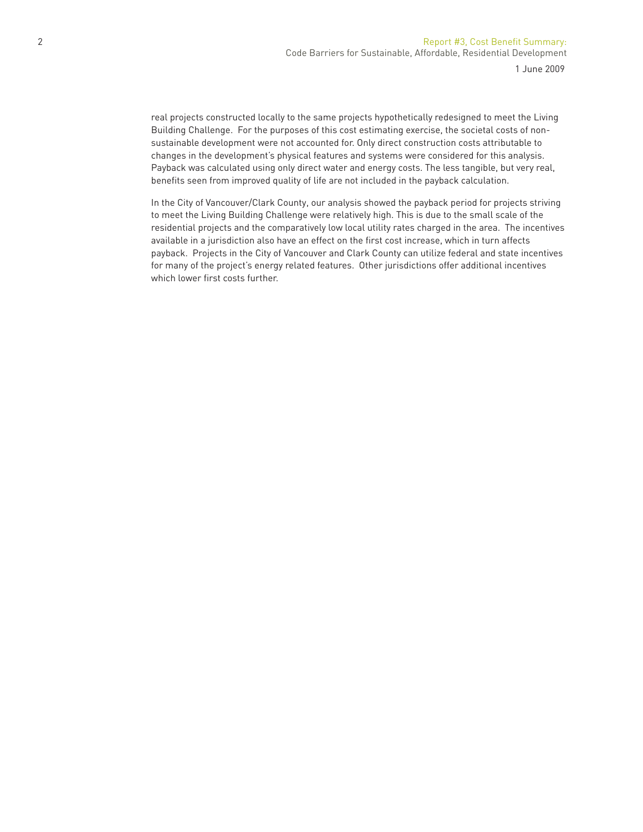real projects constructed locally to the same projects hypothetically redesigned to meet the Living Building Challenge. For the purposes of this cost estimating exercise, the societal costs of nonsustainable development were not accounted for. Only direct construction costs attributable to changes in the development's physical features and systems were considered for this analysis. Payback was calculated using only direct water and energy costs. The less tangible, but very real, benefits seen from improved quality of life are not included in the payback calculation.

In the City of Vancouver/Clark County, our analysis showed the payback period for projects striving to meet the Living Building Challenge were relatively high. This is due to the small scale of the residential projects and the comparatively low local utility rates charged in the area. The incentives available in a jurisdiction also have an effect on the first cost increase, which in turn affects payback. Projects in the City of Vancouver and Clark County can utilize federal and state incentives for many of the project's energy related features. Other jurisdictions offer additional incentives which lower first costs further.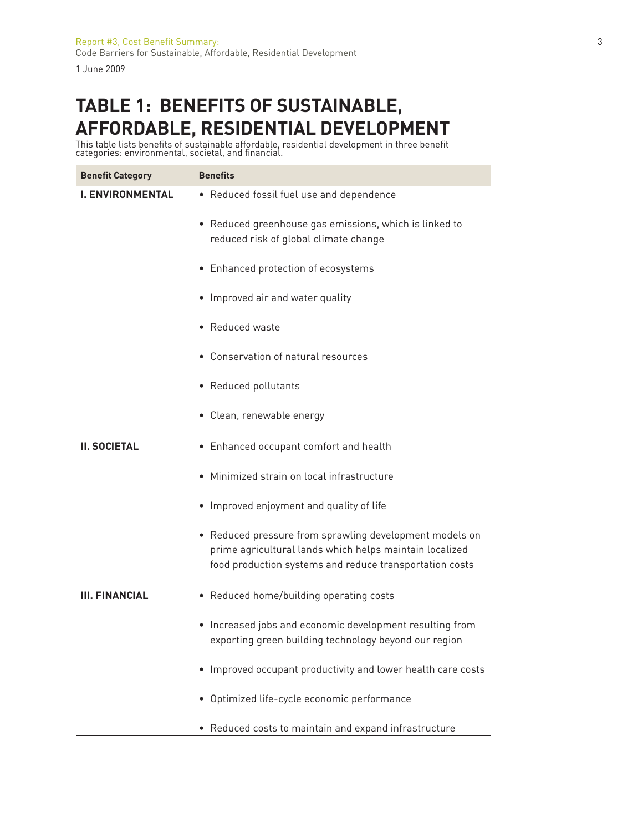# **TABLE 1: BENEFITS OF SUSTAINABLE, AFFORDABLE, RESIDENTIAL DEVELOPMENT**

This table lists benefits of sustainable affordable, residential development in three benefit categories: environmental, societal, and financial.

| <b>Benefit Category</b> | <b>Benefits</b>                                                                                                                                                               |
|-------------------------|-------------------------------------------------------------------------------------------------------------------------------------------------------------------------------|
| <b>I. ENVIRONMENTAL</b> | • Reduced fossil fuel use and dependence                                                                                                                                      |
|                         | • Reduced greenhouse gas emissions, which is linked to<br>reduced risk of global climate change                                                                               |
|                         | • Enhanced protection of ecosystems                                                                                                                                           |
|                         | • Improved air and water quality                                                                                                                                              |
|                         | • Reduced waste                                                                                                                                                               |
|                         | • Conservation of natural resources                                                                                                                                           |
|                         | • Reduced pollutants                                                                                                                                                          |
|                         | • Clean, renewable energy                                                                                                                                                     |
| <b>II. SOCIETAL</b>     | • Enhanced occupant comfort and health                                                                                                                                        |
|                         | Minimized strain on local infrastructure                                                                                                                                      |
|                         | • Improved enjoyment and quality of life                                                                                                                                      |
|                         | • Reduced pressure from sprawling development models on<br>prime agricultural lands which helps maintain localized<br>food production systems and reduce transportation costs |
| <b>III. FINANCIAL</b>   | • Reduced home/building operating costs                                                                                                                                       |
|                         | Increased jobs and economic development resulting from<br>$\bullet$<br>exporting green building technology beyond our region                                                  |
|                         | Improved occupant productivity and lower health care costs                                                                                                                    |
|                         | Optimized life-cycle economic performance                                                                                                                                     |
|                         | • Reduced costs to maintain and expand infrastructure                                                                                                                         |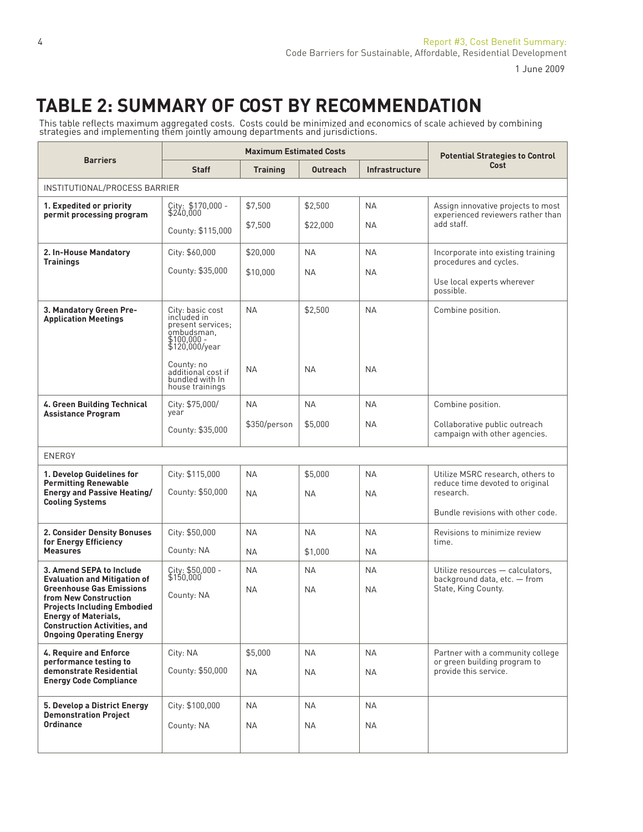# **TABLE 2: SUMMARY OF COST BY RECOMMENDATION**

This table reflects maximum aggregated costs. Costs could be minimized and economics of scale achieved by combining<br>strategies and implementing them jointly amoung departments and jurisdictions.

|                                                                                                                                                                                                         |                                                                                                        | <b>Maximum Estimated Costs</b> |                      |                        | <b>Potential Strategies to Control</b>                                           |
|---------------------------------------------------------------------------------------------------------------------------------------------------------------------------------------------------------|--------------------------------------------------------------------------------------------------------|--------------------------------|----------------------|------------------------|----------------------------------------------------------------------------------|
| <b>Barriers</b>                                                                                                                                                                                         | <b>Staff</b>                                                                                           | <b>Training</b>                | <b>Outreach</b>      | Infrastructure         | Cost                                                                             |
| INSTITUTIONAL/PROCESS BARRIER                                                                                                                                                                           |                                                                                                        |                                |                      |                        |                                                                                  |
| 1. Expedited or priority<br>permit processing program                                                                                                                                                   | City: \$170,000 -<br>\$240,000                                                                         | \$7,500                        | \$2,500              | <b>NA</b>              | Assign innovative projects to most<br>experienced reviewers rather than          |
|                                                                                                                                                                                                         | County: \$115,000                                                                                      | \$7,500                        | \$22,000             | <b>NA</b>              | add staff.                                                                       |
| 2. In-House Mandatory<br><b>Trainings</b>                                                                                                                                                               | City: \$60,000                                                                                         | \$20,000                       | <b>NA</b>            | <b>NA</b>              | Incorporate into existing training<br>procedures and cycles.                     |
|                                                                                                                                                                                                         | County: \$35,000                                                                                       | \$10,000                       | <b>NA</b>            | <b>NA</b>              | Use local experts wherever<br>possible.                                          |
| 3. Mandatory Green Pre-<br><b>Application Meetings</b>                                                                                                                                                  | City: basic cost<br>included in<br>present services;<br>ombudsman,<br>$$100,000 -$<br>$$120,000$ /year | <b>NA</b>                      | \$2,500              | <b>NA</b>              | Combine position.                                                                |
|                                                                                                                                                                                                         | County: no<br>additional cost if<br>bundled with In<br>house trainings                                 | <b>NA</b>                      | <b>NA</b>            | <b>NA</b>              |                                                                                  |
| 4. Green Building Technical<br><b>Assistance Program</b>                                                                                                                                                | City: \$75,000/<br>year                                                                                | <b>NA</b>                      | <b>NA</b>            | <b>NA</b>              | Combine position.                                                                |
|                                                                                                                                                                                                         | County: \$35,000                                                                                       | \$350/person                   | \$5,000              | <b>NA</b>              | Collaborative public outreach<br>campaign with other agencies.                   |
| <b>ENERGY</b>                                                                                                                                                                                           |                                                                                                        |                                |                      |                        |                                                                                  |
| 1. Develop Guidelines for<br><b>Permitting Renewable</b><br><b>Energy and Passive Heating/</b><br><b>Cooling Systems</b>                                                                                | City: \$115,000<br>County: \$50,000                                                                    | <b>NA</b><br><b>NA</b>         | \$5,000<br><b>NA</b> | <b>NA</b><br><b>NA</b> | Utilize MSRC research, others to<br>reduce time devoted to original<br>research. |
|                                                                                                                                                                                                         |                                                                                                        |                                |                      |                        | Bundle revisions with other code.                                                |
| <b>2. Consider Density Bonuses</b><br>for Energy Efficiency                                                                                                                                             | City: \$50,000                                                                                         | <b>NA</b>                      | <b>NA</b>            | <b>NA</b>              | Revisions to minimize review<br>time.                                            |
| <b>Measures</b>                                                                                                                                                                                         | County: NA                                                                                             | ΝA                             | \$1,000              | <b>NA</b>              |                                                                                  |
| 3. Amend SEPA to Include<br><b>Evaluation and Mitigation of</b>                                                                                                                                         | City: \$50,000 -<br>\$150,000                                                                          | ΝA                             | ΝA                   | <b>NA</b>              | Utilize resources - calculators,<br>background data, etc. - from                 |
| <b>Greenhouse Gas Emissions</b><br>from New Construction<br><b>Projects Including Embodied</b><br><b>Energy of Materials,</b><br><b>Construction Activities, and</b><br><b>Ongoing Operating Energy</b> | County: NA                                                                                             | ΝA                             | <b>NA</b>            | <b>NA</b>              | State, King County.                                                              |
| 4. Require and Enforce<br>performance testing to                                                                                                                                                        | City: NA                                                                                               | \$5,000                        | ΝA                   | <b>NA</b>              | Partner with a community college<br>or green building program to                 |
| demonstrate Residential<br><b>Energy Code Compliance</b>                                                                                                                                                | County: \$50,000                                                                                       | <b>NA</b>                      | <b>NA</b>            | <b>NA</b>              | provide this service.                                                            |
| 5. Develop a District Energy                                                                                                                                                                            | City: \$100,000                                                                                        | NA                             | NA                   | <b>NA</b>              |                                                                                  |
| <b>Demonstration Project</b><br>Ordinance                                                                                                                                                               | County: NA                                                                                             | <b>NA</b>                      | <b>NA</b>            | NA                     |                                                                                  |
|                                                                                                                                                                                                         |                                                                                                        |                                |                      |                        |                                                                                  |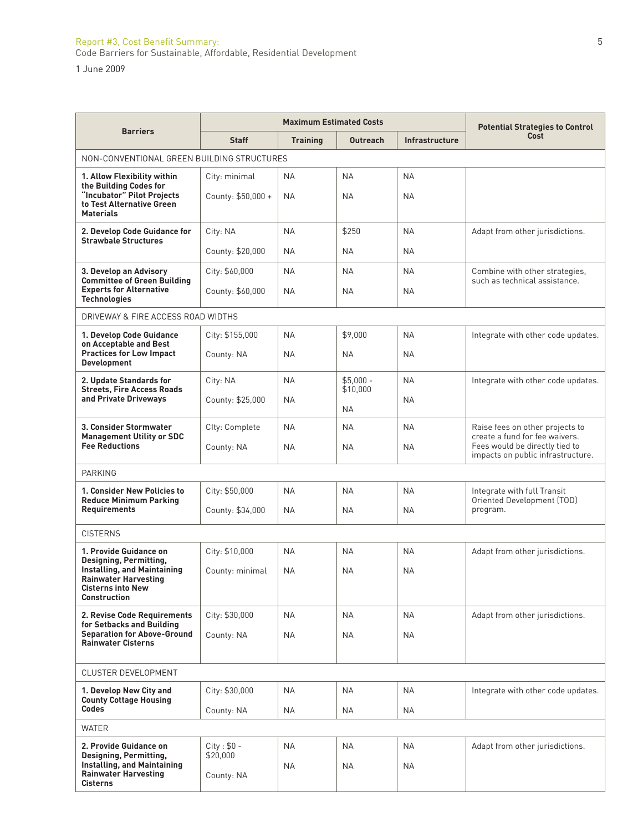#### Report #3, Cost Benefi t Summary: 5 Code Barriers for Sustainable, Affordable, Residential Development

1 June 2009

| <b>Barriers</b>                                                                             |                        | <b>Maximum Estimated Costs</b> |                        |                | <b>Potential Strategies to Control</b>                              |
|---------------------------------------------------------------------------------------------|------------------------|--------------------------------|------------------------|----------------|---------------------------------------------------------------------|
|                                                                                             | <b>Staff</b>           | <b>Training</b>                | <b>Outreach</b>        | Infrastructure | Cost                                                                |
| NON-CONVENTIONAL GREEN BUILDING STRUCTURES                                                  |                        |                                |                        |                |                                                                     |
| 1. Allow Flexibility within<br>the Building Codes for                                       | City: minimal          | <b>NA</b>                      | <b>NA</b>              | <b>NA</b>      |                                                                     |
| "Incubator" Pilot Projects<br>to Test Alternative Green<br><b>Materials</b>                 | County: \$50,000 +     | <b>NA</b>                      | <b>NA</b>              | <b>NA</b>      |                                                                     |
| 2. Develop Code Guidance for<br><b>Strawbale Structures</b>                                 | City: NA               | <b>NA</b>                      | \$250                  | <b>NA</b>      | Adapt from other jurisdictions.                                     |
|                                                                                             | County: \$20,000       | <b>NA</b>                      | <b>NA</b>              | <b>NA</b>      |                                                                     |
| 3. Develop an Advisory                                                                      | City: \$60,000         | <b>NA</b>                      | <b>NA</b>              | <b>NA</b>      | Combine with other strategies,                                      |
| <b>Committee of Green Building</b><br><b>Experts for Alternative</b><br><b>Technologies</b> | County: \$60,000       | NА                             | <b>NA</b>              | <b>NA</b>      | such as technical assistance.                                       |
| DRIVEWAY & FIRE ACCESS ROAD WIDTHS                                                          |                        |                                |                        |                |                                                                     |
| 1. Develop Code Guidance<br>on Acceptable and Best                                          | City: \$155,000        | <b>NA</b>                      | \$9,000                | <b>NA</b>      | Integrate with other code updates.                                  |
| <b>Practices for Low Impact</b><br><b>Development</b>                                       | County: NA             | <b>NA</b>                      | <b>NA</b>              | <b>NA</b>      |                                                                     |
| 2. Update Standards for<br><b>Streets, Fire Access Roads</b>                                | City: NA               | <b>NA</b>                      | $$5.000 -$<br>\$10,000 | <b>NA</b>      | Integrate with other code updates.                                  |
| and Private Driveways                                                                       | County: \$25,000       | <b>NA</b>                      | <b>NA</b>              | <b>NA</b>      |                                                                     |
| 3. Consider Stormwater<br><b>Management Utility or SDC</b>                                  | Clty: Complete         | <b>NA</b>                      | <b>NA</b>              | <b>NA</b>      | Raise fees on other projects to<br>create a fund for fee waivers.   |
| <b>Fee Reductions</b>                                                                       | County: NA             | <b>NA</b>                      | <b>NA</b>              | <b>NA</b>      | Fees would be directly tied to<br>impacts on public infrastructure. |
| <b>PARKING</b>                                                                              |                        |                                |                        |                |                                                                     |
| 1. Consider New Policies to<br><b>Reduce Minimum Parking</b>                                | City: \$50,000         | <b>NA</b>                      | <b>NA</b>              | <b>NA</b>      | Integrate with full Transit<br>Oriented Development (TOD)           |
| <b>Requirements</b>                                                                         | County: \$34,000       | <b>NA</b>                      | <b>NA</b>              | <b>NA</b>      | program.                                                            |
| <b>CISTERNS</b>                                                                             |                        |                                |                        |                |                                                                     |
| 1. Provide Guidance on<br>Designing, Permitting,                                            | City: \$10,000         | <b>NA</b>                      | <b>NA</b>              | <b>NA</b>      | Adapt from other jurisdictions.                                     |
| Installing, and Maintaining<br><b>Rainwater Harvesting</b>                                  | County: minimal        | <b>NA</b>                      | <b>NA</b>              | <b>NA</b>      |                                                                     |
| Cisterns into New<br><b>Construction</b>                                                    |                        |                                |                        |                |                                                                     |
| 2. Revise Code Requirements<br>for Setbacks and Building                                    | City: \$30,000         | <b>NA</b>                      | <b>NA</b>              | <b>NA</b>      | Adapt from other jurisdictions.                                     |
| <b>Separation for Above-Ground</b><br><b>Rainwater Cisterns</b>                             | County: NA             | <b>NA</b>                      | <b>NA</b>              | <b>NA</b>      |                                                                     |
| CLUSTER DEVELOPMENT                                                                         |                        |                                |                        |                |                                                                     |
| 1. Develop New City and                                                                     | City: \$30,000         | <b>NA</b>                      | <b>NA</b>              | <b>NA</b>      | Integrate with other code updates.                                  |
| <b>County Cottage Housing</b><br><b>Codes</b>                                               | County: NA             | <b>NA</b>                      | <b>NA</b>              | <b>NA</b>      |                                                                     |
| <b>WATER</b>                                                                                |                        |                                |                        |                |                                                                     |
| 2. Provide Guidance on                                                                      | $City: $0 -$           | <b>NA</b>                      | <b>NA</b>              | <b>NA</b>      | Adapt from other jurisdictions.                                     |
| Designing, Permitting,<br>Installing, and Maintaining<br><b>Rainwater Harvesting</b>        | \$20,000<br>County: NA | <b>NA</b>                      | <b>NA</b>              | <b>NA</b>      |                                                                     |
| <b>Cisterns</b>                                                                             |                        |                                |                        |                |                                                                     |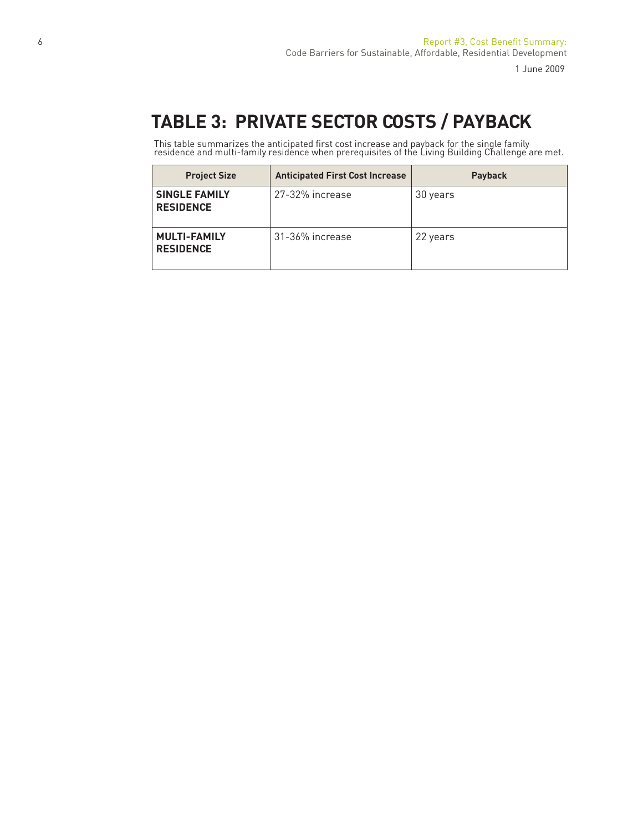# **TABLE 3: PRIVATE SECTOR COSTS / PAYBACK**

This table summarizes the anticipated first cost increase and payback for the single family residence and multi-family residence when prerequisites of the Living Building Challenge are met.

| <b>Project Size</b>                      | <b>Anticipated First Cost Increase</b> | <b>Payback</b> |
|------------------------------------------|----------------------------------------|----------------|
| <b>SINGLE FAMILY</b><br><b>RESIDENCE</b> | 27-32% increase                        | 30 years       |
| <b>MULTI-FAMILY</b><br><b>RESIDENCE</b>  | 31-36% increase                        | 22 years       |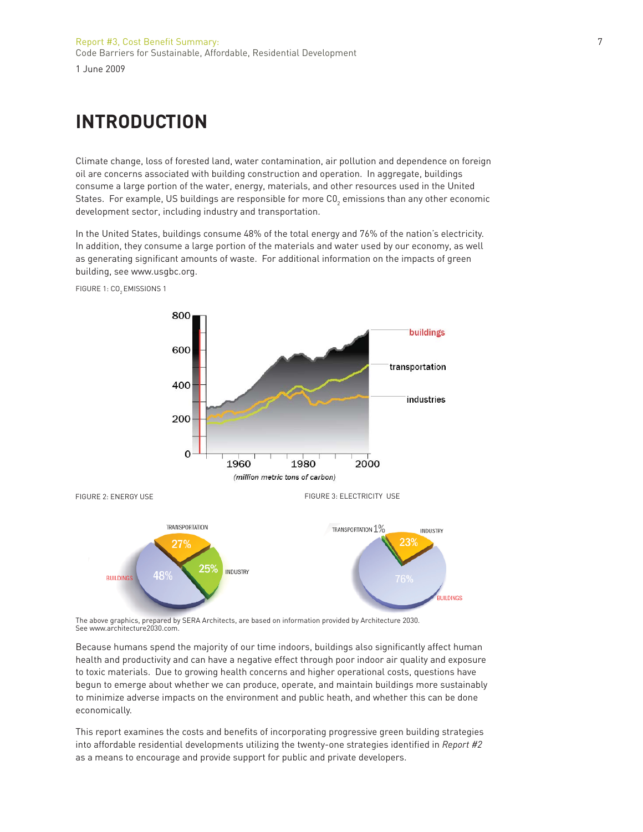# **INTRODUCTION**

Climate change, loss of forested land, water contamination, air pollution and dependence on foreign oil are concerns associated with building construction and operation. In aggregate, buildings consume a large portion of the water, energy, materials, and other resources used in the United States. For example, US buildings are responsible for more C0 $_{_2}$  emissions than any other economic development sector, including industry and transportation.

In the United States, buildings consume 48% of the total energy and 76% of the nation's electricity. In addition, they consume a large portion of the materials and water used by our economy, as well as generating significant amounts of waste. For additional information on the impacts of green building, see www.usgbc.org.



FIGURE 1: CO<sub>2</sub> EMISSIONS 1

The above graphics, prepared by SERA Architects, are based on information provided by Architecture 2030. See www.architecture2030.com.

Because humans spend the majority of our time indoors, buildings also significantly affect human health and productivity and can have a negative effect through poor indoor air quality and exposure to toxic materials. Due to growing health concerns and higher operational costs, questions have begun to emerge about whether we can produce, operate, and maintain buildings more sustainably to minimize adverse impacts on the environment and public heath, and whether this can be done economically.

This report examines the costs and benefits of incorporating progressive green building strategies into affordable residential developments utilizing the twenty-one strategies identified in *Report #2* as a means to encourage and provide support for public and private developers.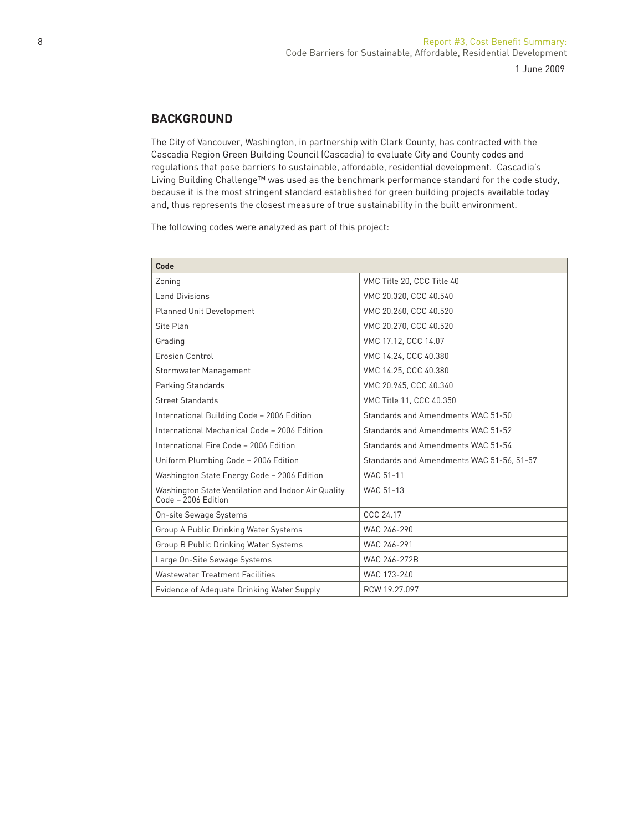# **BACKGROUND**

The City of Vancouver, Washington, in partnership with Clark County, has contracted with the Cascadia Region Green Building Council (Cascadia) to evaluate City and County codes and regulations that pose barriers to sustainable, affordable, residential development. Cascadia's Living Building Challenge™ was used as the benchmark performance standard for the code study, because it is the most stringent standard established for green building projects available today and, thus represents the closest measure of true sustainability in the built environment.

The following codes were analyzed as part of this project:

| Code                                                                         |                                           |
|------------------------------------------------------------------------------|-------------------------------------------|
| Zoning                                                                       | VMC Title 20, CCC Title 40                |
| Land Divisions                                                               | VMC 20.320, CCC 40.540                    |
| Planned Unit Development                                                     | VMC 20.260, CCC 40.520                    |
| Site Plan                                                                    | VMC 20.270, CCC 40.520                    |
| Grading                                                                      | VMC 17.12, CCC 14.07                      |
| <b>Erosion Control</b>                                                       | VMC 14.24, CCC 40.380                     |
| Stormwater Management                                                        | VMC 14.25, CCC 40.380                     |
| Parking Standards                                                            | VMC 20.945, CCC 40.340                    |
| <b>Street Standards</b>                                                      | VMC Title 11, CCC 40.350                  |
| International Building Code - 2006 Edition                                   | Standards and Amendments WAC 51-50        |
| International Mechanical Code - 2006 Edition                                 | Standards and Amendments WAC 51-52        |
| International Fire Code - 2006 Edition                                       | Standards and Amendments WAC 51-54        |
| Uniform Plumbing Code - 2006 Edition                                         | Standards and Amendments WAC 51-56, 51-57 |
| Washington State Energy Code - 2006 Edition                                  | <b>WAC 51-11</b>                          |
| Washington State Ventilation and Indoor Air Quality<br>$Code - 2006$ Edition | WAC 51-13                                 |
| On-site Sewage Systems                                                       | CCC 24.17                                 |
| Group A Public Drinking Water Systems                                        | WAC 246-290                               |
| Group B Public Drinking Water Systems                                        | WAC 246-291                               |
| Large On-Site Sewage Systems                                                 | WAC 246-272B                              |
| Wastewater Treatment Facilities                                              | WAC 173-240                               |
| Evidence of Adequate Drinking Water Supply                                   | RCW 19.27.097                             |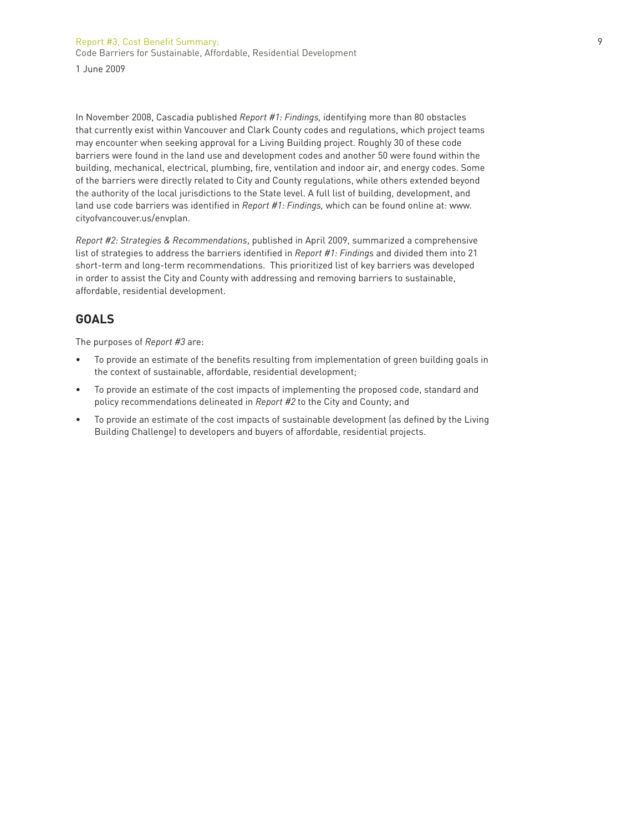Report #3, Cost Benefit Summary: 9 Code Barriers for Sustainable, Affordable, Residential Development 1 June 2009

In November 2008, Cascadia published *Report #1: Findings,* identifying more than 80 obstacles that currently exist within Vancouver and Clark County codes and regulations, which project teams may encounter when seeking approval for a Living Building project. Roughly 30 of these code barriers were found in the land use and development codes and another 50 were found within the building, mechanical, electrical, plumbing, fire, ventilation and indoor air, and energy codes. Some of the barriers were directly related to City and County regulations, while others extended beyond the authority of the local jurisdictions to the State level. A full list of building, development, and land use code barriers was identified in *Report #1: Findings*, which can be found online at: www. cityofvancouver.us/envplan.

*Report #2: Strategies & Recommendations*, published in April 2009, summarized a comprehensive list of strategies to address the barriers identified in *Report #1: Findings* and divided them into 21 short-term and long-term recommendations. This prioritized list of key barriers was developed in order to assist the City and County with addressing and removing barriers to sustainable, affordable, residential development.

### **GOALS**

The purposes of *Report #3* are:

- To provide an estimate of the benefits resulting from implementation of green building goals in the context of sustainable, affordable, residential development;
- To provide an estimate of the cost impacts of implementing the proposed code, standard and policy recommendations delineated in *Report #2* to the City and County; and
- To provide an estimate of the cost impacts of sustainable development (as defined by the Living Building Challenge) to developers and buyers of affordable, residential projects.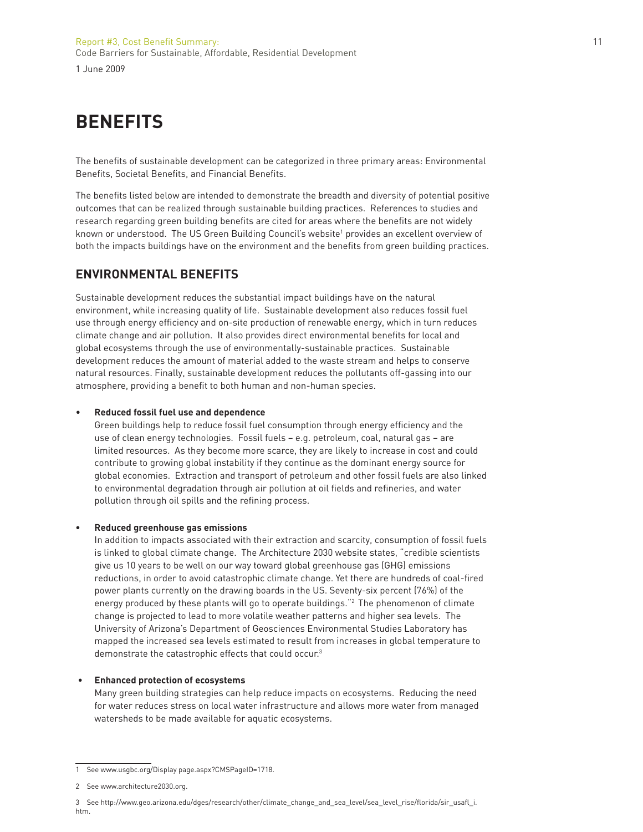# **BENEFITS**

The benefits of sustainable development can be categorized in three primary areas: Environmental Benefits, Societal Benefits, and Financial Benefits.

The benefits listed below are intended to demonstrate the breadth and diversity of potential positive outcomes that can be realized through sustainable building practices. References to studies and research regarding green building benefits are cited for areas where the benefits are not widely known or understood. The US Green Building Council's website<sup>1</sup> provides an excellent overview of both the impacts buildings have on the environment and the benefits from green building practices.

# **ENVIRONMENTAL BENEFITS**

Sustainable development reduces the substantial impact buildings have on the natural environment, while increasing quality of life. Sustainable development also reduces fossil fuel use through energy efficiency and on-site production of renewable energy, which in turn reduces climate change and air pollution. It also provides direct environmental benefits for local and global ecosystems through the use of environmentally-sustainable practices. Sustainable development reduces the amount of material added to the waste stream and helps to conserve natural resources. Finally, sustainable development reduces the pollutants off-gassing into our atmosphere, providing a benefit to both human and non-human species.

#### • **Reduced fossil fuel use and dependence**

Green buildings help to reduce fossil fuel consumption through energy efficiency and the use of clean energy technologies. Fossil fuels – e.g. petroleum, coal, natural gas – are limited resources. As they become more scarce, they are likely to increase in cost and could contribute to growing global instability if they continue as the dominant energy source for global economies. Extraction and transport of petroleum and other fossil fuels are also linked to environmental degradation through air pollution at oil fields and refineries, and water pollution through oil spills and the refining process.

#### **• Reduced greenhouse gas emissions**

In addition to impacts associated with their extraction and scarcity, consumption of fossil fuels is linked to global climate change. The Architecture 2030 website states, "credible scientists give us 10 years to be well on our way toward global greenhouse gas (GHG) emissions reductions, in order to avoid catastrophic climate change. Yet there are hundreds of coal-fired power plants currently on the drawing boards in the US. Seventy-six percent (76%) of the energy produced by these plants will go to operate buildings."<sup>2</sup> The phenomenon of climate change is projected to lead to more volatile weather patterns and higher sea levels. The University of Arizona's Department of Geosciences Environmental Studies Laboratory has mapped the increased sea levels estimated to result from increases in global temperature to demonstrate the catastrophic effects that could occur.<sup>3</sup>

#### **• Enhanced protection of ecosystems**

Many green building strategies can help reduce impacts on ecosystems. Reducing the need for water reduces stress on local water infrastructure and allows more water from managed watersheds to be made available for aquatic ecosystems.

<sup>1</sup> See www.usgbc.org/Display page.aspx?CMSPageID=1718.

<sup>2</sup> See www.architecture2030.org.

<sup>3</sup> See http://www.geo.arizona.edu/dges/research/other/climate\_change\_and\_sea\_level/sea\_level\_rise/fl orida/sir\_usafl \_i. htm.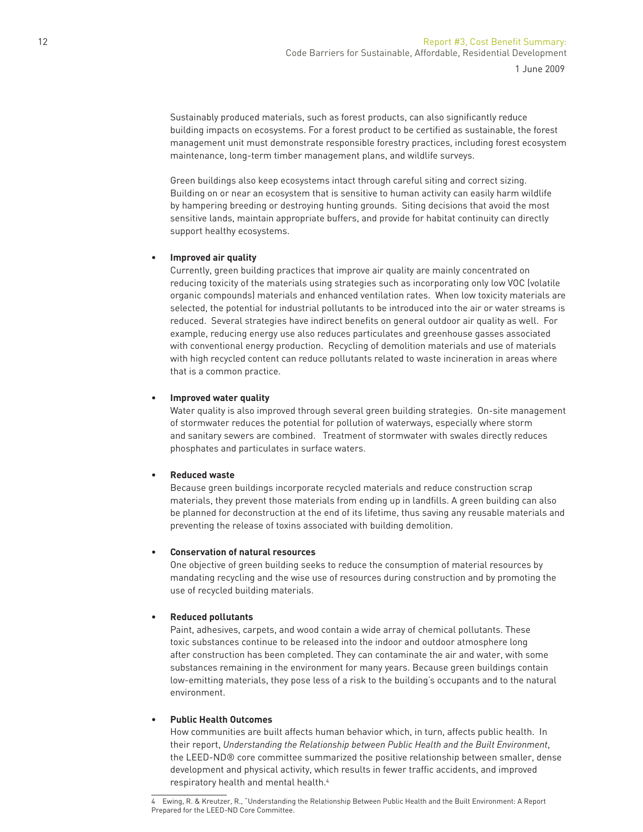Sustainably produced materials, such as forest products, can also significantly reduce building impacts on ecosystems. For a forest product to be certified as sustainable, the forest management unit must demonstrate responsible forestry practices, including forest ecosystem maintenance, long-term timber management plans, and wildlife surveys.

Green buildings also keep ecosystems intact through careful siting and correct sizing. Building on or near an ecosystem that is sensitive to human activity can easily harm wildlife by hampering breeding or destroying hunting grounds. Siting decisions that avoid the most sensitive lands, maintain appropriate buffers, and provide for habitat continuity can directly support healthy ecosystems.

#### **• Improved air quality**

Currently, green building practices that improve air quality are mainly concentrated on reducing toxicity of the materials using strategies such as incorporating only low VOC (volatile organic compounds) materials and enhanced ventilation rates. When low toxicity materials are selected, the potential for industrial pollutants to be introduced into the air or water streams is reduced. Several strategies have indirect benefits on general outdoor air quality as well. For example, reducing energy use also reduces particulates and greenhouse gasses associated with conventional energy production. Recycling of demolition materials and use of materials with high recycled content can reduce pollutants related to waste incineration in areas where that is a common practice.

#### **• Improved water quality**

Water quality is also improved through several green building strategies. On-site management of stormwater reduces the potential for pollution of waterways, especially where storm and sanitary sewers are combined. Treatment of stormwater with swales directly reduces phosphates and particulates in surface waters.

### **• Reduced waste**

Because green buildings incorporate recycled materials and reduce construction scrap materials, they prevent those materials from ending up in landfills. A green building can also be planned for deconstruction at the end of its lifetime, thus saving any reusable materials and preventing the release of toxins associated with building demolition.

### **• Conservation of natural resources**

One objective of green building seeks to reduce the consumption of material resources by mandating recycling and the wise use of resources during construction and by promoting the use of recycled building materials.

### **• Reduced pollutants**

Paint, adhesives, carpets, and wood contain a wide array of chemical pollutants. These toxic substances continue to be released into the indoor and outdoor atmosphere long after construction has been completed. They can contaminate the air and water, with some substances remaining in the environment for many years. Because green buildings contain low-emitting materials, they pose less of a risk to the building's occupants and to the natural environment.

### **• Public Health Outcomes**

How communities are built affects human behavior which, in turn, affects public health. In their report, *Understanding the Relationship between Public Health and the Built Environment*, the LEED-ND® core committee summarized the positive relationship between smaller, dense development and physical activity, which results in fewer traffic accidents, and improved respiratory health and mental health.4

<sup>4</sup> Ewing, R. & Kreutzer, R., "Understanding the Relationship Between Public Health and the Built Environment: A Report Prepared for the LEED-ND Core Committee.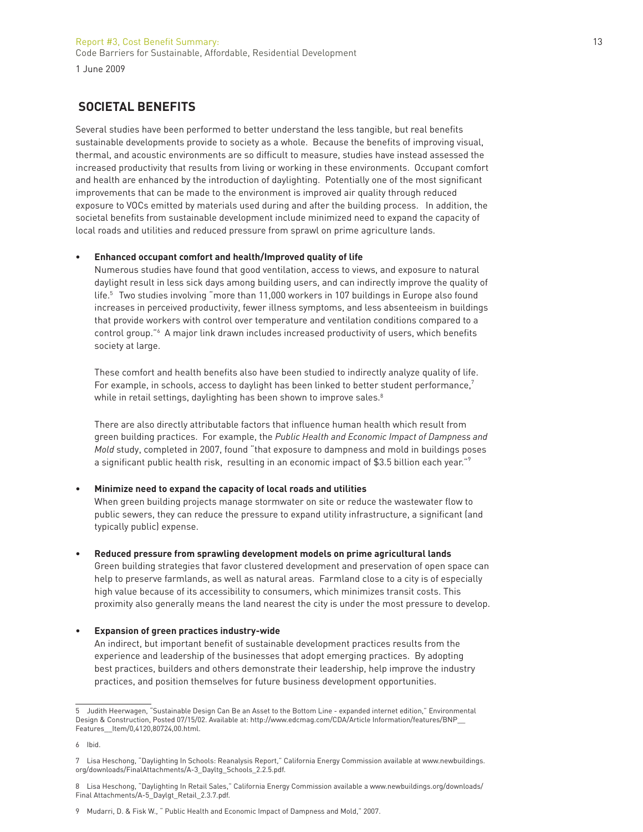# **SOCIETAL BENEFITS**

Several studies have been performed to better understand the less tangible, but real benefits sustainable developments provide to society as a whole. Because the benefits of improving visual, thermal, and acoustic environments are so difficult to measure, studies have instead assessed the increased productivity that results from living or working in these environments. Occupant comfort and health are enhanced by the introduction of daylighting. Potentially one of the most significant improvements that can be made to the environment is improved air quality through reduced exposure to VOCs emitted by materials used during and after the building process. In addition, the societal benefits from sustainable development include minimized need to expand the capacity of local roads and utilities and reduced pressure from sprawl on prime agriculture lands.

#### **• Enhanced occupant comfort and health/Improved quality of life**

Numerous studies have found that good ventilation, access to views, and exposure to natural daylight result in less sick days among building users, and can indirectly improve the quality of life.5 Two studies involving "more than 11,000 workers in 107 buildings in Europe also found increases in perceived productivity, fewer illness symptoms, and less absenteeism in buildings that provide workers with control over temperature and ventilation conditions compared to a control group."<sup>6</sup> A major link drawn includes increased productivity of users, which benefits society at large.

These comfort and health benefits also have been studied to indirectly analyze quality of life. For example, in schools, access to daylight has been linked to better student performance,<sup>7</sup> while in retail settings, daylighting has been shown to improve sales.<sup>8</sup>

There are also directly attributable factors that influence human health which result from green building practices. For example, the *Public Health and Economic Impact of Dampness and Mold* study, completed in 2007, found "that exposure to dampness and mold in buildings poses a significant public health risk, resulting in an economic impact of \$3.5 billion each year."<sup>9</sup>

#### **• Minimize need to expand the capacity of local roads and utilities**

When green building projects manage stormwater on site or reduce the wastewater flow to public sewers, they can reduce the pressure to expand utility infrastructure, a significant (and typically public) expense.

#### **• Reduced pressure from sprawling development models on prime agricultural lands**

Green building strategies that favor clustered development and preservation of open space can help to preserve farmlands, as well as natural areas. Farmland close to a city is of especially high value because of its accessibility to consumers, which minimizes transit costs. This proximity also generally means the land nearest the city is under the most pressure to develop.

#### **• Expansion of green practices industry-wide**

An indirect, but important benefit of sustainable development practices results from the experience and leadership of the businesses that adopt emerging practices. By adopting best practices, builders and others demonstrate their leadership, help improve the industry practices, and position themselves for future business development opportunities.

<sup>5</sup> Judith Heerwagen, "Sustainable Design Can Be an Asset to the Bottom Line - expanded internet edition," Environmental Design & Construction, Posted 07/15/02. Available at: http://www.edcmag.com/CDA/Article Information/features/BNP\_\_ Features\_\_Item/0,4120,80724,00.html.

<sup>6</sup> Ibid.

<sup>7</sup> Lisa Heschong, "Daylighting In Schools: Reanalysis Report," California Energy Commission available at www.newbuildings. org/downloads/FinalAttachments/A-3\_Dayltg\_Schools\_2.2.5.pdf.

<sup>8</sup> Lisa Heschong, "Daylighting In Retail Sales," California Energy Commission available a www.newbuildings.org/downloads/ Final Attachments/A-5\_Daylgt\_Retail\_2.3.7.pdf.

<sup>9</sup> Mudarri, D. & Fisk W., " Public Health and Economic Impact of Dampness and Mold," 2007.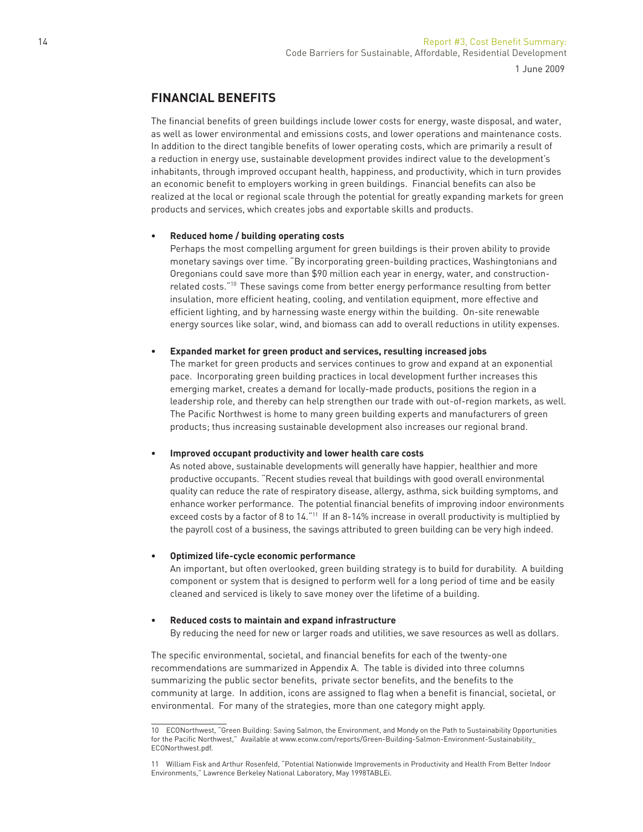# **FINANCIAL BENEFITS**

The financial benefits of green buildings include lower costs for energy, waste disposal, and water, as well as lower environmental and emissions costs, and lower operations and maintenance costs. In addition to the direct tangible benefits of lower operating costs, which are primarily a result of a reduction in energy use, sustainable development provides indirect value to the development's inhabitants, through improved occupant health, happiness, and productivity, which in turn provides an economic benefit to employers working in green buildings. Financial benefits can also be realized at the local or regional scale through the potential for greatly expanding markets for green products and services, which creates jobs and exportable skills and products.

#### **• Reduced home / building operating costs**

Perhaps the most compelling argument for green buildings is their proven ability to provide monetary savings over time. "By incorporating green-building practices, Washingtonians and Oregonians could save more than \$90 million each year in energy, water, and constructionrelated costs."10 These savings come from better energy performance resulting from better insulation, more efficient heating, cooling, and ventilation equipment, more effective and efficient lighting, and by harnessing waste energy within the building. On-site renewable energy sources like solar, wind, and biomass can add to overall reductions in utility expenses.

#### **• Expanded market for green product and services, resulting increased jobs**

The market for green products and services continues to grow and expand at an exponential pace. Incorporating green building practices in local development further increases this emerging market, creates a demand for locally-made products, positions the region in a leadership role, and thereby can help strengthen our trade with out-of-region markets, as well. The Pacific Northwest is home to many green building experts and manufacturers of green products; thus increasing sustainable development also increases our regional brand.

### **• Improved occupant productivity and lower health care costs**

As noted above, sustainable developments will generally have happier, healthier and more productive occupants. "Recent studies reveal that buildings with good overall environmental quality can reduce the rate of respiratory disease, allergy, asthma, sick building symptoms, and enhance worker performance. The potential financial benefits of improving indoor environments exceed costs by a factor of 8 to 14."<sup>11</sup> If an 8-14% increase in overall productivity is multiplied by the payroll cost of a business, the savings attributed to green building can be very high indeed.

#### **• Optimized life-cycle economic performance**

An important, but often overlooked, green building strategy is to build for durability. A building component or system that is designed to perform well for a long period of time and be easily cleaned and serviced is likely to save money over the lifetime of a building.

### **• Reduced costs to maintain and expand infrastructure**

By reducing the need for new or larger roads and utilities, we save resources as well as dollars.

The specific environmental, societal, and financial benefits for each of the twenty-one recommendations are summarized in Appendix A. The table is divided into three columns summarizing the public sector benefits, private sector benefits, and the benefits to the community at large. In addition, icons are assigned to flag when a benefit is financial, societal, or environmental. For many of the strategies, more than one category might apply.

<sup>10</sup> ECONorthwest, "Green Building: Saving Salmon, the Environment, and Mondy on the Path to Sustainability Opportunities for the Pacific Northwest," Available at www.econw.com/reports/Green-Building-Salmon-Environment-Sustainability\_ ECONorthwest.pdf.

<sup>11</sup> William Fisk and Arthur Rosenfeld, "Potential Nationwide Improvements in Productivity and Health From Better Indoor Environments," Lawrence Berkeley National Laboratory, May 1998TABLEi.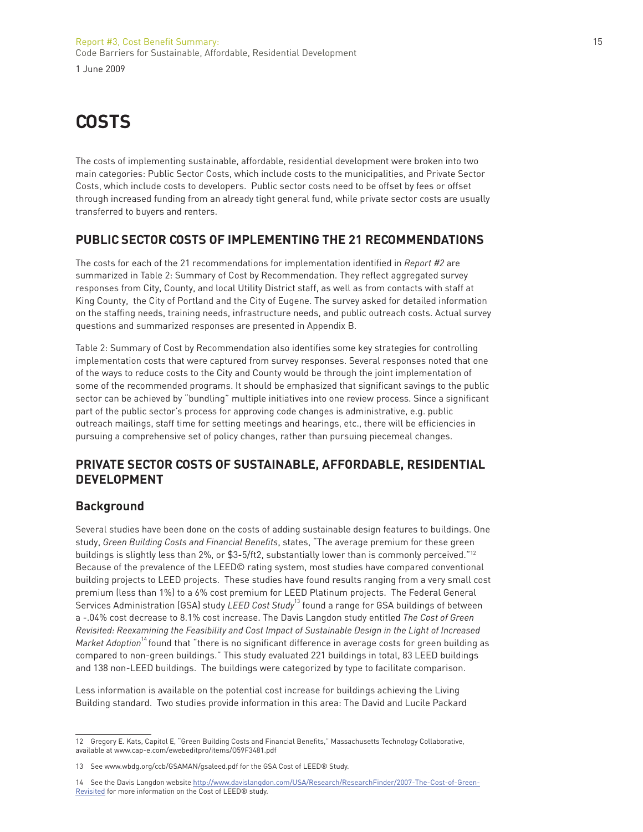# **COSTS**

The costs of implementing sustainable, affordable, residential development were broken into two main categories: Public Sector Costs, which include costs to the municipalities, and Private Sector Costs, which include costs to developers. Public sector costs need to be offset by fees or offset through increased funding from an already tight general fund, while private sector costs are usually transferred to buyers and renters.

# **PUBLIC SECTOR COSTS OF IMPLEMENTING THE 21 RECOMMENDATIONS**

The costs for each of the 21 recommendations for implementation identified in *Report #2* are summarized in Table 2: Summary of Cost by Recommendation. They reflect aggregated survey responses from City, County, and local Utility District staff, as well as from contacts with staff at King County, the City of Portland and the City of Eugene. The survey asked for detailed information on the staffing needs, training needs, infrastructure needs, and public outreach costs. Actual survey questions and summarized responses are presented in Appendix B.

Table 2: Summary of Cost by Recommendation also identifies some key strategies for controlling implementation costs that were captured from survey responses. Several responses noted that one of the ways to reduce costs to the City and County would be through the joint implementation of some of the recommended programs. It should be emphasized that significant savings to the public sector can be achieved by "bundling" multiple initiatives into one review process. Since a significant part of the public sector's process for approving code changes is administrative, e.g. public outreach mailings, staff time for setting meetings and hearings, etc., there will be efficiencies in pursuing a comprehensive set of policy changes, rather than pursuing piecemeal changes.

# **PRIVATE SECTOR COSTS OF SUSTAINABLE, AFFORDABLE, RESIDENTIAL DEVELOPMENT**

### **Background**

Several studies have been done on the costs of adding sustainable design features to buildings. One study, *Green Building Costs and Financial Benefi ts*, states, "The average premium for these green buildings is slightly less than 2%, or \$3-5/ft2, substantially lower than is commonly perceived."12 Because of the prevalence of the LEED© rating system, most studies have compared conventional building projects to LEED projects. These studies have found results ranging from a very small cost premium (less than 1%) to a 6% cost premium for LEED Platinum projects. The Federal General Services Administration (GSA) study *LEED Cost Study*13 found a range for GSA buildings of between a -.04% cost decrease to 8.1% cost increase. The Davis Langdon study entitled *The Cost of Green Revisited: Reexamining the Feasibility and Cost Impact of Sustainable Design in the Light of Increased Market Adoption*<sup>14</sup> found that "there is no significant difference in average costs for green building as compared to non-green buildings." This study evaluated 221 buildings in total, 83 LEED buildings and 138 non-LEED buildings. The buildings were categorized by type to facilitate comparison.

Less information is available on the potential cost increase for buildings achieving the Living Building standard. Two studies provide information in this area: The David and Lucile Packard

<sup>12</sup> Gregory E. Kats, Capitol E. "Green Building Costs and Financial Benefits," Massachusetts Technology Collaborative, available at www.cap-e.com/ewebeditpro/items/O59F3481.pdf

<sup>13</sup> See www.wbdg.org/ccb/GSAMAN/gsaleed.pdf for the GSA Cost of LEED® Study.

<sup>14</sup> See the Davis Langdon website http://www.davislangdon.com/USA/Research/ResearchFinder/2007-The-Cost-of-Green-Revisited for more information on the Cost of LEED® study.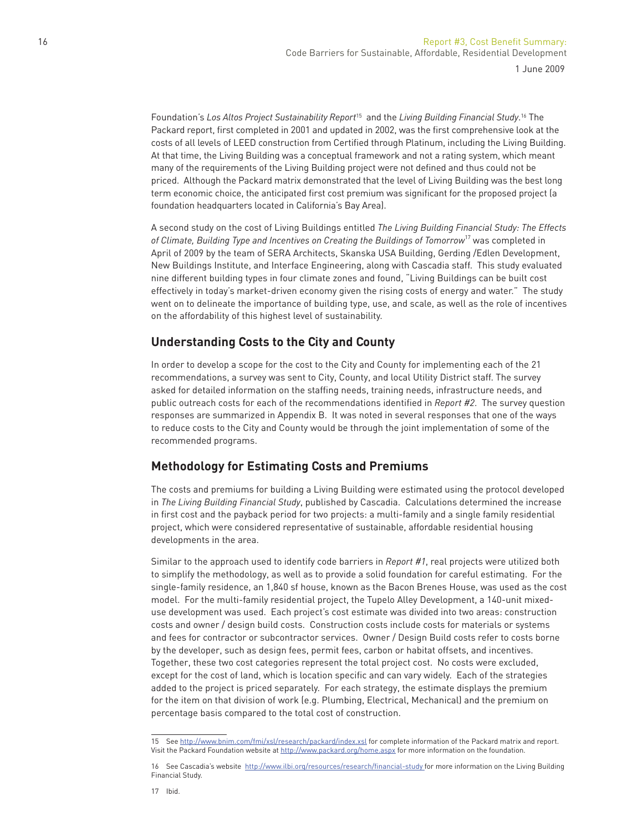Foundation's *Los Altos Project Sustainability Report*15 and the *Living Building Financial Study*. 16 The Packard report, first completed in 2001 and updated in 2002, was the first comprehensive look at the costs of all levels of LEED construction from Certified through Platinum, including the Living Building. At that time, the Living Building was a conceptual framework and not a rating system, which meant many of the requirements of the Living Building project were not defined and thus could not be priced. Although the Packard matrix demonstrated that the level of Living Building was the best long term economic choice, the anticipated first cost premium was significant for the proposed project (a foundation headquarters located in California's Bay Area).

A second study on the cost of Living Buildings entitled *The Living Building Financial Study: The Effects of Climate, Building Type and Incentives on Creating the Buildings of Tomorrow*17 was completed in April of 2009 by the team of SERA Architects, Skanska USA Building, Gerding /Edlen Development, New Buildings Institute, and Interface Engineering, along with Cascadia staff. This study evaluated nine different building types in four climate zones and found, "Living Buildings can be built cost effectively in today's market-driven economy given the rising costs of energy and water." The study went on to delineate the importance of building type, use, and scale, as well as the role of incentives on the affordability of this highest level of sustainability.

# **Understanding Costs to the City and County**

In order to develop a scope for the cost to the City and County for implementing each of the 21 recommendations, a survey was sent to City, County, and local Utility District staff. The survey asked for detailed information on the staffing needs, training needs, infrastructure needs, and public outreach costs for each of the recommendations identified in *Report #2*. The survey question responses are summarized in Appendix B. It was noted in several responses that one of the ways to reduce costs to the City and County would be through the joint implementation of some of the recommended programs.

### **Methodology for Estimating Costs and Premiums**

The costs and premiums for building a Living Building were estimated using the protocol developed in *The Living Building Financial Study*, published by Cascadia. Calculations determined the increase in first cost and the payback period for two projects: a multi-family and a single family residential project, which were considered representative of sustainable, affordable residential housing developments in the area.

Similar to the approach used to identify code barriers in *Report #1*, real projects were utilized both to simplify the methodology, as well as to provide a solid foundation for careful estimating. For the single-family residence, an 1,840 sf house, known as the Bacon Brenes House, was used as the cost model. For the multi-family residential project, the Tupelo Alley Development, a 140-unit mixeduse development was used. Each project's cost estimate was divided into two areas: construction costs and owner / design build costs. Construction costs include costs for materials or systems and fees for contractor or subcontractor services. Owner / Design Build costs refer to costs borne by the developer, such as design fees, permit fees, carbon or habitat offsets, and incentives. Together, these two cost categories represent the total project cost. No costs were excluded, except for the cost of land, which is location specific and can vary widely. Each of the strategies added to the project is priced separately. For each strategy, the estimate displays the premium for the item on that division of work (e.g. Plumbing, Electrical, Mechanical) and the premium on percentage basis compared to the total cost of construction.

<sup>15</sup> See http://www.bnim.com/fmi/xsl/research/packard/index.xsl for complete information of the Packard matrix and report. Visit the Packard Foundation website at http://www.packard.org/home.aspx for more information on the foundation.

<sup>16</sup> See Cascadia's website http://www.ilbi.org/resources/research/financial-study for more information on the Living Building Financial Study.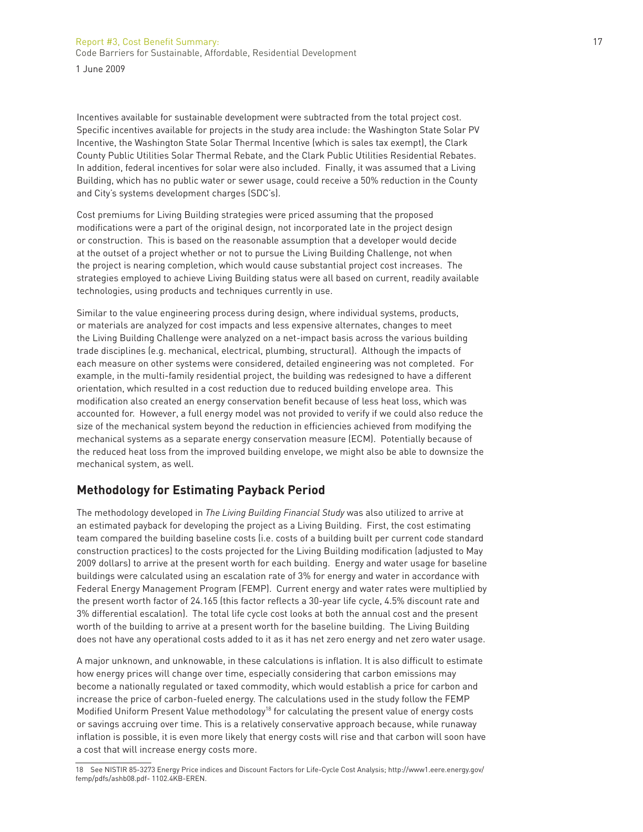# Report #3, Cost Benefit Summary: 17 Code Barriers for Sustainable, Affordable, Residential Development

1 June 2009

Incentives available for sustainable development were subtracted from the total project cost. Specific incentives available for projects in the study area include: the Washington State Solar PV Incentive, the Washington State Solar Thermal Incentive (which is sales tax exempt), the Clark County Public Utilities Solar Thermal Rebate, and the Clark Public Utilities Residential Rebates. In addition, federal incentives for solar were also included. Finally, it was assumed that a Living Building, which has no public water or sewer usage, could receive a 50% reduction in the County and City's systems development charges (SDC's).

Cost premiums for Living Building strategies were priced assuming that the proposed modifications were a part of the original design, not incorporated late in the project design or construction. This is based on the reasonable assumption that a developer would decide at the outset of a project whether or not to pursue the Living Building Challenge, not when the project is nearing completion, which would cause substantial project cost increases. The strategies employed to achieve Living Building status were all based on current, readily available technologies, using products and techniques currently in use.

Similar to the value engineering process during design, where individual systems, products, or materials are analyzed for cost impacts and less expensive alternates, changes to meet the Living Building Challenge were analyzed on a net-impact basis across the various building trade disciplines (e.g. mechanical, electrical, plumbing, structural). Although the impacts of each measure on other systems were considered, detailed engineering was not completed. For example, in the multi-family residential project, the building was redesigned to have a different orientation, which resulted in a cost reduction due to reduced building envelope area. This modification also created an energy conservation benefit because of less heat loss, which was accounted for. However, a full energy model was not provided to verify if we could also reduce the size of the mechanical system beyond the reduction in efficiencies achieved from modifying the mechanical systems as a separate energy conservation measure (ECM). Potentially because of the reduced heat loss from the improved building envelope, we might also be able to downsize the mechanical system, as well.

### **Methodology for Estimating Payback Period**

The methodology developed in *The Living Building Financial Study* was also utilized to arrive at an estimated payback for developing the project as a Living Building. First, the cost estimating team compared the building baseline costs (i.e. costs of a building built per current code standard construction practices) to the costs projected for the Living Building modification (adjusted to May 2009 dollars) to arrive at the present worth for each building. Energy and water usage for baseline buildings were calculated using an escalation rate of 3% for energy and water in accordance with Federal Energy Management Program (FEMP). Current energy and water rates were multiplied by the present worth factor of 24.165 (this factor reflects a 30-year life cycle, 4.5% discount rate and 3% differential escalation). The total life cycle cost looks at both the annual cost and the present worth of the building to arrive at a present worth for the baseline building. The Living Building does not have any operational costs added to it as it has net zero energy and net zero water usage.

A major unknown, and unknowable, in these calculations is inflation. It is also difficult to estimate how energy prices will change over time, especially considering that carbon emissions may become a nationally regulated or taxed commodity, which would establish a price for carbon and increase the price of carbon-fueled energy. The calculations used in the study follow the FEMP Modified Uniform Present Value methodology<sup>18</sup> for calculating the present value of energy costs or savings accruing over time. This is a relatively conservative approach because, while runaway inflation is possible, it is even more likely that energy costs will rise and that carbon will soon have a cost that will increase energy costs more.

<sup>18</sup> See NISTIR 85-3273 Energy Price indices and Discount Factors for Life-Cycle Cost Analysis; http://www1.eere.energy.gov/ femp/pdfs/ashb08.pdf- 1102.4KB-EREN.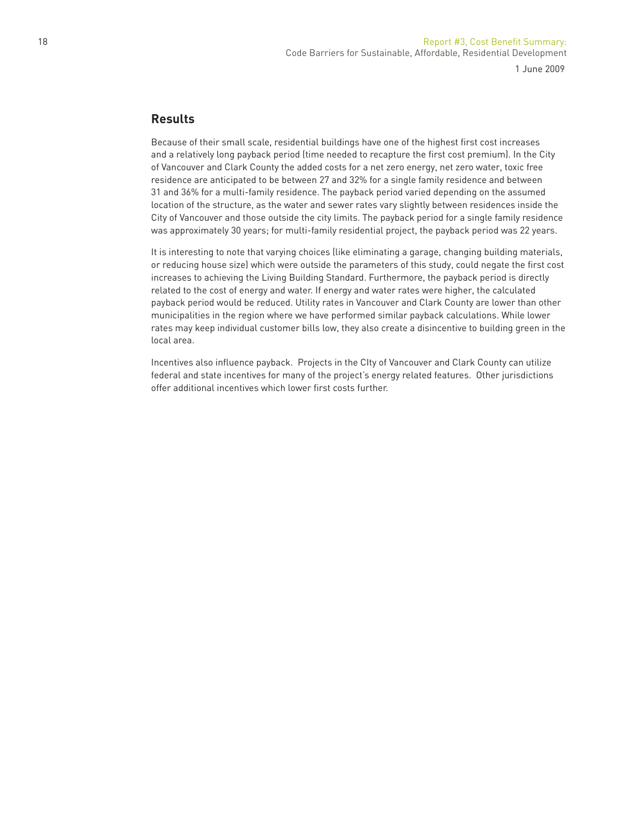### **Results**

Because of their small scale, residential buildings have one of the highest first cost increases and a relatively long payback period (time needed to recapture the first cost premium). In the City of Vancouver and Clark County the added costs for a net zero energy, net zero water, toxic free residence are anticipated to be between 27 and 32% for a single family residence and between 31 and 36% for a multi-family residence. The payback period varied depending on the assumed location of the structure, as the water and sewer rates vary slightly between residences inside the City of Vancouver and those outside the city limits. The payback period for a single family residence was approximately 30 years; for multi-family residential project, the payback period was 22 years.

It is interesting to note that varying choices (like eliminating a garage, changing building materials, or reducing house size) which were outside the parameters of this study, could negate the first cost increases to achieving the Living Building Standard. Furthermore, the payback period is directly related to the cost of energy and water. If energy and water rates were higher, the calculated payback period would be reduced. Utility rates in Vancouver and Clark County are lower than other municipalities in the region where we have performed similar payback calculations. While lower rates may keep individual customer bills low, they also create a disincentive to building green in the local area.

Incentives also influence payback. Projects in the CIty of Vancouver and Clark County can utilize federal and state incentives for many of the project's energy related features. Other jurisdictions offer additional incentives which lower first costs further.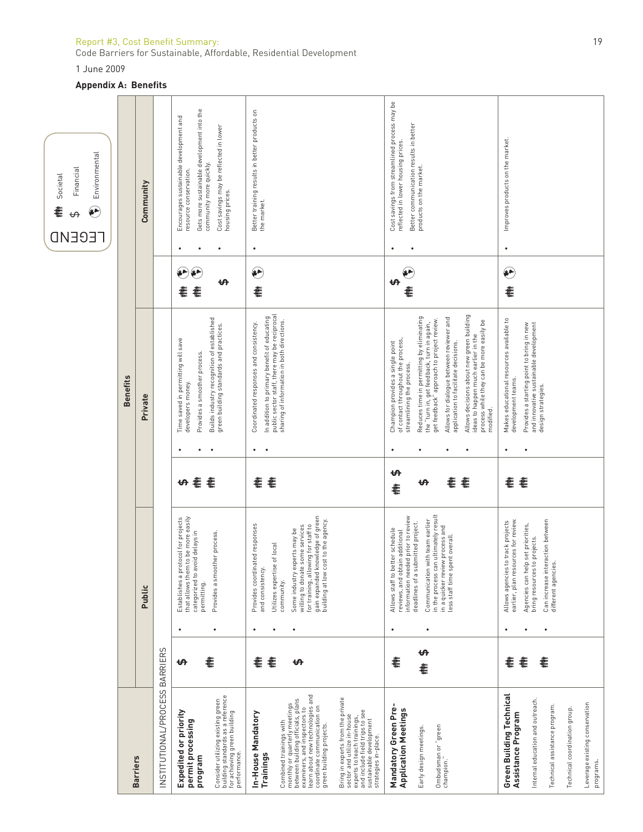# Report #3, Cost Benefit Summary: 19

Code Barriers for Sustainable, Affordable, Residential Development

1 June 2009

# **Appendix A: Benefits**



| <b>Barriers</b>                                                                                                                                                                                                                                                                                                                                                                                                                                                |             |                |                                                                                                                                                                                                                                                                                              |                       |             | <b>Benefits</b>                                                                                                                                                                                                                                                                                                                                                                                                                                                             |                   |   |                                                                                                                                                                                                        |  |
|----------------------------------------------------------------------------------------------------------------------------------------------------------------------------------------------------------------------------------------------------------------------------------------------------------------------------------------------------------------------------------------------------------------------------------------------------------------|-------------|----------------|----------------------------------------------------------------------------------------------------------------------------------------------------------------------------------------------------------------------------------------------------------------------------------------------|-----------------------|-------------|-----------------------------------------------------------------------------------------------------------------------------------------------------------------------------------------------------------------------------------------------------------------------------------------------------------------------------------------------------------------------------------------------------------------------------------------------------------------------------|-------------------|---|--------------------------------------------------------------------------------------------------------------------------------------------------------------------------------------------------------|--|
|                                                                                                                                                                                                                                                                                                                                                                                                                                                                |             |                | Public                                                                                                                                                                                                                                                                                       |                       |             | Private                                                                                                                                                                                                                                                                                                                                                                                                                                                                     |                   |   | Community                                                                                                                                                                                              |  |
| INSTITUTIONAL/PROCESS BARRIERS                                                                                                                                                                                                                                                                                                                                                                                                                                 |             |                |                                                                                                                                                                                                                                                                                              |                       |             |                                                                                                                                                                                                                                                                                                                                                                                                                                                                             |                   |   |                                                                                                                                                                                                        |  |
| Consider utilizing existing green<br>building standards as a reference<br>Expedited or priority<br>for achieving green building<br>permit processing<br>performance.<br>program                                                                                                                                                                                                                                                                                | €<br>₩      | ٠<br>٠         | Establishes a protocol for projects<br>to be more easily<br>categorized to avoid delays in<br>Provides a smoother process.<br>that allows them<br>permitting.                                                                                                                                | 耄<br>耄<br>ക           |             | Builds industry recognition of established<br>green building standards and practices.<br>Time saved in permitting will save<br>Provides a smoother process.<br>developers money.                                                                                                                                                                                                                                                                                            |                   |   | Gets more sustainable development into the<br>Encourages sustainable development and<br>Cost savings may be reflected in lower<br>housing prices.<br>community more quickly.<br>resource conservation. |  |
| learn about new technologies and<br>Bring in experts from the private<br>monthly or quarterly meetings<br>between building officials, plans<br>examiners, and inspectors to<br>coordinate communication on<br>and include field trips to see<br>In-House Mandatory<br>sector and utilize in-house<br>experts to teach trainings,<br>sustainable development<br>Combined trainings with<br>green building projects.<br>strategies in-place.<br><b>Trainings</b> | €<br>耄<br>₩ | ٠              | gain expanded knowledge of green<br>building at low cost to the agency.<br>Provides coordinated responses<br>for training, allowing for staff to<br>willing to donate some services<br>Some industry experts may be<br>of local<br>Utilizes expertise<br>and consistency.<br>community.      | €<br>耄                | $\bullet$   | public sector staff, there may be reciprocal<br>In addition to primary benefit of educating<br>sharing of information in both directions.<br>Coordinated responses and consistency.                                                                                                                                                                                                                                                                                         | $\mathbf{e}$<br>€ | ٠ | Better training results in better products on<br>the market.                                                                                                                                           |  |
| Mandatory Green Pre-<br><b>Application Meetings</b><br>Ombudsman or "green<br>Early design meetings.<br>champion.                                                                                                                                                                                                                                                                                                                                              | €<br>€      | ٠<br>٠         | in the process can ultimately result<br>information needed prior to review<br>Communication with team earlier<br>deadlines of a submitted project.<br>in a quicker review process and<br>Allows staff to better schedule<br>reviews, and obtain additional<br>less staff time spent overall. | ക<br>€<br>耄<br>₩<br>€ | ٠<br>٠<br>٠ | Allows decisions about new green building<br>Reduces time in permitting by eliminating<br>Allows for dialogue between reviewer and<br>get feedback" approach to project review<br>process while they can be more easily be<br>the "turn in, get feedback, turn in again,<br>ideas to happen much earlier in the<br>of contact throughout the process,<br>Champion provides a single point<br>application to facilitate decisions.<br>streamlining the process.<br>modified. | ഗ                 |   | Cost savings from streamlined process may be<br>Better communication results in better<br>reflected in lower housing prices.<br>products on the market.                                                |  |
| Green Building Technical<br>Internal education and outreach.<br>Leverage existing conservation<br>Technical assistance program.<br>Technical coordination group.<br>Assistance Program<br>programs.                                                                                                                                                                                                                                                            | €<br>€<br>€ | $\bullet$<br>٠ | earlier, plan resources for review.<br>Can increase interaction between<br>Allows agencies to track projects<br>Agencies can help set priorities,<br>bring resources to projects.<br>different agencies                                                                                      | €<br>€                | $\bullet$   | Makes educational resources available to<br>Provides a starting point to bring in new<br>and innovative sustainable development<br>development teams.<br>design strategies.                                                                                                                                                                                                                                                                                                 | ⊕<br>€            |   | Improves products on the market.                                                                                                                                                                       |  |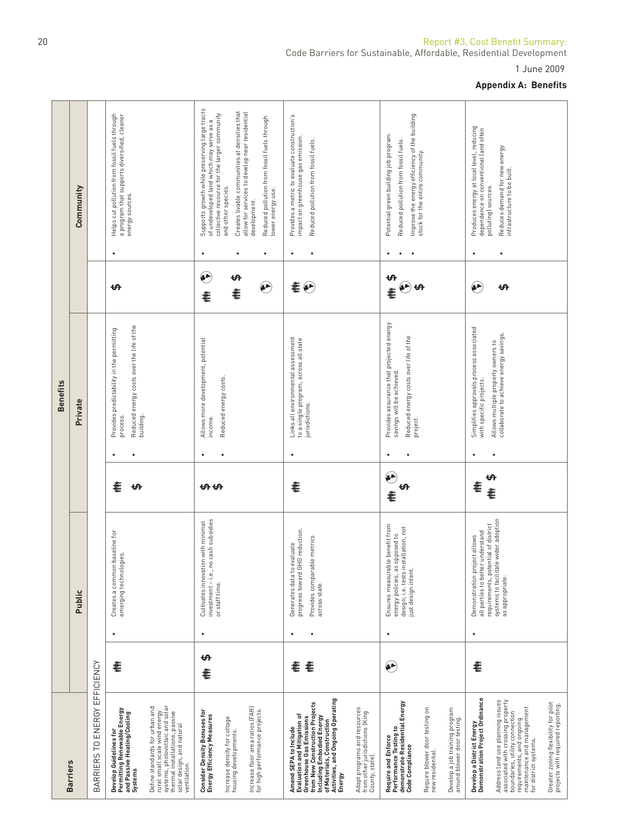|                 |                 |                               |                                                                                                                               |                                                                                                                                                                                   |                                                                                                                                           |                                                                     |                                                                                                                                    |                                                                                                                                                                                                                                      |                                                                                  |                                                                                                                                       |                                                    |                                                               |                                                                                   | <b>Appendix A: Benefits</b>                                                                                                                                                                 |                                                                           |
|-----------------|-----------------|-------------------------------|-------------------------------------------------------------------------------------------------------------------------------|-----------------------------------------------------------------------------------------------------------------------------------------------------------------------------------|-------------------------------------------------------------------------------------------------------------------------------------------|---------------------------------------------------------------------|------------------------------------------------------------------------------------------------------------------------------------|--------------------------------------------------------------------------------------------------------------------------------------------------------------------------------------------------------------------------------------|----------------------------------------------------------------------------------|---------------------------------------------------------------------------------------------------------------------------------------|----------------------------------------------------|---------------------------------------------------------------|-----------------------------------------------------------------------------------|---------------------------------------------------------------------------------------------------------------------------------------------------------------------------------------------|---------------------------------------------------------------------------|
|                 | Community       |                               | Helps cut pollution from fossil fuels through<br>a program that supports diversified, cleaner<br>energy sources.<br>$\bullet$ |                                                                                                                                                                                   | Supports growth while preserving large tracts<br>of undeveloped land which may serve as a<br>collective resource for the larger community | Creates livable communities at densities that<br>and other species. | allow for services to develop near residential<br>Reduced pollution from fossil fuels through<br>lower energy use.<br>development. | Provides a metric to evaluate construction's<br>impact on greenhouse gas emission.<br>Reduced pollution from fossil fuels.<br>٠                                                                                                      |                                                                                  | Improve the energy efficiency of the building<br>Potential green building job program.<br>Reduced pollution from fossil fuels.        | stock for the entire community.                    |                                                               | Produces energy at local level, reducing<br>dependence on conventional (and often | Reduces demand for new energy<br>infrastructure to be built.<br>polluting) sources.                                                                                                         |                                                                           |
|                 |                 |                               | ₩                                                                                                                             |                                                                                                                                                                                   | پ<br>€                                                                                                                                    | ഗ<br>€                                                              | $\bullet$                                                                                                                          | 耄<br>$\odot$                                                                                                                                                                                                                         |                                                                                  | ఱ<br>$\left(\begin{smallmatrix} 0 \\ 0 \\ 0 \end{smallmatrix}\right)$<br>€                                                            |                                                    |                                                               | $(\bullet \bullet)$                                                               | ఱ                                                                                                                                                                                           |                                                                           |
| <b>Benefits</b> | Private         |                               | Reduced energy costs over the life of the<br>Provides predictability in the permitting<br>building.<br>process.               |                                                                                                                                                                                   | Allows more development, potential<br>income.                                                                                             | Reduced energy costs                                                |                                                                                                                                    | Links all environmental assessment<br>to a single program, across all state<br>jurisdictions.<br>٠                                                                                                                                   |                                                                                  | Provides assurance that projected energy<br>Reduced energy costs over life of the<br>savings will be achieved.                        | project.                                           |                                                               | Simplifies approvals process associated<br>with specific projects.                | collaborate to achieve energy savings.<br>Allows multiple property owners to                                                                                                                |                                                                           |
|                 |                 |                               | €<br>↔                                                                                                                        |                                                                                                                                                                                   | ᡃᡃᡐᡃᡉ                                                                                                                                     |                                                                     |                                                                                                                                    | €                                                                                                                                                                                                                                    |                                                                                  | کی<br>ఱ<br>€                                                                                                                          |                                                    |                                                               | 糟粕                                                                                | ₩<br>€                                                                                                                                                                                      |                                                                           |
|                 | Public          |                               | Creates a common baseline for<br>emerging technologies<br>٠                                                                   |                                                                                                                                                                                   | investment - i.e., no cash subsidies<br>Cultivates innovation with minimal<br>or staff time.<br>$\bullet$                                 |                                                                     |                                                                                                                                    | progress toward GHG reduction.<br>Provides comparable metrics<br>Generates data to evaluate<br>across state.<br>$\bullet$<br>$\bullet$                                                                                               |                                                                                  | Ensures measurable benefit from<br>design; i.e. tests installation, not<br>energy policies, as opposed to<br>just design intent.<br>٠ |                                                    |                                                               | all parties to better understand<br>allows<br>Demonstration project<br>٠          | systems to facilitate wider adoption<br>requirements, potential of district<br>as appropriate.                                                                                              |                                                                           |
|                 |                 |                               | €                                                                                                                             |                                                                                                                                                                                   | <del>ഗ</del><br>€                                                                                                                         |                                                                     |                                                                                                                                    | €<br>€                                                                                                                                                                                                                               |                                                                                  | €                                                                                                                                     |                                                    |                                                               | €                                                                                 |                                                                                                                                                                                             |                                                                           |
|                 | <b>Barriers</b> | BARRIERS TO ENERGY EFFICIENCY | Permitting Renewable Energy<br>and Passive Heating/Cooling<br>Systems<br>Develop Guidelines for                               | systems, photovoltaic and solar<br>thermal installations, passive<br>Define standards for urban and<br>rural small scale wind energy<br>solar design, and natural<br>ventilation. | Consider Density Bonuses for<br>Energy Efficiency Measures                                                                                | Increase density for cottage<br>housing developments.               | Increase floor area ratios (FAR)<br>for high performance projects.                                                                 | Activities, and Ongoing Operating<br>from New Construction Projects<br>Evaluation and Mitigation of<br>Including Embodied Energy<br><b>Greenhouse Gas Emissions</b><br>of Materials, Construction<br>Amend SEPA to Include<br>Energy | Adapt programs and resources<br>from other jurisdictions (King<br>County, state) | Require and Enforce<br>Performance Testing to<br>demonstrate Residential Energy<br>Code Compliance                                    | Require blower door testing on<br>new residential. | Develop a job training program<br>around blower door testing. | Develop a District Energy<br>Demonstration Project Ordinance                      | Address land use planning issues<br>associated with crossing property<br>boundaries, utility connection<br>maintenance and management<br>requirements, and ongoing<br>for district systems. | Greater zoning flexibility for pilot<br>projects with required reporting. |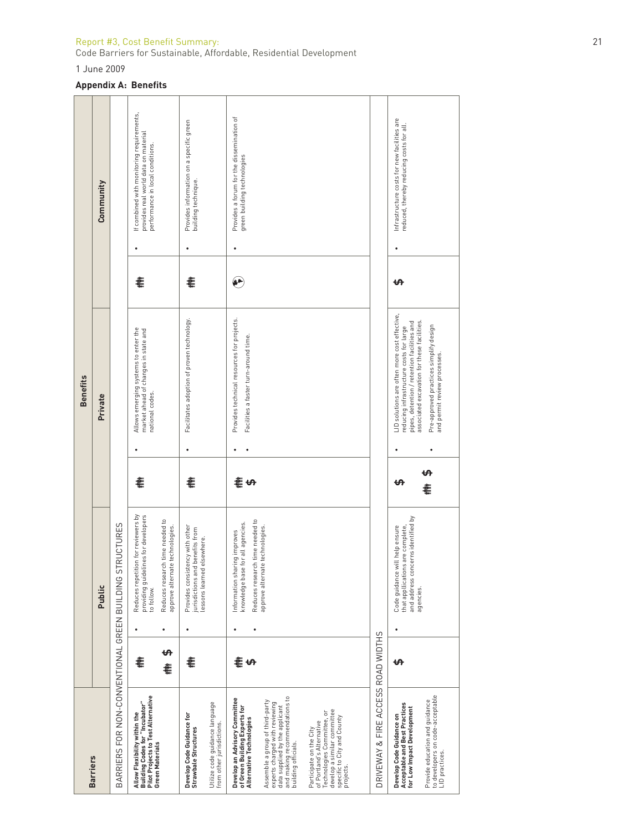Code Barriers for Sustainable, Affordable, Residential Development

1 June 2009

#### **Appendix A: Benefits**

|                 | Community |                                                         | If combined with monitoring requirements,<br>provides real world data on material<br>performance in local conditions. |                                                                    | Provides information on a specific green<br>building technique.<br>٠                             |                                                             | Provides a forum for the dissemination of<br>green building technologies<br>٠                       |                                                                                                                                                             |                                                                                                                                                              |                                    | Infrastructure costs for new facilities are<br>reduced, thereby reducing costs for all. |                                                                                                                                                                      |
|-----------------|-----------|---------------------------------------------------------|-----------------------------------------------------------------------------------------------------------------------|--------------------------------------------------------------------|--------------------------------------------------------------------------------------------------|-------------------------------------------------------------|-----------------------------------------------------------------------------------------------------|-------------------------------------------------------------------------------------------------------------------------------------------------------------|--------------------------------------------------------------------------------------------------------------------------------------------------------------|------------------------------------|-----------------------------------------------------------------------------------------|----------------------------------------------------------------------------------------------------------------------------------------------------------------------|
|                 |           |                                                         | 훝                                                                                                                     |                                                                    | 훝                                                                                                |                                                             | $\bullet$                                                                                           |                                                                                                                                                             |                                                                                                                                                              |                                    | ക                                                                                       |                                                                                                                                                                      |
| <b>Benefits</b> | Private   |                                                         | Allows emerging systems to enter the<br>market ahead of changes in state and<br>national codes.                       |                                                                    | Facilitates adoption of proven technology.                                                       |                                                             | Provides technical resources for projects.<br>Facilities a faster turn-around time.                 |                                                                                                                                                             |                                                                                                                                                              |                                    | LID solutions are often more cost effective,<br>reducing infrastructure costs for large | associated excavation for these facilities.<br>pipes, detention / retention facilities and<br>Pre-approved practices simplify design<br>and permit review processes. |
|                 |           |                                                         |                                                                                                                       |                                                                    |                                                                                                  |                                                             |                                                                                                     |                                                                                                                                                             |                                                                                                                                                              |                                    |                                                                                         |                                                                                                                                                                      |
|                 |           |                                                         | 홑                                                                                                                     |                                                                    | 훝                                                                                                |                                                             | きゅ                                                                                                  |                                                                                                                                                             |                                                                                                                                                              |                                    | ŧΑ                                                                                      | ŧ                                                                                                                                                                    |
|                 | Public    | BARRIERS FOR NON-CONVENTIONAL GREEN BUILDING STRUCTURES | Reduces repetition for reviewers by<br>providing guidelines for developers<br>to follow.                              | Reduces research time needed to<br>approve alternate technologies. | Provides consistency with other<br>jurisdictions and benefits from<br>lessons learned elsewhere. |                                                             | Reduces research time needed to<br>knowledge base for all agencies.<br>Information sharing improves | approve alternate technologies.                                                                                                                             |                                                                                                                                                              |                                    | Code guidance will help ensure<br>that appllications are complete,                      | and address concerns identified by<br>agencies.                                                                                                                      |
|                 |           |                                                         | €                                                                                                                     | <del>ഗ</del><br>≹                                                  | €                                                                                                |                                                             | 耄<br>€                                                                                              |                                                                                                                                                             |                                                                                                                                                              |                                    | ക                                                                                       |                                                                                                                                                                      |
| <b>Barriers</b> |           |                                                         | <b>Pilot Projects to Test Alternative</b><br>Building Codes for "Incubator"<br>Allow Flexibility within the           | Green Materials                                                    | Develop Code Guidance for<br>Strawbale Structures                                                | Utilize code guidance language<br>from other jurisdictions. | Develop an Advisory Committee<br>of Green Building Experts for<br>Alternative Technologies          | and making recommendations to<br>Assemble a group of third-party<br>experts charged with reviewing<br>data supplied by the applicant<br>building officials. | develop a similar committee<br>Technologies Committee, or<br>specific to City and County<br>of Portland's Alternative<br>Participate on the City<br>projects | DRIVEWAY & FIRE ACCESS ROAD WIDTHS | Acceptable and Best Practices<br>Develop Code Guidance on                               | to developers on code-acceptable<br>LID practices.<br>Provide education and guidance<br>for Low Impact Development                                                   |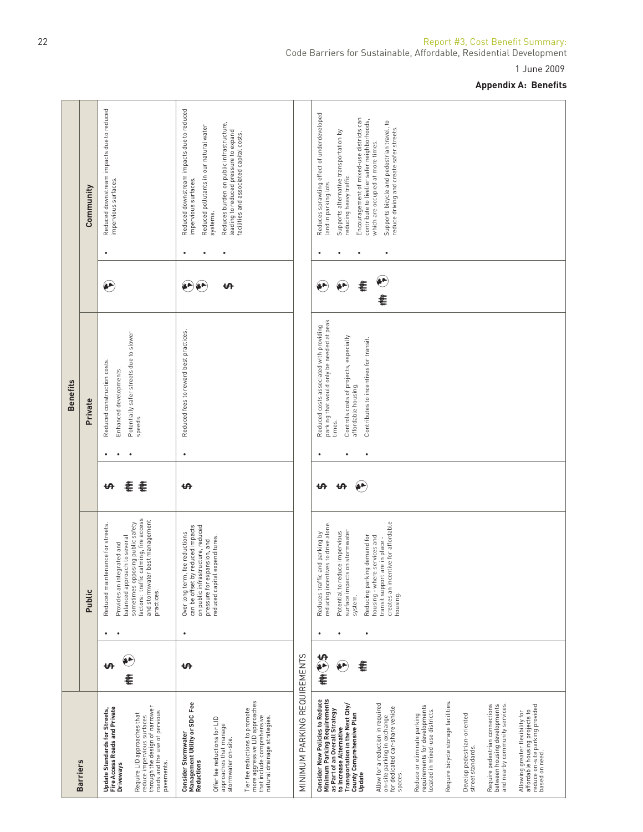| Reduced downstream impacts due to reduced<br>Reduced downstream impacts due to reduced<br>Reduces sprawling effect of underdeveloped<br>Encouragement of mixed-use districts can<br>contribute to livelier safer neighborhoods,<br>Supports bicycle and pedestrian travel, to<br>Reduces burden on public infrastructure,<br>Reduced pollutants in our natural water<br>reduce driving and create safer streets.<br>leading to reduced pressure to expand<br>Supports alternative transportation by<br>facilities and associated capital costs.<br>which are occupied at more times.<br>reducing heavy traffic.<br>impervious surfaces.<br>impervious surfaces.<br>land in parking lots.<br>Community<br>systems.<br>$\bullet$<br>$\bullet$<br>٠<br>۳<br>پ<br>(عي<br>훝<br>۳<br>÷,<br>ᡃᡃᡉ<br>€<br>parking that would only be needed at peak<br>Reduced costs associated with providing<br>Reduced fees to reward best practices.<br>Potentially safer streets due to slower<br>Controls costs of projects, especially<br>Contributes to incentives for transit.<br>Reduced construction costs.<br>Enhanced developments.<br>affordable housing<br>Private<br>speeds.<br>times.<br>$\bullet$<br>耄<br>耄<br>₩<br>₩<br>₩<br>factors: traffic calming, fire access<br>and stormwater best management<br>creates an incentive for affordable<br>sometimes opposing public safety<br>reducing incentives to drive alone.<br>Reduced maintenance for streets.<br>can be offset by reduced impacts<br>on public infrastructure, reduced<br>surface impacts on stormwater<br>Potential to reduce impervious<br>Over long term, fee reductions<br>Reduces traffic and parking by<br>Reducing parking demand for<br>balanced approach to several<br>housing - where services and<br>reduced capital expenditures.<br>transit support are in place-<br>pressure for expansion, and<br>Provides an integrated and<br>practices.<br>Public<br>housing.<br>system.<br>٠<br>٠<br>٠<br>٠<br>٠<br>$\bullet$<br>MINIMUM PARKING REQUIREMENTS<br>李(1)<br>ä۴<br>€<br>$\bullet$<br>₩<br>ŧΑ<br>ŧ<br>more aggressive LID approaches<br>Require bicycle storage facilities.<br>Management Utility or SDC Fee<br>Allow for a reduction in required<br>Transportation in the Next City/<br>Require pedestrian connections<br>and nearby community services.<br>between housing developments<br>requirements for developments<br>through the design of narrower<br>Fire Access Roads and Private<br>Tier fee reductions to promote<br><b>Update Standards for Streets,</b><br>located in mixed-use districts.<br>roads and the use of pervious<br>County Comprehensive Plan<br>Reduce or eliminate parking<br>Develop pedestrian-oriented<br>Require LID approaches that<br>that include comprehensive<br>reduce impervious surfaces<br>natural drainage strategies.<br>Offer fee reductions for LID<br>to Increase Alternative<br>Consider Stormwater<br>street standards.<br>Reductions<br>pavements.<br><b>Driveways</b><br>Update<br>spaces. |                                                                                                                                                                                                                                                                                                |  |  | <b>Benefits</b> |  |  |
|--------------------------------------------------------------------------------------------------------------------------------------------------------------------------------------------------------------------------------------------------------------------------------------------------------------------------------------------------------------------------------------------------------------------------------------------------------------------------------------------------------------------------------------------------------------------------------------------------------------------------------------------------------------------------------------------------------------------------------------------------------------------------------------------------------------------------------------------------------------------------------------------------------------------------------------------------------------------------------------------------------------------------------------------------------------------------------------------------------------------------------------------------------------------------------------------------------------------------------------------------------------------------------------------------------------------------------------------------------------------------------------------------------------------------------------------------------------------------------------------------------------------------------------------------------------------------------------------------------------------------------------------------------------------------------------------------------------------------------------------------------------------------------------------------------------------------------------------------------------------------------------------------------------------------------------------------------------------------------------------------------------------------------------------------------------------------------------------------------------------------------------------------------------------------------------------------------------------------------------------------------------------------------------------------------------------------------------------------------------------------------------------------------------------------------------------------------------------------------------------------------------------------------------------------------------------------------------------------------------------------------------------------------------------------------------------------------------------------------------------------------------------------------------------------------------------------------------------------------------------------------------------------------------------------------------------------------------------------------------------------------------------|------------------------------------------------------------------------------------------------------------------------------------------------------------------------------------------------------------------------------------------------------------------------------------------------|--|--|-----------------|--|--|
|                                                                                                                                                                                                                                                                                                                                                                                                                                                                                                                                                                                                                                                                                                                                                                                                                                                                                                                                                                                                                                                                                                                                                                                                                                                                                                                                                                                                                                                                                                                                                                                                                                                                                                                                                                                                                                                                                                                                                                                                                                                                                                                                                                                                                                                                                                                                                                                                                                                                                                                                                                                                                                                                                                                                                                                                                                                                                                                                                                                                                    | <b>Barriers</b>                                                                                                                                                                                                                                                                                |  |  |                 |  |  |
|                                                                                                                                                                                                                                                                                                                                                                                                                                                                                                                                                                                                                                                                                                                                                                                                                                                                                                                                                                                                                                                                                                                                                                                                                                                                                                                                                                                                                                                                                                                                                                                                                                                                                                                                                                                                                                                                                                                                                                                                                                                                                                                                                                                                                                                                                                                                                                                                                                                                                                                                                                                                                                                                                                                                                                                                                                                                                                                                                                                                                    |                                                                                                                                                                                                                                                                                                |  |  |                 |  |  |
|                                                                                                                                                                                                                                                                                                                                                                                                                                                                                                                                                                                                                                                                                                                                                                                                                                                                                                                                                                                                                                                                                                                                                                                                                                                                                                                                                                                                                                                                                                                                                                                                                                                                                                                                                                                                                                                                                                                                                                                                                                                                                                                                                                                                                                                                                                                                                                                                                                                                                                                                                                                                                                                                                                                                                                                                                                                                                                                                                                                                                    | approaches that manage<br>stormwater on-site.                                                                                                                                                                                                                                                  |  |  |                 |  |  |
|                                                                                                                                                                                                                                                                                                                                                                                                                                                                                                                                                                                                                                                                                                                                                                                                                                                                                                                                                                                                                                                                                                                                                                                                                                                                                                                                                                                                                                                                                                                                                                                                                                                                                                                                                                                                                                                                                                                                                                                                                                                                                                                                                                                                                                                                                                                                                                                                                                                                                                                                                                                                                                                                                                                                                                                                                                                                                                                                                                                                                    |                                                                                                                                                                                                                                                                                                |  |  |                 |  |  |
|                                                                                                                                                                                                                                                                                                                                                                                                                                                                                                                                                                                                                                                                                                                                                                                                                                                                                                                                                                                                                                                                                                                                                                                                                                                                                                                                                                                                                                                                                                                                                                                                                                                                                                                                                                                                                                                                                                                                                                                                                                                                                                                                                                                                                                                                                                                                                                                                                                                                                                                                                                                                                                                                                                                                                                                                                                                                                                                                                                                                                    | Consider New Policies to Reduce<br>Minimum Parking Requirements<br>as Part of an Overall Strategy<br>Allowing greater flexibility for<br>affordable housing projects to<br>reduce on-site parking provided<br>based on need.<br>on-site parking in exchange<br>for dedicated car-share vehicle |  |  |                 |  |  |

1 June 2009

### **Appendix A: Benefits**

### 22 **Report #3, Cost Benefit Summary:** Code Barriers for Sustainable, Affordable, Residential Development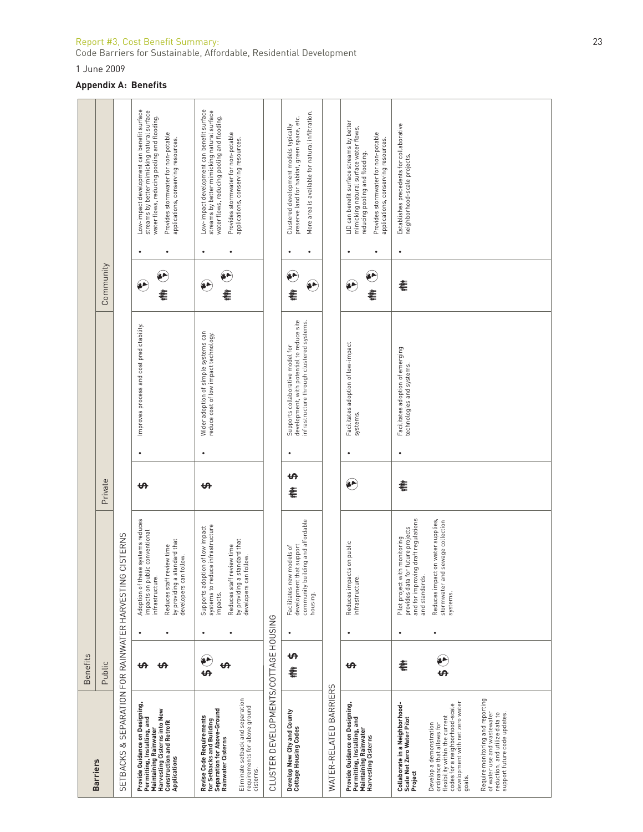#### Report #3, Cost Bene fi t Summary: 23

Code Barriers for Sustainable, Affordable, Residential Development

1 June 2009

#### **Appendix A: Benefits**

|                                                                                                                                                                                                                                                                                                                                                                                       | Benefits |           |                                                                                                                                                                                                                        |           |   |                                                                                                                             |                |                                                                                                                                                                                                                                  |
|---------------------------------------------------------------------------------------------------------------------------------------------------------------------------------------------------------------------------------------------------------------------------------------------------------------------------------------------------------------------------------------|----------|-----------|------------------------------------------------------------------------------------------------------------------------------------------------------------------------------------------------------------------------|-----------|---|-----------------------------------------------------------------------------------------------------------------------------|----------------|----------------------------------------------------------------------------------------------------------------------------------------------------------------------------------------------------------------------------------|
| <b>Barriers</b>                                                                                                                                                                                                                                                                                                                                                                       | Public   |           |                                                                                                                                                                                                                        | Private   |   |                                                                                                                             | Community      |                                                                                                                                                                                                                                  |
| SETBACKS & SEPARATION FOR RAINWATER HARVESTING                                                                                                                                                                                                                                                                                                                                        |          |           | <b>CISTERNS</b>                                                                                                                                                                                                        |           |   |                                                                                                                             |                |                                                                                                                                                                                                                                  |
| Provide Guidance on Designing,<br>Harvesting Cisterns into New<br>Permitting, Installing, and<br><b>Construction and Retrofit</b><br>Maintaining Rainwater<br>Applications                                                                                                                                                                                                            | ₩<br>ക   |           | Adoption of these systems reduces<br>impacts on public conventional<br>by providing a standard that<br>Reduces staff review time<br>developers can follow.<br>infrastructure.                                          | ఱ         |   | Improves process and cost predictability.                                                                                   | ۸<br>€         | Low-impact development can benefit surface<br>streams by better mimicking natural surface<br>water flows, reducing pooling and flooding.<br>Provides stormwater for non-potable<br>applications, conserving resources.<br>٠      |
| Eliminate setback and separation<br>requirements for above ground<br>Separation for Above-Ground<br>Revise Code Requirements<br>for Setbacks and Building<br>Rainwater Cisterns<br>cisterns.                                                                                                                                                                                          | Ë<br>ക   | ٠         | systems to reduce infrastructure<br>Supports adoption of low impact<br>by providing a standard that<br>Reduces staff review time<br>developers can follow.<br>impacts.                                                 | ₩         | ٠ | Wider adoption of simple systems can<br>reduce cost of low impact technology.                                               | $\bullet$<br>≹ | Low-impact development can benefit surface<br>streams by better mimicking natural surface<br>water flows, reducing pooling and flooding.<br>Provides stormwater for non-potable<br>applications, conserving resources.<br>٠<br>٠ |
| CLUSTER DEVELOPMENTS/COTTAGE HOUSING                                                                                                                                                                                                                                                                                                                                                  |          |           |                                                                                                                                                                                                                        |           |   |                                                                                                                             |                |                                                                                                                                                                                                                                  |
| Develop New City and County<br>Cottage Housing Codes                                                                                                                                                                                                                                                                                                                                  | ᡃᠲ<br>€  | $\bullet$ | community building and affordable<br>Facilitates new models of<br>development that support<br>housing.                                                                                                                 | ₩<br>€    |   | development, with potential to reduce site<br>infrastructure through clustered systems.<br>Supports collaborative model for | €<br>€<br>€    | More area is available for natural infiltration.<br>preserve land for habitat, green space, etc.<br>Clustered development models typically<br>٠                                                                                  |
| WATER-RELATED BARRIERS                                                                                                                                                                                                                                                                                                                                                                |          |           |                                                                                                                                                                                                                        |           |   |                                                                                                                             |                |                                                                                                                                                                                                                                  |
| Provide Guidance on Designing,<br>Permitting, Installing, and<br>Maintaining Rainwater<br>Harvesting Cisterns                                                                                                                                                                                                                                                                         | ఱ        | ٠         | Reduces impacts on public<br>infrastructure.                                                                                                                                                                           | $\bullet$ | ٠ | Facilitates adoption of low-impact<br>systems.                                                                              | مه<br>€        | LID can benefit surface streams by better<br>mimicking natural surface water flows,<br>Provides stormwater for non-potable<br>applications, conserving resources.<br>reducing pooling and flooding.<br>٠<br>$\bullet$            |
| Require monitoring and reporting<br>development with net zero water<br>Collaborate in a Neighborhood-<br>codes for a neighborhood-scale<br>of water use and wastewater<br>reduction, and utilize data to<br>support future code updates.<br>flexibility within the current<br>Scale Net Zero Water Pilot<br>Develop a demonstration<br>ordinance that allows for<br>Project<br>qoals. | €        | ٠<br>٠    | and for improving draft regulations<br>on water supplies,<br>sewage collection<br>provides data for future projects<br>Pilot project with monitoring<br>Reduces impact<br>stormwater and<br>and standards.<br>systems. | €         | ٠ | Facilitates adoption of emerging<br>technologies and systems.                                                               | €              | Establishes precedents for collaborative<br>neighborhood-scale projects.<br>$\bullet$                                                                                                                                            |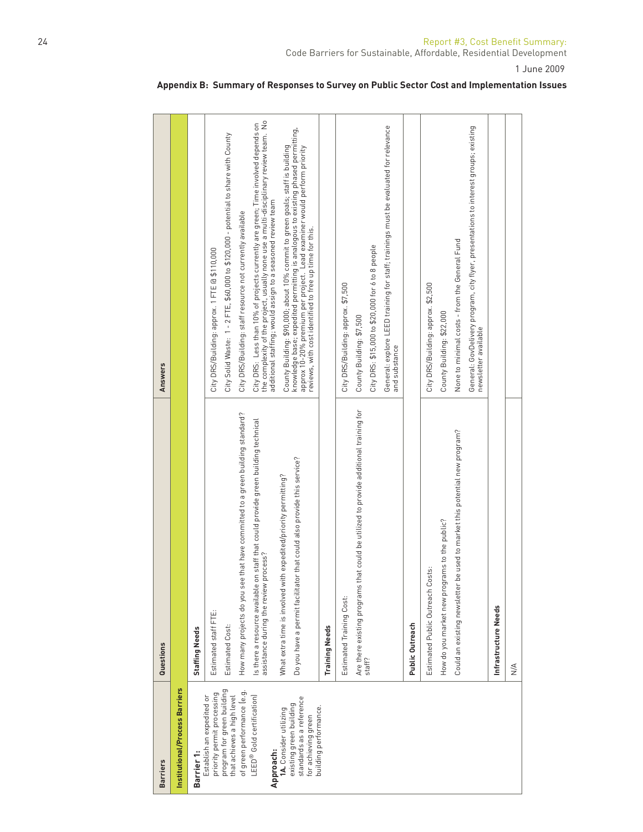| <b>Barriers</b>                                                                                      | Questions                                                                                                                                    | <b>Answers</b>                                                                                                                                                                                                                                                                                           |
|------------------------------------------------------------------------------------------------------|----------------------------------------------------------------------------------------------------------------------------------------------|----------------------------------------------------------------------------------------------------------------------------------------------------------------------------------------------------------------------------------------------------------------------------------------------------------|
| Institutional/Process Barriers                                                                       |                                                                                                                                              |                                                                                                                                                                                                                                                                                                          |
| Barrier 1:                                                                                           | <b>Staffing Needs</b>                                                                                                                        |                                                                                                                                                                                                                                                                                                          |
| priority permit processing<br>Establish an expedited or                                              | Estimated staff FTE:                                                                                                                         | City DRS/Building: approx. 1 FTE @ \$110,000                                                                                                                                                                                                                                                             |
| program for green building<br>that achieves a high level                                             | Estimated Cost:                                                                                                                              | City Solid Waste: 1 - 2 FTE, \$60,000 to \$120,000 - potential to share with County                                                                                                                                                                                                                      |
| of green performance le.g.                                                                           | that have committed to a green building standard?<br>How many projects do you see                                                            | City DRS/Building: staff resource not currently available                                                                                                                                                                                                                                                |
| LEED® Gold certification)<br>Approach:                                                               | staff that could provide green building technical<br>assistance during the review process?<br>Is there a resource available on               | the complexity of the project, usually none use a multi-disciplinary review team. No<br>City DRS: Less than 10% of projects currently are green; Time involved depends on<br>additional staffing; would assign to a seasoned review team                                                                 |
| standards as a reference<br>existing green building<br>1A. Consider utilizing<br>for achieving green | that could also provide this service?<br>What extra time is involved with expedited/priority permitting?<br>Do you have a permit facilitator | knowledge base, expedited permitting is analogous to existing phased permitting,<br>approx 10-20% premium per project.  Lead examiner would perform priority<br>County Building: \$90,000; about 10% commit to green goals; staff is building<br>reviews, with cost identified to free up time for this. |
| building performance.                                                                                | <b>Training Needs</b>                                                                                                                        |                                                                                                                                                                                                                                                                                                          |
|                                                                                                      | Estimated Training Cost:                                                                                                                     | City DRS/Building: approx. \$7,500                                                                                                                                                                                                                                                                       |
|                                                                                                      | Are there existing programs that could be utilized to provide additional training for                                                        | County Building: \$7,500                                                                                                                                                                                                                                                                                 |
|                                                                                                      | staff?                                                                                                                                       | City DRS: \$15,000 to \$20,000 for 6 to 8 people                                                                                                                                                                                                                                                         |
|                                                                                                      |                                                                                                                                              | General: explore LEED training for staff; trainings must be evaluated for relevance<br>and substance                                                                                                                                                                                                     |
|                                                                                                      | Public Outreach                                                                                                                              |                                                                                                                                                                                                                                                                                                          |
|                                                                                                      | Estimated Public Outreach Costs:                                                                                                             | City DRS/Building: approx. \$2,500                                                                                                                                                                                                                                                                       |
|                                                                                                      | How do you market new programs to the public?                                                                                                | County Building: \$22,000                                                                                                                                                                                                                                                                                |
|                                                                                                      | Could an existing newsletter be used to market this potential new program?                                                                   | None to minimal costs - from the General Fund                                                                                                                                                                                                                                                            |
|                                                                                                      |                                                                                                                                              | General: GovDelivery program, city flyer, presentations to interest groups; existing<br>newsletter available                                                                                                                                                                                             |
|                                                                                                      | Infrastructure Needs                                                                                                                         |                                                                                                                                                                                                                                                                                                          |
|                                                                                                      | $\frac{4}{2}$                                                                                                                                |                                                                                                                                                                                                                                                                                                          |

# **Appendix B: Summary of Responses to Survey on Public Sector Cost and Implementation Issues**

1 June 2009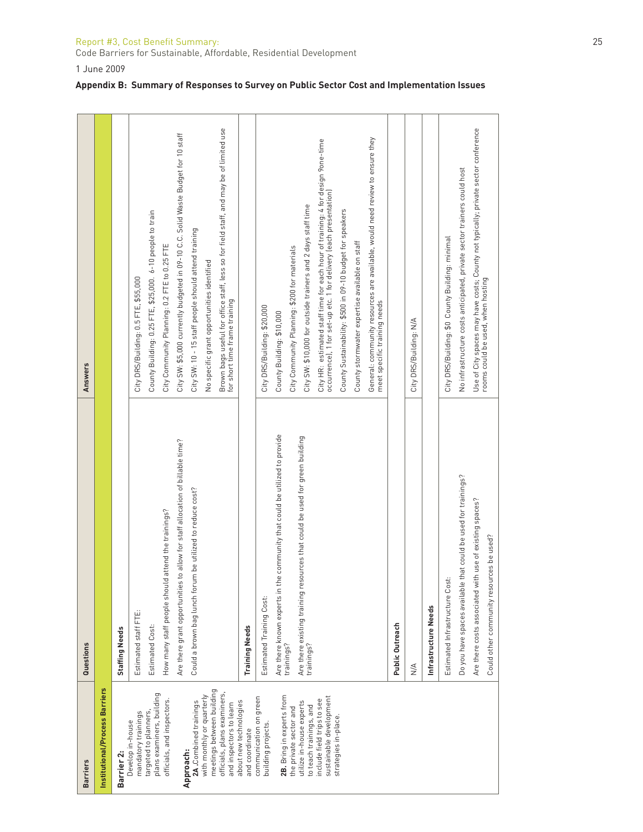| Report #3, Cost Benefit Summary:                                   |  |
|--------------------------------------------------------------------|--|
| Code Barriers for Sustainable, Affordable, Residential Development |  |

1 June 2009

|  |  |  |  |  |  | Appendix B: Summary of Responses to Survey on Public Sector Cost and Implementation Issues |  |
|--|--|--|--|--|--|--------------------------------------------------------------------------------------------|--|
|--|--|--|--|--|--|--------------------------------------------------------------------------------------------|--|

| <b>Barriers</b>                                        | Questions                                                                                 | Answers                                                                                                                                               |
|--------------------------------------------------------|-------------------------------------------------------------------------------------------|-------------------------------------------------------------------------------------------------------------------------------------------------------|
| Institutional/Process Barriers                         |                                                                                           |                                                                                                                                                       |
| Barrier 2:                                             | <b>Staffing Needs</b>                                                                     |                                                                                                                                                       |
| mandatory trainings<br>Develop in-house                | Estimated staff FTE:                                                                      | City DRS/Building: 0.5 FTE, \$55,000                                                                                                                  |
| plans examiners, building<br>targeted to planners      | Estimated Cost:                                                                           | County Building: 0.25 FTE, \$25,000. 6-10 people to train                                                                                             |
| officials, and inspectors.                             | How many staff people should attend the trainings?                                        | City Community Planning: 0.2 FTE to 0.25 FTE                                                                                                          |
| Approach:                                              | Are there grant opportunities to allow for staff allocation of billable time?             | City SW: \$5,000 currently budgeted in 09-10 C.C. Solid Waste Budget for 10 staff                                                                     |
| 2A. Combined trainings                                 | Could a brown bag lunch forum be utilized to reduce cost?                                 | City SW: 10 - 15 staff people should attend training                                                                                                  |
| meetings between building<br>with monthly or quarterly |                                                                                           | No specific grant opportunities identified                                                                                                            |
| officials, plans examiners,<br>and inspectors to learn |                                                                                           | Brown bags useful for office staff, less so for field staff, and may be of limited use<br>for short time frame training                               |
| about new technologies<br>and coordinate               | <b>Training Needs</b>                                                                     |                                                                                                                                                       |
| communication on green<br>building projects.           | Estimated Training Cost:                                                                  | City DRS/Building: \$20,000                                                                                                                           |
|                                                        | the community that could be utilized to provide<br>Are there known experts in             | County Building: \$10,000                                                                                                                             |
| 2B. Bring in experts from<br>the private sector and    | trainings?                                                                                | City Community Planning: \$200 for materials                                                                                                          |
| utilize in-house experts<br>to teach trainings, and    | Are there existing training resources that could be used for green building<br>trainings? | City SW: \$10,000 for outside trainers and 2 days staff time                                                                                          |
| sustainable development<br>include field trips to see  |                                                                                           | City HR: estimated staff time for each hour of training: 4 for design 9 one-time<br>occurrence), 1 for set-up etc. 1 for delivery (each presentation) |
| strategies in-place.                                   |                                                                                           | County Sustainability: \$500 in 09-10 budget for speakers                                                                                             |
|                                                        |                                                                                           | County stormwater expertise available on staff                                                                                                        |
|                                                        |                                                                                           | General: community resources are available, would need review to ensure they<br>meet specific training needs                                          |
|                                                        | Public Outreach                                                                           |                                                                                                                                                       |
|                                                        | $\leq$                                                                                    | City DRS/Building: N/A                                                                                                                                |
|                                                        | Infrastructure Needs                                                                      |                                                                                                                                                       |
|                                                        | Estimated Infrastructure Cost:                                                            | City DRS/Building: \$0 County Building: minimal                                                                                                       |
|                                                        | Do you have spaces available that could be used for trainings?                            | No infrastructure costs anticipated, private sector trainers could host                                                                               |
|                                                        | Are there costs associated with use of existing spaces?                                   | Use of City spaces may have costs; County not typically; private sector conference                                                                    |
|                                                        | Could other community resources be used?                                                  | rooms could be used, when hosting                                                                                                                     |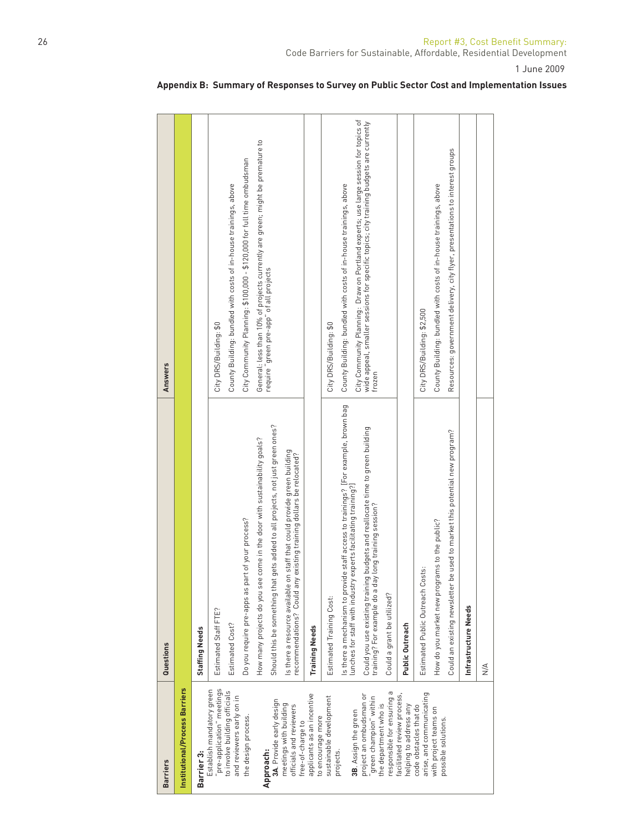| <b>Barriers</b>                                                             | Questions                                                                                                                                                    | <b>Answers</b>                                                                                                                                                                         |
|-----------------------------------------------------------------------------|--------------------------------------------------------------------------------------------------------------------------------------------------------------|----------------------------------------------------------------------------------------------------------------------------------------------------------------------------------------|
| Institutional/Process Barriers                                              |                                                                                                                                                              |                                                                                                                                                                                        |
| Barrier 3:                                                                  | <b>Staffing Needs</b>                                                                                                                                        |                                                                                                                                                                                        |
| pre-application" meetings<br>Establish mandatory green                      | Estimated Staff FTE?                                                                                                                                         | City DRS/Building: \$0                                                                                                                                                                 |
| to involve building officials<br>and reviewers early on in                  | Estimated Cost?                                                                                                                                              | County Building: bundled with costs of in-house trainings, above                                                                                                                       |
| the design process.                                                         | Do you require pre-apps as part of your process?                                                                                                             | City Community Planning: \$100,000 - \$120,000 for full time ombudsman                                                                                                                 |
| Approach:                                                                   | come in the door with sustainability goals?<br>How many projects do you see                                                                                  | General: less than 10% of projects currently are green; might be premature to                                                                                                          |
| 3A. Provide early design                                                    | gets added to all projects, not just green ones?<br>Should this be something that                                                                            | require "green pre-app" of all projects                                                                                                                                                |
| meetings with building<br>officials and reviewers<br>free-of-charge to      | is there a resource available on staff that could provide green building<br>existing training dollars be relocated?<br>ecommendations? Could any             |                                                                                                                                                                                        |
| applicants as an incentive<br>to encourage more                             | <b>Training Needs</b>                                                                                                                                        |                                                                                                                                                                                        |
| sustainable development                                                     | Estimated Training Cost:                                                                                                                                     | City DRS/Building: \$0                                                                                                                                                                 |
| 3B. Assign the green<br>projects.                                           | de staff access to trainings? [For example, brown bag<br>experts facilitating training?]<br>is there a mechanism to provic<br>unches for staff with industry | County Building: bundled with costs of in-house trainings, above                                                                                                                       |
| project an ombudsman or<br>'green champion" within<br>the department who is | Could you use existing training budgets and reallocate time to green building<br>training? For example do a day long training session?                       | City Community Planning: Draw on Portland experts; use large session for topics of<br>wide appeal, smaller sessions for specific topics; city training budgets are currently<br>frozen |
| responsible for ensuring a                                                  | Could a grant be utilized?                                                                                                                                   |                                                                                                                                                                                        |
| facilitated review process,<br>helping to address any                       | Public Outreach                                                                                                                                              |                                                                                                                                                                                        |
| arise, and communicating<br>code obstacles that do                          | Estimated Public Outreach Costs:                                                                                                                             | City DRS/Building: \$2,500                                                                                                                                                             |
| with project teams on<br>possible solutions.                                | How do you market new programs to the public?                                                                                                                | County Building: bundled with costs of in-house trainings, above                                                                                                                       |
|                                                                             | Could an existing newsletter be used to market this potential new program?                                                                                   | Resources: government delivery, city flyer, presentations to interest groups                                                                                                           |
|                                                                             | Infrastructure Needs                                                                                                                                         |                                                                                                                                                                                        |
|                                                                             | $\leq$                                                                                                                                                       |                                                                                                                                                                                        |
|                                                                             |                                                                                                                                                              |                                                                                                                                                                                        |

# **Appendix B: Summary of Responses to Survey on Public Sector Cost and Implementation Issues**

1 June 2009

Code Barriers for Sustainable, Affordable, Residential Development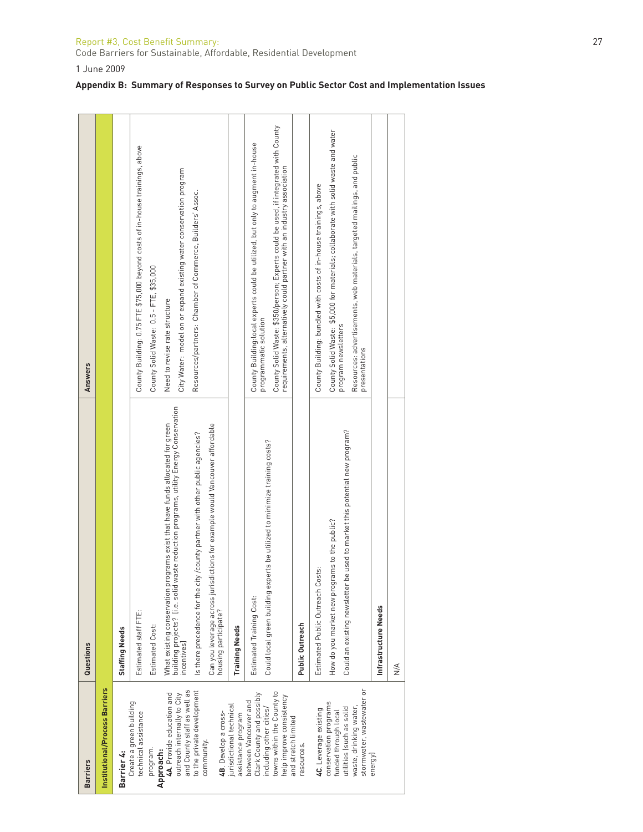#### Report #3, Cost Bene fi t Summary: 27

Code Barriers for Sustainable, Affordable, Residential Development

1 June 2009

|  |  |  | Appendix B: Summary of Responses to Survey on Public Sector Cost and Implementation Issues |
|--|--|--|--------------------------------------------------------------------------------------------|
|--|--|--|--------------------------------------------------------------------------------------------|

| <b>Barriers</b>                                                                 | Questions                                                                                                                                                                     | <b>Answers</b>                                                                                                                                               |
|---------------------------------------------------------------------------------|-------------------------------------------------------------------------------------------------------------------------------------------------------------------------------|--------------------------------------------------------------------------------------------------------------------------------------------------------------|
| Institutional/Process Barriers                                                  |                                                                                                                                                                               |                                                                                                                                                              |
| Barrier 4:                                                                      | <b>Staffing Needs</b>                                                                                                                                                         |                                                                                                                                                              |
| Create a green building<br>technical assistance                                 | Estimated staff FTE:                                                                                                                                                          | County Building: 0.75 FTE \$75,000 beyond costs of in-house trainings, above                                                                                 |
| program.                                                                        | Estimated Cost:                                                                                                                                                               | County Solid Waste: 0.5 - FTE, \$35,000                                                                                                                      |
| 4A. Provide education and<br>outreach internally to City<br>Approach:           | id waste reduction programs, utility Energy Conservation<br>programs exist that have funds allocated for green<br>What existing conservation<br>building projects? [i.e. soli | Need to revise rate structure                                                                                                                                |
| and County staff as well as                                                     | ncentives]                                                                                                                                                                    | City Water: model on or expand existing water conservation program                                                                                           |
| to the private development                                                      | Is there precedence for the city / county partner with other public agencies?                                                                                                 | Resources/partners: Chamber of Commerce, Builders' Assoc.                                                                                                    |
| 4B. Develop a cross-<br>community.                                              | Can you leverage across jurisdictions for example would Vancouver affordable<br>housing participate?                                                                          |                                                                                                                                                              |
| jurisdictional technical<br>assistance program                                  | <b>Training Needs</b>                                                                                                                                                         |                                                                                                                                                              |
| Clark County and possibly<br>between Vancouver and<br>including other cities/   | Could local green building experts be utilized to minimize training costs?<br>Estimated Training Cost:                                                                        | County Building:local experts could be utilized, but only to augment in-house<br>programmatic solution                                                       |
| towns within the County to<br>help improve consistency                          |                                                                                                                                                                               | County Solid Waste: \$350/person; Experts could be used, if integrated with County<br>requirements, alternatively could partner with an industry association |
| and stretch limited<br>resources.                                               | Public Outreach                                                                                                                                                               |                                                                                                                                                              |
| 4C. Leverage existing                                                           | Costs:<br>Estimated Public Outreach                                                                                                                                           | County Building: bundled with costs of in-house trainings, above                                                                                             |
| conservation programs<br>funded through local                                   | How do you market new programs to the public?                                                                                                                                 | County Solid Waste: \$5,000 for materials; collaborate with solid waste and water<br>program newsletters                                                     |
| stormwater, wastewater or<br>utilities (such as solid<br>waste, drinking water, | Could an existing newsletter be used to market this potential new program?                                                                                                    | Resources: advertisements, web materials, targeted mailings, and public<br>presentations                                                                     |
| energy                                                                          | Infrastructure Needs                                                                                                                                                          |                                                                                                                                                              |
|                                                                                 | $\frac{4}{2}$                                                                                                                                                                 |                                                                                                                                                              |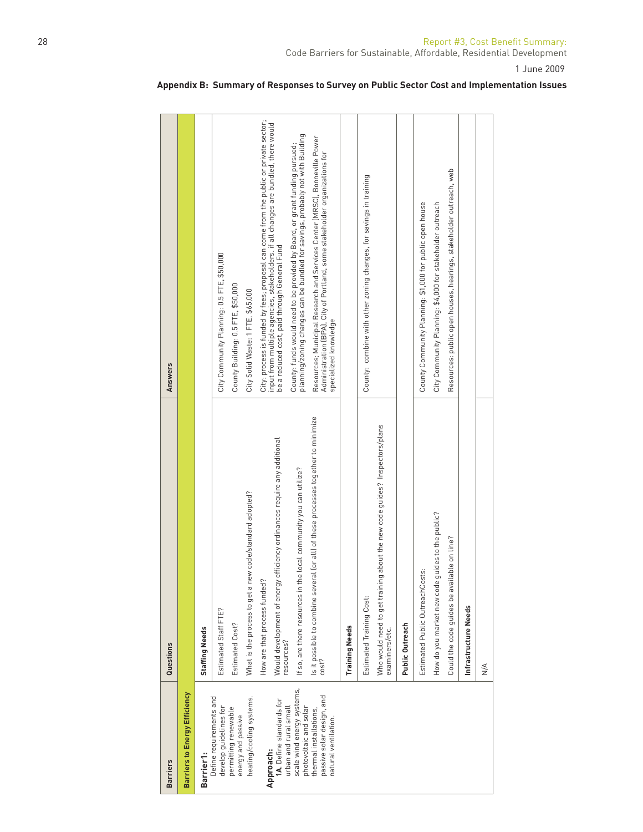| <b>Barriers</b>                                                               | Questions                                                                                                              | <b>Answers</b>                                                                                                                                                                                                               |
|-------------------------------------------------------------------------------|------------------------------------------------------------------------------------------------------------------------|------------------------------------------------------------------------------------------------------------------------------------------------------------------------------------------------------------------------------|
| Barriers to Energy Efficiency                                                 |                                                                                                                        |                                                                                                                                                                                                                              |
| Barrier1:                                                                     | <b>Staffing Needs</b>                                                                                                  |                                                                                                                                                                                                                              |
| Define requirements and<br>develop guidelines for                             | Estimated Staff FTE?                                                                                                   | City Community Planning: 0.5 FTE, \$50,000                                                                                                                                                                                   |
| permitting renewable<br>energy and passive                                    | Estimated Cost?                                                                                                        | County Building: 0.5 FTE, \$50,000                                                                                                                                                                                           |
| heating/cooling systems.                                                      | What is the process to get a new code/standard adopted?                                                                | City Solid Waste: 1 FTE, \$65,000                                                                                                                                                                                            |
| 1A. Define standards for<br>Approach:                                         | Would development of energy efficiency ordinances require any additional<br>resources?<br>How are that process funded? | City: process is funded by fees; proposal can come from the public or private sector;<br>input from multiple agencies, stakeholders. if all changes are bundled, there would<br>be a reduced cost, paid through General Fund |
| scale wind energy systems,<br>urban and rural small<br>photovoltaic and solar | If so, are there resources in the local community you can utilize?                                                     | planning/zoning changes can be bundled for savings, probably not with Building<br>County: funds would need to be provided by Board, or grant funding pursued;                                                                |
| passive solar design, and<br>thermal installations,<br>natural ventilation.   | Is it possible to combine several (or all) of these processes together to minimize<br>cost?                            | Resources; Municipal Research and Services Center (MRSC), Bonneville Power<br>Administration (BPA), City of Portland, some stakeholder organizations for<br>specialized knowledge                                            |
|                                                                               | <b>Training Needs</b>                                                                                                  |                                                                                                                                                                                                                              |
|                                                                               | Estimated Training Cost:                                                                                               | County: combine with other zoning changes, for savings in training                                                                                                                                                           |
|                                                                               | about the new code guides? Inspectors/plans<br>Who would need to get training<br>examiners/etc.                        |                                                                                                                                                                                                                              |
|                                                                               | Public Outreach                                                                                                        |                                                                                                                                                                                                                              |
|                                                                               | Estimated Public OutreachCosts:                                                                                        | County Community Planning: \$1,000 for public open house                                                                                                                                                                     |
|                                                                               | How do you market new code guides to the public?                                                                       | City Community Planning: \$4,000 for stakeholder outreach                                                                                                                                                                    |
|                                                                               | able on line?<br>Could the code guides be avail                                                                        | Resources: public open houses, hearings, stakeholder outreach, web                                                                                                                                                           |
|                                                                               | Infrastructure Needs                                                                                                   |                                                                                                                                                                                                                              |
|                                                                               | $\frac{\mathsf{A}}{\mathsf{N}}$                                                                                        |                                                                                                                                                                                                                              |
|                                                                               |                                                                                                                        |                                                                                                                                                                                                                              |

# **Appendix B: Summary of Responses to Survey on Public Sector Cost and Implementation Issues**

1 June 2009

Code Barriers for Sustainable, Affordable, Residential Development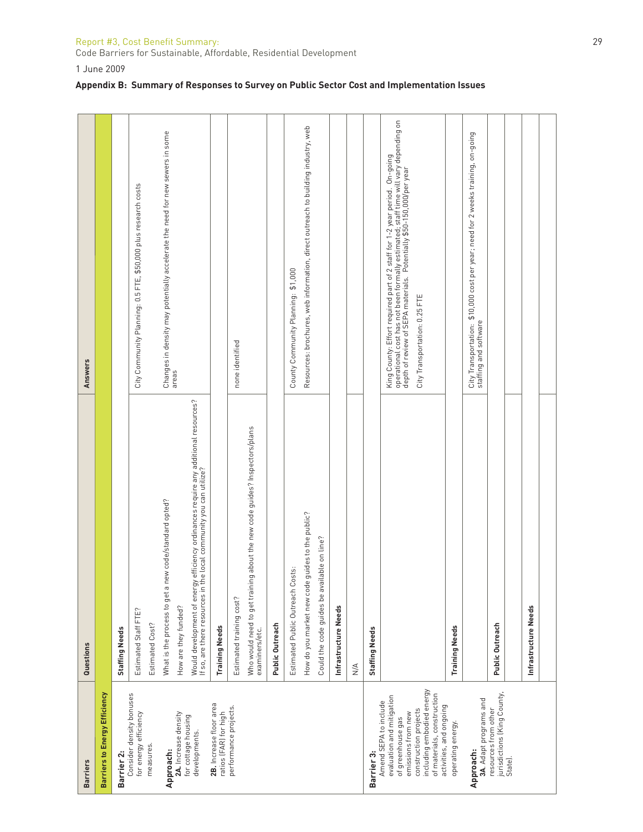# Report #3, Cost Benefit Summary: 29

Code Barriers for Sustainable, Affordable, Residential Development

1 June 2009

# **Appendix B: Summary of Responses to Survey on Public Sector Cost and Implementation Issues**

| <b>Answers</b>  |                                      |                       | City Community Planning: 0.5 FTE, \$50,000 plus research costs | Changes in density may potentially accelerate the need for new sewers in some<br>areas                                                                                                                                                        |                                                  | none identified          |                                                                                              |                 | County Community Planning: \$1,000 | Resources: brochures, web information, direct outreach to building industry, web |                                             |                      |               |                       | operational cost has not been formally estimated; staff time will vary depending on<br>depth of review of SEPA materials. Potentially \$50-150,000/per year<br>King County: Effort required part of 2 staff for 1-2 year period. On-going | City Transportation: 0.25 FTE                                                                               |                       | City Transportation: \$10,000 cost per year; need for 2 weeks training, on-going<br>staffing and software |                                                     |         |                      |  |
|-----------------|--------------------------------------|-----------------------|----------------------------------------------------------------|-----------------------------------------------------------------------------------------------------------------------------------------------------------------------------------------------------------------------------------------------|--------------------------------------------------|--------------------------|----------------------------------------------------------------------------------------------|-----------------|------------------------------------|----------------------------------------------------------------------------------|---------------------------------------------|----------------------|---------------|-----------------------|-------------------------------------------------------------------------------------------------------------------------------------------------------------------------------------------------------------------------------------------|-------------------------------------------------------------------------------------------------------------|-----------------------|-----------------------------------------------------------------------------------------------------------|-----------------------------------------------------|---------|----------------------|--|
| Questions       |                                      | <b>Staffing Needs</b> | Estimated Staff FTE?<br>Estimated Cost?                        | Would development of energy efficiency ordinances require any additional resources?<br>If so, are there resources in the local community you can utilize?<br>new code/standard opted?<br>What is the process to get a<br>How are they funded? | <b>Training Needs</b>                            | Estimated training cost? | Who would need to get training about the new code guides? Inspectors/plans<br>examiners/etc. | Public Outreach | Estimated Public Outreach Costs:   | How do you market new code guides to the public?                                 | Could the code guides be available on line? | Infrastructure Needs | $\frac{4}{2}$ | <b>Staffing Needs</b> |                                                                                                                                                                                                                                           |                                                                                                             | <b>Training Needs</b> |                                                                                                           | Public Outreach                                     |         | Infrastructure Needs |  |
| <b>Barriers</b> | <b>Barriers to Energy Efficiency</b> | Barrier 2:            | Consider density bonuses<br>for energy efficiency<br>measures. | 2A. Increase density<br>for cottage housing<br>developments.<br>Approach:                                                                                                                                                                     | 2B. Increase floor area<br>ratios (FAR) for high | performance projects.    |                                                                                              |                 |                                    |                                                                                  |                                             |                      |               | Barrier 3:            | evaluation and mitigation<br>Amend SEPA to include<br>emissions from new<br>of greenhouse gas                                                                                                                                             | including embodied energy<br>of materials, construction<br>activities, and ongoing<br>construction projects | operating energy.     | 3A. Adapt programs and<br>Approach:                                                                       | jurisdictions (King County,<br>resources from other | State). |                      |  |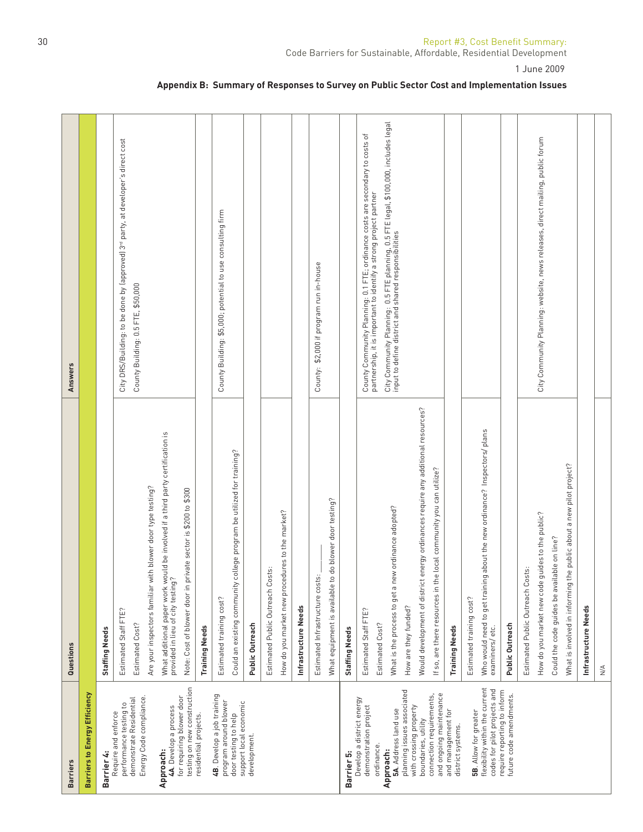| <b>Barriers</b>                                                                                       | Questions                                                                                                                                                                                                                                           | Answers                                                                                                                                            |
|-------------------------------------------------------------------------------------------------------|-----------------------------------------------------------------------------------------------------------------------------------------------------------------------------------------------------------------------------------------------------|----------------------------------------------------------------------------------------------------------------------------------------------------|
| Barriers to Energy Efficiency                                                                         |                                                                                                                                                                                                                                                     |                                                                                                                                                    |
| Barrier 4:                                                                                            | Staffing Needs                                                                                                                                                                                                                                      |                                                                                                                                                    |
| Energy Code compliance.<br>demonstrate Residential<br>performance testing to<br>Require and enforce   | Estimated Staff FTE?<br>Estimated Cost?                                                                                                                                                                                                             | City DRS/Building: to be done by (approved) 3 <sup>rd</sup> party, at developer's direct cost<br>County Building: 0.5 FTE, \$50,000                |
| testing on new construction<br>for requiring blower door<br>4A. Develop a process<br>Approach:        | What additional paper work would be involved if a third party certification is<br>provided in lieu of city testing?<br>Are your inspectors familiar with blower door type testing?<br>Note: Cost of blower door in private sector is \$200 to \$300 |                                                                                                                                                    |
| residential projects.                                                                                 | <b>Training Needs</b>                                                                                                                                                                                                                               |                                                                                                                                                    |
| 4B. Develop a job training<br>program around blower<br>support local economic<br>door testing to help | Could an existing community college program be utilized for training?<br>Estimated training cost?                                                                                                                                                   | County Building: \$5,000; potential to use consulting firm                                                                                         |
| development.                                                                                          | Public Outreach                                                                                                                                                                                                                                     |                                                                                                                                                    |
|                                                                                                       | ΰ<br>Estimated Public Outreach Cost                                                                                                                                                                                                                 |                                                                                                                                                    |
|                                                                                                       | How do you market new procedures to the market?                                                                                                                                                                                                     |                                                                                                                                                    |
|                                                                                                       | Infrastructure Needs                                                                                                                                                                                                                                |                                                                                                                                                    |
|                                                                                                       | Estimated Infrastructure costs:                                                                                                                                                                                                                     | County: \$2,000 if program run in-house                                                                                                            |
|                                                                                                       | do blower door testing?<br>What equipment is available to                                                                                                                                                                                           |                                                                                                                                                    |
| Barrier 5:                                                                                            | <b>Staffing Needs</b>                                                                                                                                                                                                                               |                                                                                                                                                    |
| Develop a district energy<br>demonstration project<br>ordinance.                                      | Estimated Staff FTE?                                                                                                                                                                                                                                | County Community Planning: 0.1 FTE; ordinance costs are secondary to costs of<br>partnership, it is important to identify a strong project partner |
| Approach:                                                                                             | Estimated Cost?                                                                                                                                                                                                                                     | City Community Planning: 0.5 FTE planning, 0.5 FTE legal, \$100,000, includes legal<br>input to define district and shared responsibilities        |
| planning issues associated<br>5A. Address land use                                                    | What is the process to get a new ordinance adopted?<br>How are they funded?                                                                                                                                                                         |                                                                                                                                                    |
| connection requirements,<br>with crossing property<br>boundaries, utility                             | Would development of district energy ordinances require any additional resources?<br>local community you can utilize?<br>If so, are there resources in the                                                                                          |                                                                                                                                                    |
| and ongoing maintenance<br>and management for<br>district systems.                                    | <b>Training Needs</b>                                                                                                                                                                                                                               |                                                                                                                                                    |
| 5B. Allow for greater                                                                                 | Estimated training cost?                                                                                                                                                                                                                            |                                                                                                                                                    |
| flexibility within the current<br>codes for pilot projects and                                        | Who would need to get training about the new ordinance? Inspectors/ plans<br>examiners/etc.                                                                                                                                                         |                                                                                                                                                    |
| require reporting to inform<br>future code amendments.                                                | Public Outreach                                                                                                                                                                                                                                     |                                                                                                                                                    |
|                                                                                                       | $\ddot{\mathbf{u}}$<br>Estimated Public Outreach Cost                                                                                                                                                                                               |                                                                                                                                                    |
|                                                                                                       | How do you market new code guides to the public?                                                                                                                                                                                                    | City Community Planning: website, news releases, direct mailing, public forum                                                                      |
|                                                                                                       | Could the code guides be available on line?                                                                                                                                                                                                         |                                                                                                                                                    |
|                                                                                                       | What is involved in informing the public about a new pilot project?                                                                                                                                                                                 |                                                                                                                                                    |
|                                                                                                       | Infrastructure Needs                                                                                                                                                                                                                                |                                                                                                                                                    |
|                                                                                                       | $\frac{4}{\sqrt{2}}$                                                                                                                                                                                                                                |                                                                                                                                                    |

# **Appendix B: Summary of Responses to Survey on Public Sector Cost and Implementation Issues**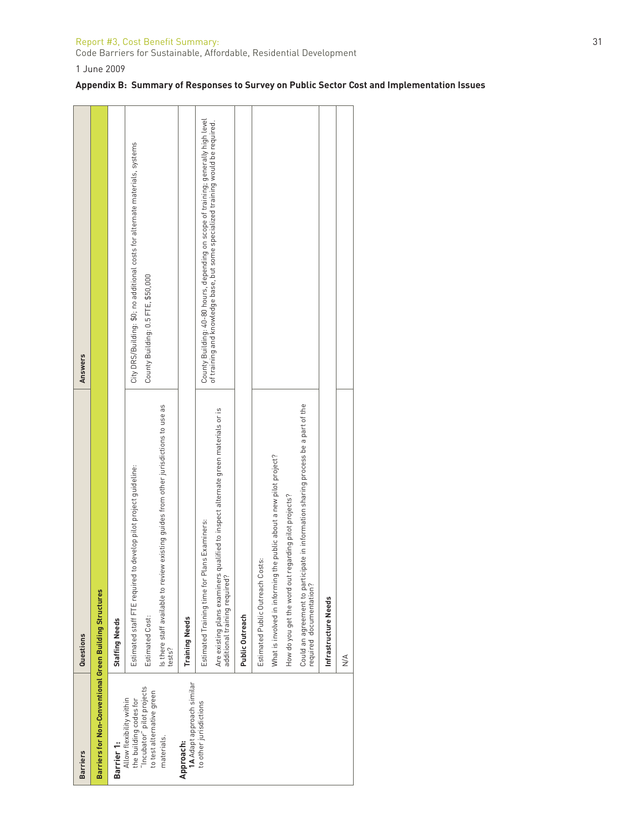#### Report #3, Cost Bene fi t Summary: 31

Code Barriers for Sustainable, Affordable, Residential Development

1 June 2009

| <b>Barriers</b>                                                                  | Questions                                                                                                          | <b>Answers</b>                                                                     |
|----------------------------------------------------------------------------------|--------------------------------------------------------------------------------------------------------------------|------------------------------------------------------------------------------------|
| Barriers for Non-Conventional Green Building Structures                          |                                                                                                                    |                                                                                    |
| Barrier 1:                                                                       | <b>Staffing Needs</b>                                                                                              |                                                                                    |
| the building codes for<br>"Incubator" pilot projects<br>Allow flexibility within | Estimated staff FTE required to develop pilot project guideline:                                                   | City DRS/Building: \$0; no additional costs for alternate materials, systems       |
| to test alternative green                                                        | Estimated Cost:                                                                                                    | County Building: 0.5 FTE, \$50,000                                                 |
| materials.                                                                       | Is there staff available to review existing guides from other jurisdictions to use as<br>tests?                    |                                                                                    |
| Approach:                                                                        | <b>Training Needs</b>                                                                                              |                                                                                    |
| <b>1A</b> Adapt approach similar<br>to other jurisdictions                       | Estimated Training time for Plans Examiners:                                                                       | County Building: 40-80 hours, depending on scope of training; generally high level |
|                                                                                  | Are existing plans examiners qualified to inspect alternate green materials or is<br>additional training required? | of training and knowledge base, but some specialized training would be required.   |
|                                                                                  | Public Outreach                                                                                                    |                                                                                    |
|                                                                                  | Costs:<br>Estimated Public Outreach                                                                                |                                                                                    |
|                                                                                  | What is involved in informing the public about a new pilot project?                                                |                                                                                    |
|                                                                                  | How do you get the word out regarding pilot projects?                                                              |                                                                                    |
|                                                                                  | Could an agreement to participate in information sharing process be a part of the<br>required documentation?       |                                                                                    |
|                                                                                  | Infrastructure Needs                                                                                               |                                                                                    |
|                                                                                  | $\frac{4}{2}$                                                                                                      |                                                                                    |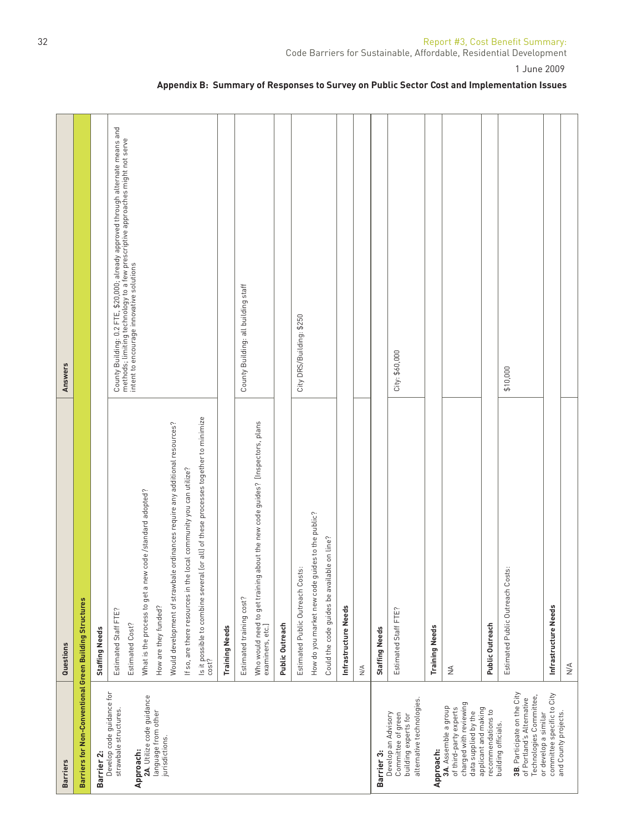| <b>Barriers</b>                                                                                  | Questions                                                                                        | Answers                                                                                                                   |
|--------------------------------------------------------------------------------------------------|--------------------------------------------------------------------------------------------------|---------------------------------------------------------------------------------------------------------------------------|
| Barriers for Non-Conventional Green Building Structures                                          |                                                                                                  |                                                                                                                           |
| Barrier 2:                                                                                       | <b>Staffing Needs</b>                                                                            |                                                                                                                           |
| Develop code guidance for                                                                        | Estimated Staff FTE?                                                                             |                                                                                                                           |
| strawbale structures.                                                                            |                                                                                                  | County Building: 0.2 FTE, \$20,000; already approved through alternate means and                                          |
| Approach:                                                                                        | Estimated Cost?                                                                                  | methods; limiting technology to a few prescriptive approaches might not serve<br>intent to encourage innovative solutions |
| 2A. Utilize code guidance                                                                        | What is the process to get a new code /standard adopted?                                         |                                                                                                                           |
| language from other<br>jurisdictions.                                                            | How are they funded?                                                                             |                                                                                                                           |
|                                                                                                  | ordinances require any additional resources?<br>Would development of strawbale                   |                                                                                                                           |
|                                                                                                  | If so, are there resources in the local community you can utilize?                               |                                                                                                                           |
|                                                                                                  | ls it possible to combine several (or all) of these processes together to minimize<br>cost?      |                                                                                                                           |
|                                                                                                  | <b>Training Needs</b>                                                                            |                                                                                                                           |
|                                                                                                  | Estimated training cost?                                                                         | County Building: all building staff                                                                                       |
|                                                                                                  | Who would need to get training about the new code guides? [Inspectors, plans<br>examiners, etc.] |                                                                                                                           |
|                                                                                                  | Public Outreach                                                                                  |                                                                                                                           |
|                                                                                                  | Estimated Public Outreach Costs:                                                                 | City DRS/Building: \$250                                                                                                  |
|                                                                                                  | How do you market new code guides to the public?                                                 |                                                                                                                           |
|                                                                                                  | Could the code guides be available on line?                                                      |                                                                                                                           |
|                                                                                                  | Infrastructure Needs                                                                             |                                                                                                                           |
|                                                                                                  | $\stackrel{\triangle}{\geq}$                                                                     |                                                                                                                           |
| Barrier 3:                                                                                       | <b>Staffing Needs</b>                                                                            |                                                                                                                           |
| alternative technologies.<br>Develop an Advisory<br>Committee of green<br>building experts for   | Estimated Staff FTE?                                                                             | City: \$60,000                                                                                                            |
| Approach:                                                                                        | <b>Training Needs</b>                                                                            |                                                                                                                           |
| charged with reviewing<br>3A. Assemble a group<br>of third-party experts<br>data supplied by the | $\frac{4}{2}$                                                                                    |                                                                                                                           |
| applicant and making<br>recommendations to                                                       | Public Outreach                                                                                  |                                                                                                                           |
| building officials.                                                                              | Estimated Public Outreach Costs:                                                                 | \$10,000                                                                                                                  |
| 3B. Participate on the City<br>Technologies Committee,<br>of Portland's Alternative              |                                                                                                  |                                                                                                                           |
| committee specific to City<br>or develop a similar                                               | Infrastructure Needs                                                                             |                                                                                                                           |
| and County projects.                                                                             | $\stackrel{\triangle}{\geq}$                                                                     |                                                                                                                           |

# **Appendix B: Summary of Responses to Survey on Public Sector Cost and Implementation Issues**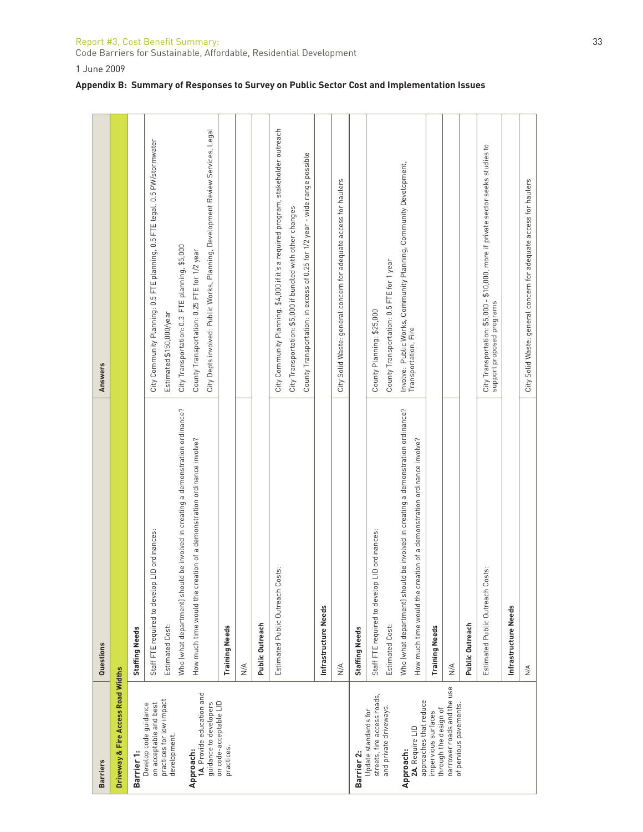| Report #3, Cost Benefit Summary:                                   |  |
|--------------------------------------------------------------------|--|
| Code Barriers for Sustainable, Affordable, Residential Development |  |

1 June 2009

|  |  |  |  |  |  | Appendix B: Summary of Responses to Survey on Public Sector Cost and Implementation Issues |  |
|--|--|--|--|--|--|--------------------------------------------------------------------------------------------|--|
|--|--|--|--|--|--|--------------------------------------------------------------------------------------------|--|

| <b>Barriers</b>                                      | Questions                                                                           | <b>Answers</b>                                                                                                |
|------------------------------------------------------|-------------------------------------------------------------------------------------|---------------------------------------------------------------------------------------------------------------|
|                                                      |                                                                                     |                                                                                                               |
| Driveway & Fire Access Road Widths                   |                                                                                     |                                                                                                               |
| Barrier 1:                                           | <b>Staffing Needs</b>                                                               |                                                                                                               |
| Develop code guidance<br>on acceptable and best      | Staff FTE required to develop LID ordinances:                                       | City Community Planning: 0.5 FTE planning, 0.5 FTE legal, 0.5 PW/stormwater                                   |
| practices for low impact<br>development.             | Estimated Cost:                                                                     | Estimated \$150,000/year                                                                                      |
|                                                      | ould be involved in creating a demonstration ordinance?<br>Who (what department) sh | City Transportation: 0.3 FTE planning, \$5,000                                                                |
| 1A. Provide education and<br>Approach:               | creation of a demonstration ordinance involve?<br>How much time would the           | County Transportation: 0.25 FTE for 1/2 year                                                                  |
| guidance to developers                               |                                                                                     | City Depts involved: Public Works, Planning, Development Review Services, Legal                               |
| on code-acceptable LID<br>practices.                 | <b>Training Needs</b>                                                               |                                                                                                               |
|                                                      | $\leq$                                                                              |                                                                                                               |
|                                                      | Public Outreach                                                                     |                                                                                                               |
|                                                      | Costs:<br>Estimated Public Outreach                                                 | City Community Planning: \$4,000 if it's a required program, stakeholder outreach                             |
|                                                      |                                                                                     | City Transportation: \$5,000 if bundled with other changes                                                    |
|                                                      |                                                                                     | County Transportation: in excess of 0.25 for 1/2 year - wide range possible                                   |
|                                                      | Infrastructure Needs                                                                |                                                                                                               |
|                                                      | $\frac{4}{2}$                                                                       | City Solid Waste: general concern for adequate access for haulers                                             |
| Barrier 2:                                           | <b>Staffing Needs</b>                                                               |                                                                                                               |
| streets, fire access roads,<br>Update standards for  | Staff FTE required to develop LID ordinances:                                       | County Planning: \$25,000                                                                                     |
| and private driveways.                               | Estimated Cost:                                                                     | County Transportation: 0.5 FTE for 1 year                                                                     |
| Approach:                                            | ould be involved in creating a demonstration ordinance?<br>Who (what department) sh | Involve: Public Works, Community Planning, Community Development,<br>Transportation, Fire                     |
| approaches that reduce<br>2A. Require LID            | creation of a demonstration ordinance involve?<br>How much time would the           |                                                                                                               |
| through the design of<br>impervious surfaces         | <b>Training Needs</b>                                                               |                                                                                                               |
| narrower roads and the use<br>of pervious pavements. | $\frac{4}{2}$                                                                       |                                                                                                               |
|                                                      | Public Outreach                                                                     |                                                                                                               |
|                                                      | Costs:<br>Estimated Public Outreach                                                 | City Transportation: \$5,000 - \$10,000, more if private sector seeks studies to<br>support proposed programs |
|                                                      | Infrastructure Needs                                                                |                                                                                                               |
|                                                      | $\frac{4}{2}$                                                                       | City Solid Waste: general concern for adequate access for haulers                                             |
|                                                      |                                                                                     |                                                                                                               |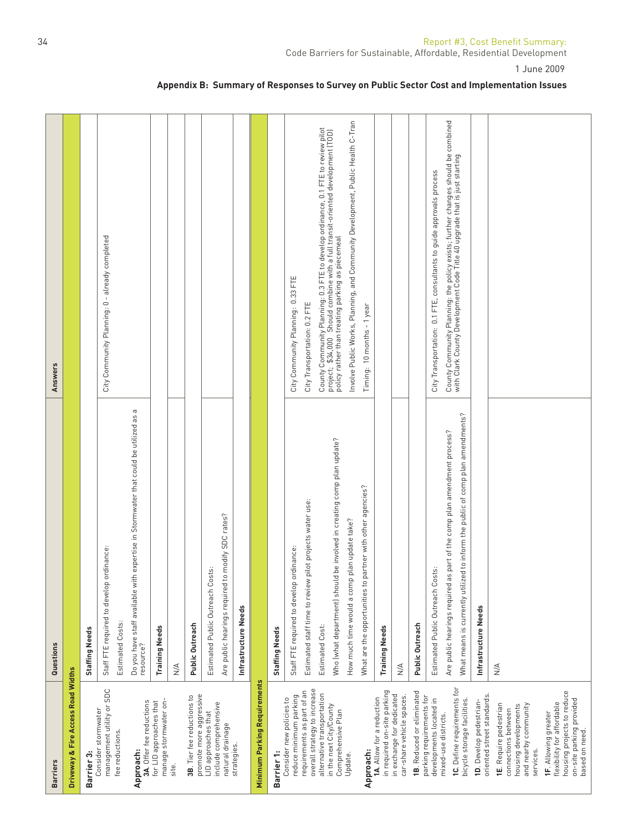| <b>Barriers</b>                                                                                                               | Questions                                                                                                                          | Answers                                                                                                                                                             |
|-------------------------------------------------------------------------------------------------------------------------------|------------------------------------------------------------------------------------------------------------------------------------|---------------------------------------------------------------------------------------------------------------------------------------------------------------------|
| Driveway & Fire Access Road Widths                                                                                            |                                                                                                                                    |                                                                                                                                                                     |
| Barrier 3:                                                                                                                    | Staffing Needs                                                                                                                     |                                                                                                                                                                     |
| management utility or SDC<br>Consider stormwater<br>fee reductions.                                                           | Staff FTE required to develop ordinance:                                                                                           | City Community Planning: 0 - already completed                                                                                                                      |
| Approach:                                                                                                                     | $\, \sigma$<br>Do you have staff available with expertise in Stormwater that could be utilized as<br>resource?<br>Estimated Costs: |                                                                                                                                                                     |
| manage stormwater on-<br>3A. Offer fee reductions<br>for LID approaches that                                                  | <b>Training Needs</b>                                                                                                              |                                                                                                                                                                     |
| site.                                                                                                                         | $\frac{4}{2}$                                                                                                                      |                                                                                                                                                                     |
| promote more aggressive<br>3B. Tier fee reductions to                                                                         | Public Outreach                                                                                                                    |                                                                                                                                                                     |
| include comprehensive<br>LID approaches that                                                                                  | Estimated Public Outreach Costs:                                                                                                   |                                                                                                                                                                     |
| natural drainage                                                                                                              | Are public hearings required to modify SDC rates?                                                                                  |                                                                                                                                                                     |
| strategies.                                                                                                                   | Infrastructure Needs                                                                                                               |                                                                                                                                                                     |
| Minimum Parking Requirements                                                                                                  |                                                                                                                                    |                                                                                                                                                                     |
| Barrier 1:                                                                                                                    | Staffing Needs                                                                                                                     |                                                                                                                                                                     |
| reduce minimum parking<br>Consider new policies to                                                                            | inance:<br>Staff FTE required to develop ordi                                                                                      | City Community Planning: 0.33 FTE                                                                                                                                   |
| overall strategy to increase<br>requirements as part of an                                                                    | Estimated staff time to review pilot projects water use:                                                                           | City Transportation: 0.2 FTE                                                                                                                                        |
| alternative transportation<br>in the next City/County                                                                         | Estimated Cost:                                                                                                                    | County Community Planning: 0.3 FTE to develop ordinance, 0.1 FTE to review pilot<br>project; \$34,000 Should combine with a full transit-oriented development (TOD) |
| Comprehensive Plan                                                                                                            | Who (what department) should be involved in creating comp plan update?                                                             | policy rather than treating parking as piecemeal                                                                                                                    |
| Update.                                                                                                                       | How much time would a comp plan update take?                                                                                       | Involve Public Works, Planning, and Community Development, Public Health C-Tran                                                                                     |
| Approach:                                                                                                                     | What are the opportunities to partner with other agencies?                                                                         | Timing: 10 months - 1 year                                                                                                                                          |
| in required on-site parking<br>1A. Allow for a reduction                                                                      | <b>Training Needs</b>                                                                                                              |                                                                                                                                                                     |
| in exchange for dedicated<br>car-share vehicle spaces.                                                                        | $\frac{4}{2}$                                                                                                                      |                                                                                                                                                                     |
| 1B. Reduced or eliminated<br>parking requirements for                                                                         | Public Outreach                                                                                                                    |                                                                                                                                                                     |
| developments located in                                                                                                       | Estimated Public Outreach Costs:                                                                                                   | City Transportation: 0.1 FTE, consultants to guide approvals process                                                                                                |
| mixed-use districts.                                                                                                          | Are public hearings required as part of the comp plan amendment process?                                                           | County Community Planning: the policy exists; further changes should be combined<br>with Clark County Development Code Title 40 upgrade that is just starting       |
| 1C. Define requirements for<br>bicycle storage facilities.                                                                    | What means is currently utilized to inform the public of comp plan amendments?                                                     |                                                                                                                                                                     |
| oriented street standards.<br>1D. Develop pedestrian-                                                                         | Infrastructure Needs                                                                                                               |                                                                                                                                                                     |
| <b>1E.</b> Require pedestrian<br>and nearby community<br>housing developments<br>connections between<br>services.             | $\stackrel{\triangle}{\geq}$                                                                                                       |                                                                                                                                                                     |
| housing projects to reduce<br>on-site parking provided<br>flexibility for affordable<br>1F. Allowing greater<br>based on need |                                                                                                                                    |                                                                                                                                                                     |

# **Appendix B: Summary of Responses to Survey on Public Sector Cost and Implementation Issues**

1 June 2009

Code Barriers for Sustainable, Affordable, Residential Development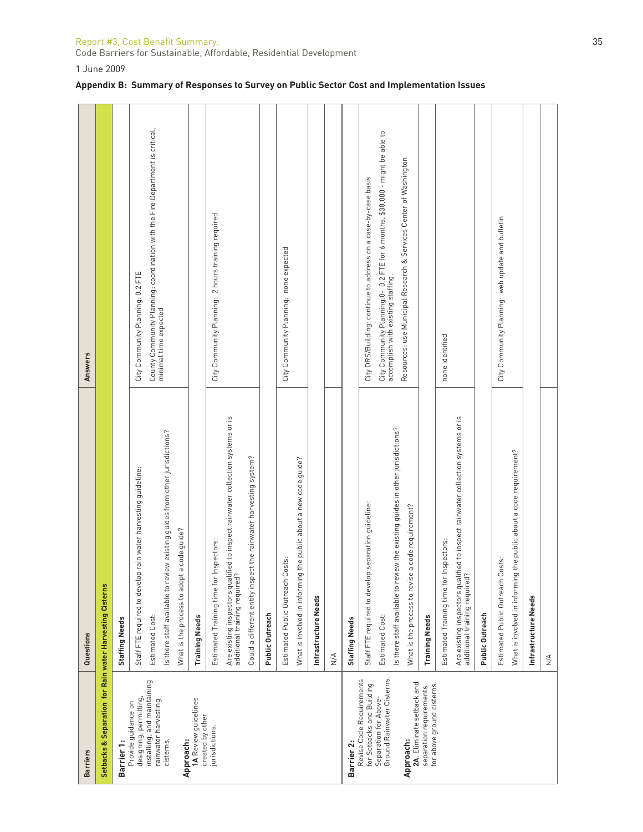### Report #3, Cost Benefit Summary: 35

Code Barriers for Sustainable, Affordable, Residential Development

1 June 2009

| <b>Barriers</b>                                                                                              | Questions                                                                                                                                                   | Answers                                                                                                                                                                              |
|--------------------------------------------------------------------------------------------------------------|-------------------------------------------------------------------------------------------------------------------------------------------------------------|--------------------------------------------------------------------------------------------------------------------------------------------------------------------------------------|
| Setbacks & Separation for Rain water Harvesting Cisterns                                                     |                                                                                                                                                             |                                                                                                                                                                                      |
| Barrier 1:                                                                                                   | <b>Staffing Needs</b>                                                                                                                                       |                                                                                                                                                                                      |
| designing, permitting,<br>Provide guidance on                                                                | Staff FTE required to develop rain water harvesting guideline:                                                                                              | City Community Planning: 0.2 FTE                                                                                                                                                     |
| installing, and maintaining<br>rainwater harvesting                                                          | Estimated Cost:                                                                                                                                             | County Community Planning: coordination with the Fire Department is critical,<br>minimal time expected                                                                               |
| cisterns.                                                                                                    | iew existing guides from other jurisdictions?<br>Is there staff available to rev                                                                            |                                                                                                                                                                                      |
| Approach:                                                                                                    | What is the process to adopt a code guide?                                                                                                                  |                                                                                                                                                                                      |
| 1A Review guidelines<br>created by other                                                                     | <b>Training Needs</b>                                                                                                                                       |                                                                                                                                                                                      |
| jurisdictions.                                                                                               | Estimated Training time for Inspectors:                                                                                                                     | City Community Planning: 2 hours training required                                                                                                                                   |
|                                                                                                              | Are existing inspectors qualified to inspect rainwater collection systems or is<br>additional training required?                                            |                                                                                                                                                                                      |
|                                                                                                              | Could a different entity inspect the rainwater harvesting system?                                                                                           |                                                                                                                                                                                      |
|                                                                                                              | Public Outreach                                                                                                                                             |                                                                                                                                                                                      |
|                                                                                                              | Estimated Public Outreach Costs:                                                                                                                            | City Community Planning: none expected                                                                                                                                               |
|                                                                                                              | the public about a new code guide?<br>What is involved in informing                                                                                         |                                                                                                                                                                                      |
|                                                                                                              | Infrastructure Needs                                                                                                                                        |                                                                                                                                                                                      |
|                                                                                                              | $\frac{4}{2}$                                                                                                                                               |                                                                                                                                                                                      |
| Barrier 2:                                                                                                   | <b>Staffing Needs</b>                                                                                                                                       |                                                                                                                                                                                      |
| Ground Rainwater Cisterns.<br>Revise Code Requirements<br>for Setbacks and Building<br>Separation for Above- | Is there staff available to review the existing guides in other jurisdictions?<br>separation guideline:<br>Staff FTE required to develop<br>Estimated Cost: | City Community Planning:0– 0.2 FTE for 6 months, \$30,000 - might be able to<br>accomplish with existing staffing.<br>City DRS/Building: continue to address on a case-by-case basis |
| 2A. Eliminate setback and<br>Approach:                                                                       | a code requirement?<br>What is the process to revise                                                                                                        | Resources: use Municipal Research & Services Center of Washington                                                                                                                    |
| for above ground cisterns.<br>separation requirements                                                        | <b>Training Needs</b>                                                                                                                                       |                                                                                                                                                                                      |
|                                                                                                              | Estimated Training time for Inspectors:                                                                                                                     | none identified                                                                                                                                                                      |
|                                                                                                              | Are existing inspectors qualified to inspect rainwater collection systems or is<br>additional training required?                                            |                                                                                                                                                                                      |
|                                                                                                              | Public Outreach                                                                                                                                             |                                                                                                                                                                                      |
|                                                                                                              | Estimated Public Outreach Costs:                                                                                                                            | City Community Planning: web update and bulletin                                                                                                                                     |
|                                                                                                              | the public about a code requirement?<br>What is involved in informing                                                                                       |                                                                                                                                                                                      |
|                                                                                                              | Infrastructure Needs                                                                                                                                        |                                                                                                                                                                                      |
|                                                                                                              | $\stackrel{\triangle}{\geq}$                                                                                                                                |                                                                                                                                                                                      |
|                                                                                                              |                                                                                                                                                             |                                                                                                                                                                                      |

# **Appendix B: Summary of Responses to Survey on Public Sector Cost and Implementation Issues**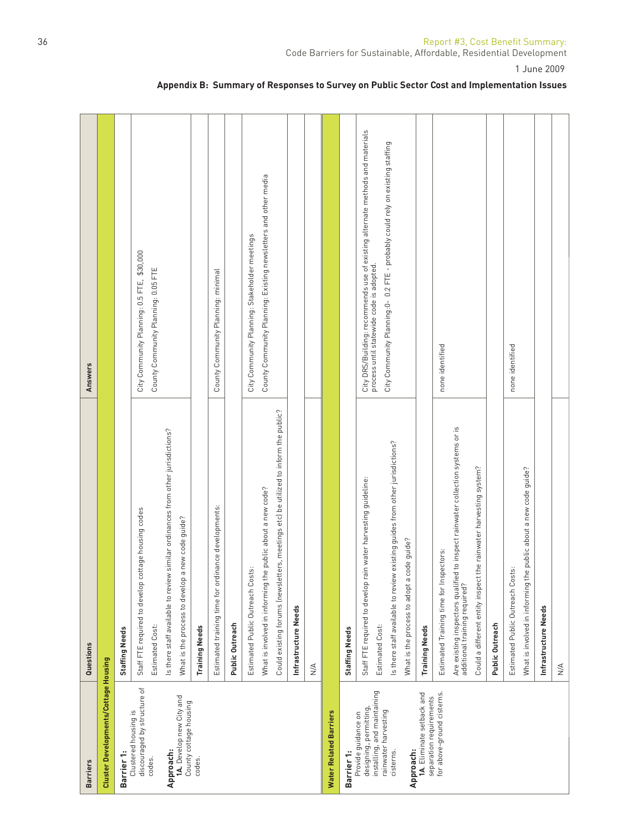| <b>Barriers</b>                                      | Questions                                                                                                           | Answers                                                                                                                   |
|------------------------------------------------------|---------------------------------------------------------------------------------------------------------------------|---------------------------------------------------------------------------------------------------------------------------|
| Cluster Developments/Cottage Housing                 |                                                                                                                     |                                                                                                                           |
| Barrier 1:                                           | <b>Staffing Needs</b>                                                                                               |                                                                                                                           |
| discouraged by structure of<br>Clustered housing is  | Staff FTE required to develop cottage housing codes                                                                 | City Community Planning: 0.5 FTE, \$30,000                                                                                |
| codes.                                               | Estimated Cost:                                                                                                     | County Community Planning: 0.05 FTE                                                                                       |
| Approach:                                            | similar ordinances from other jurisdictions?<br>Is there staff available to review                                  |                                                                                                                           |
| 1A. Develop new City and<br>County cottage housing   | new code guide?<br>What is the process to develop a                                                                 |                                                                                                                           |
| codes.                                               | <b>Training Needs</b>                                                                                               |                                                                                                                           |
|                                                      | Estimated training time for ordinance developments:                                                                 | County Community Planning: minimal                                                                                        |
|                                                      | Public Outreach                                                                                                     |                                                                                                                           |
|                                                      | Estimated Public Outreach Costs:                                                                                    | City Community Planning: Stakeholder meetings                                                                             |
|                                                      | What is involved in informing the public about a new code?                                                          | County Community Planning: Existing newsletters and other media                                                           |
|                                                      | Could existing forums (newsletters, meetings etc) be utilized to inform the public?                                 |                                                                                                                           |
|                                                      | Infrastructure Needs                                                                                                |                                                                                                                           |
|                                                      | $\stackrel{\triangle}{\geq}$                                                                                        |                                                                                                                           |
| Water Related Barriers                               |                                                                                                                     |                                                                                                                           |
| Barrier 1:                                           | <b>Staffing Needs</b>                                                                                               |                                                                                                                           |
| designing, permitting,<br>Provide guidance on        | Staff FTE required to develop rain water harvesting guideline:                                                      | City DRS/Building: recommends use of existing alternate methods and materials<br>process until statewide code is adopted. |
| installing, and maintaining<br>rainwater harvesting  | Estimated Cost:                                                                                                     |                                                                                                                           |
| cisterns.                                            | existing guides from other jurisdictions?<br>Is there staff available to review                                     | City Community Planning:0- 0.2 FTE - probably could rely on existing staffing                                             |
| Approach:                                            | What is the process to adopt a code guide?                                                                          |                                                                                                                           |
| 1A. Eliminate setback and<br>separation requirements | <b>Training Needs</b>                                                                                               |                                                                                                                           |
| for above-ground cisterns.                           | ectors:<br>Estimated Training time for Insp                                                                         | none identified                                                                                                           |
|                                                      | to inspect rainwater collection systems or is<br>Are existing inspectors qualified<br>additional training required? |                                                                                                                           |
|                                                      | Could a different entity inspect the rainwater harvesting system?                                                   |                                                                                                                           |
|                                                      | Public Outreach                                                                                                     |                                                                                                                           |
|                                                      | Estimated Public Outreach Costs:                                                                                    | none identified                                                                                                           |
|                                                      | What is involved in informing the public about a new code guide?                                                    |                                                                                                                           |
|                                                      | Infrastructure Needs                                                                                                |                                                                                                                           |
|                                                      | $\frac{4}{2}$                                                                                                       |                                                                                                                           |

# **Appendix B: Summary of Responses to Survey on Public Sector Cost and Implementation Issues**

Code Barriers for Sustainable, Affordable, Residential Development

1 June 2009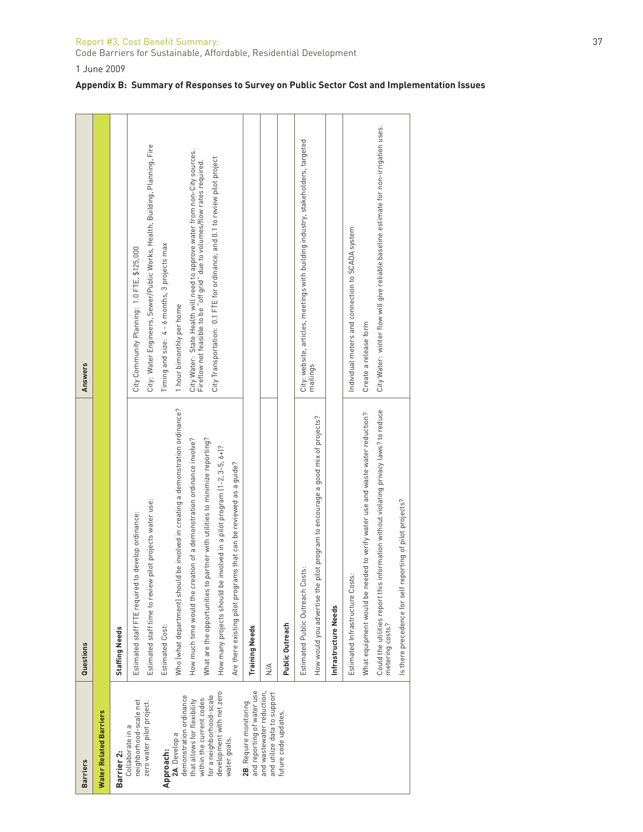#### Report #3, Cost Bene fi t Summary: 37

Code Barriers for Sustainable, Affordable, Residential Development

1 June 2009

| <b>Barriers</b>                                          | Questions                                                                                                | <b>Answers</b>                                                                        |
|----------------------------------------------------------|----------------------------------------------------------------------------------------------------------|---------------------------------------------------------------------------------------|
| Water Related Barriers                                   |                                                                                                          |                                                                                       |
| Barrier 2:                                               | <b>Staffing Needs</b>                                                                                    |                                                                                       |
| neighborhood-scale net<br>Collaborate in a               | Estimated staff FTE required to develop ordinance:                                                       | City Community Planning: 1.0 FTE, \$125,000                                           |
| zero water pilot project.                                | Estimated staff time to review pilot projects water use:                                                 | City: Water Engineers, Sewer/Public Works, Health, Building, Planning, Fire           |
| Approach:                                                | Estimated Cost:                                                                                          | Timing and size: 4 - 6 months, 3 projects max                                         |
| demonstration ordinance<br>2A. Develop a                 | Who (what department) should be involved in creating a demonstration ordinance?                          | 1 hour bimonthly per home                                                             |
| that allows for flexibility                              | How much time would the creation of a demonstration ordinance involve?                                   | City Water: State Health will need to approve water from non-City sources.            |
| for a neighborhood-scale<br>within the current codes     | What are the opportunities to partner with utilities to minimize reporting?                              | Fireflow not feasible to be "off grid" due to volumes/flow rates required.            |
| development with net zero                                | How many projects should be involved in a pilot program (1-2, 3-5, 6+)?                                  | City Transportation: 0.1 FTE for ordinance, and 0.1 to review pilot project           |
| water goals.                                             | Are there existing pilot programs that can be reviewed as a guide?                                       |                                                                                       |
| and reporting of water use<br>2B. Require monitoring     | <b>Training Needs</b>                                                                                    |                                                                                       |
| and wastewater reduction,<br>and utilize data to support | $\frac{4}{2}$                                                                                            |                                                                                       |
| future code updates.                                     | Public Outreach                                                                                          |                                                                                       |
|                                                          | Costs:<br>Estimated Public Outreach                                                                      | City: website, articles, meetings with building industry, stakeholders, targeted      |
|                                                          | How would you advertise the pilot program to encourage a good mix of projects?                           | mailings                                                                              |
|                                                          | Infrastructure Needs                                                                                     |                                                                                       |
|                                                          | Estimated Infrastructure Costs:                                                                          | Individual meters and connection to SCADA system                                      |
|                                                          | needed to verify water use and waste water reduction?<br>What equipment would be                         | Create a release form                                                                 |
|                                                          | Could the utilities report this information without violating privacy laws? to reduce<br>metering costs? | City Water: winter flow will give reliable baseline estimate for non-irrigation uses. |
|                                                          | freporting of pilot projects?<br>Is there precedence for sel                                             |                                                                                       |
|                                                          |                                                                                                          |                                                                                       |

### **Appendix B: Summary of Responses to Survey on Public Sector Cost and Implementation Issues**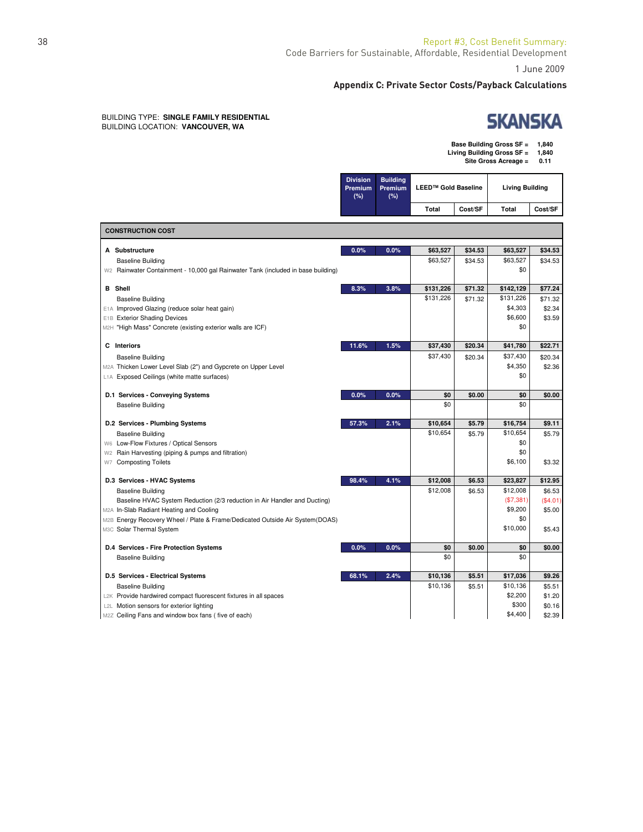1 June 2009

٦

#### **Appendix C: Private Sector Costs/Payback Calculations**

#### BUILDING TYPE: **SINGLE FAMILY RESIDENTIAL** BUILDING LOCATION: **VANCOUVER, WA**

# **SKANSKA**

| Base Building Gross SF =   | 1.840 |
|----------------------------|-------|
| Living Building Gross SF = | 1.840 |
| Site Gross Acreage =       | 0.11  |
|                            |       |

|                                                                                  | <b>Division</b><br>Premium<br>(%) | <b>Building</b><br>Premium<br>(%) | <b>LEED™ Gold Baseline</b> |         | <b>Living Building</b> |          |
|----------------------------------------------------------------------------------|-----------------------------------|-----------------------------------|----------------------------|---------|------------------------|----------|
|                                                                                  |                                   |                                   | <b>Total</b>               | Cost/SF | Total                  | Cost/SF  |
| <b>CONSTRUCTION COST</b>                                                         |                                   |                                   |                            |         |                        |          |
|                                                                                  |                                   |                                   |                            |         |                        |          |
| A Substructure                                                                   | 0.0%                              | 0.0%                              | \$63,527                   | \$34.53 | \$63,527               | \$34.53  |
| <b>Baseline Building</b>                                                         |                                   |                                   | \$63.527                   | \$34.53 | \$63.527               | \$34.53  |
| W2 Rainwater Containment - 10,000 gal Rainwater Tank (included in base building) |                                   |                                   |                            |         | \$0                    |          |
| <b>B</b> Shell                                                                   | 8.3%                              | 3.8%                              | \$131,226                  | \$71.32 | \$142,129              | \$77.24  |
| <b>Baseline Building</b>                                                         |                                   |                                   | \$131,226                  | \$71.32 | \$131,226              | \$71.32  |
| E1A Improved Glazing (reduce solar heat gain)                                    |                                   |                                   |                            |         | \$4,303                | \$2.34   |
| <b>Exterior Shading Devices</b><br>E <sub>1</sub> B                              |                                   |                                   |                            |         | \$6,600                | \$3.59   |
| M2H "High Mass" Concrete (existing exterior walls are ICF)                       |                                   |                                   |                            |         | \$0                    |          |
| C Interiors                                                                      | 11.6%                             | 1.5%                              | \$37,430                   | \$20.34 | \$41,780               | \$22.71  |
| <b>Baseline Building</b>                                                         |                                   |                                   | \$37,430                   | \$20.34 | \$37,430               | \$20.34  |
| M2A Thicken Lower Level Slab (2") and Gypcrete on Upper Level                    |                                   |                                   |                            |         | \$4,350                | \$2.36   |
| L1A Exposed Ceilings (white matte surfaces)                                      |                                   |                                   |                            |         | \$0                    |          |
| D.1 Services - Conveying Systems                                                 | 0.0%                              | 0.0%                              | \$0                        | \$0.00  | \$0                    | \$0.00   |
| <b>Baseline Building</b>                                                         |                                   |                                   | \$0                        |         | \$0                    |          |
| D.2 Services - Plumbing Systems                                                  | 57.3%                             | 2.1%                              | \$10,654                   | \$5.79  | \$16,754               | \$9.11   |
| <b>Baseline Building</b>                                                         |                                   |                                   | \$10,654                   | \$5.79  | \$10,654               | \$5.79   |
| W6 Low-Flow Fixtures / Optical Sensors                                           |                                   |                                   |                            |         | \$0                    |          |
| Rain Harvesting (piping & pumps and filtration)<br>W2                            |                                   |                                   |                            |         | \$0                    |          |
| <b>Composting Toilets</b><br>W7                                                  |                                   |                                   |                            |         | \$6,100                | \$3.32   |
| D.3 Services - HVAC Systems                                                      | 98.4%                             | 4.1%                              | \$12,008                   | \$6.53  | \$23,827               | \$12.95  |
| <b>Baseline Building</b>                                                         |                                   |                                   | \$12,008                   | \$6.53  | \$12,008               | \$6.53   |
| Baseline HVAC System Reduction (2/3 reduction in Air Handler and Ducting)        |                                   |                                   |                            |         | (\$7,381)              | (\$4.01) |
| M2A In-Slab Radiant Heating and Cooling                                          |                                   |                                   |                            |         | \$9,200                | \$5.00   |
| M2B Energy Recovery Wheel / Plate & Frame/Dedicated Outside Air System(DOAS)     |                                   |                                   |                            |         | \$0                    |          |
| M3C Solar Thermal System                                                         |                                   |                                   |                            |         | \$10,000               | \$5.43   |
| D.4 Services - Fire Protection Systems                                           | 0.0%                              | 0.0%                              | \$0                        | \$0.00  | \$0                    | \$0.00   |
| <b>Baseline Building</b>                                                         |                                   |                                   | \$0                        |         | \$0                    |          |
| D.5 Services - Electrical Systems                                                | 68.1%                             | 2.4%                              | \$10,136                   | \$5.51  | \$17,036               | \$9.26   |
| <b>Baseline Building</b>                                                         |                                   |                                   | \$10,136                   | \$5.51  | \$10,136               | \$5.51   |
| L2K Provide hardwired compact fluorescent fixtures in all spaces                 |                                   |                                   |                            |         | \$2,200                | \$1.20   |
| L2L Motion sensors for exterior lighting                                         |                                   |                                   |                            |         | \$300                  | \$0.16   |
| M2Z Ceiling Fans and window box fans (five of each)                              |                                   |                                   |                            |         | \$4,400                | \$2.39   |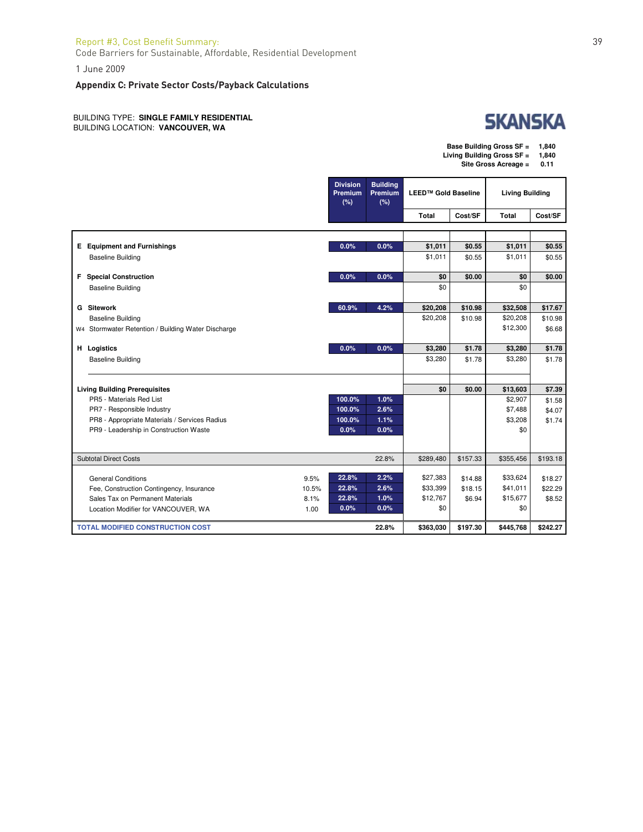### Report #3, Cost Benefit Summary: 39

Code Barriers for Sustainable, Affordable, Residential Development

1 June 2009

#### **Appendix C: Private Sector Costs/Payback Calculations**

BUILDING TYPE: **SINGLE FAMILY RESIDENTIAL** BUILDING LOCATION: **VANCOUVER, WA**



٦

| Base Building Gross SF =   | 1,840 |
|----------------------------|-------|
| Living Building Gross SF = | 1,840 |

T

**Site Gross Acreage = 0.11**

|                                                    |       | <b>Division</b><br>Premium<br>(%) | <b>Building</b><br>Premium<br>(%) | <b>LEED™ Gold Baseline</b> |          | <b>Living Building</b> |          |
|----------------------------------------------------|-------|-----------------------------------|-----------------------------------|----------------------------|----------|------------------------|----------|
|                                                    |       |                                   |                                   | Total                      | Cost/SF  | <b>Total</b>           | Cost/SF  |
|                                                    |       |                                   |                                   |                            |          |                        |          |
|                                                    |       |                                   |                                   |                            |          |                        |          |
| <b>E</b> Equipment and Furnishings                 |       | 0.0%                              | 0.0%                              | \$1,011                    | \$0.55   | \$1,011                | \$0.55   |
| <b>Baseline Building</b>                           |       |                                   |                                   | \$1,011                    | \$0.55   | \$1,011                | \$0.55   |
| <b>F</b> Special Construction                      |       | 0.0%                              | 0.0%                              | \$0                        | \$0.00   | \$0                    | \$0.00   |
| <b>Baseline Building</b>                           |       |                                   |                                   | \$0                        |          | \$0                    |          |
| <b>G</b> Sitework                                  |       | 60.9%                             | 4.2%                              | \$20,208                   | \$10.98  | \$32,508               | \$17.67  |
| <b>Baseline Building</b>                           |       |                                   |                                   | \$20,208                   | \$10.98  | \$20,208               | \$10.98  |
| W4 Stormwater Retention / Building Water Discharge |       |                                   |                                   |                            |          | \$12,300               | \$6.68   |
| H Logistics                                        |       | 0.0%                              | 0.0%                              | \$3,280                    | \$1.78   | \$3,280                | \$1.78   |
| <b>Baseline Building</b>                           |       |                                   |                                   | \$3,280                    | \$1.78   | \$3,280                | \$1.78   |
|                                                    |       |                                   |                                   |                            |          |                        |          |
| <b>Living Building Prerequisites</b>               |       |                                   |                                   | \$0                        | \$0.00   | \$13,603               | \$7.39   |
| PR5 - Materials Red List                           |       | 100.0%                            | 1.0%                              |                            |          | \$2,907                | \$1.58   |
| PR7 - Responsible Industry                         |       | 100.0%                            | 2.6%                              |                            |          | \$7,488                | \$4.07   |
| PR8 - Appropriate Materials / Services Radius      |       | 100.0%                            | 1.1%                              |                            |          | \$3,208                | \$1.74   |
| PR9 - Leadership in Construction Waste             |       | 0.0%                              | 0.0%                              |                            |          | \$0                    |          |
|                                                    |       |                                   |                                   |                            |          |                        |          |
| <b>Subtotal Direct Costs</b>                       |       |                                   | 22.8%                             | \$289,480                  | \$157.33 | \$355,456              | \$193.18 |
|                                                    |       |                                   |                                   |                            |          |                        |          |
| <b>General Conditions</b>                          | 9.5%  | 22.8%                             | 2.2%                              | \$27,383                   | \$14.88  | \$33,624               | \$18.27  |
| Fee, Construction Contingency, Insurance           | 10.5% | 22.8%                             | 2.6%                              | \$33,399                   | \$18.15  | \$41,011               | \$22.29  |
| Sales Tax on Permanent Materials                   | 8.1%  | 22.8%                             | 1.0%                              | \$12,767                   | \$6.94   | \$15,677               | \$8.52   |
| Location Modifier for VANCOUVER, WA                | 1.00  | 0.0%                              | 0.0%                              | \$0                        |          | \$0                    |          |
| <b>TOTAL MODIFIED CONSTRUCTION COST</b>            |       |                                   | 22.8%                             | \$363,030                  | \$197.30 | \$445,768              | \$242.27 |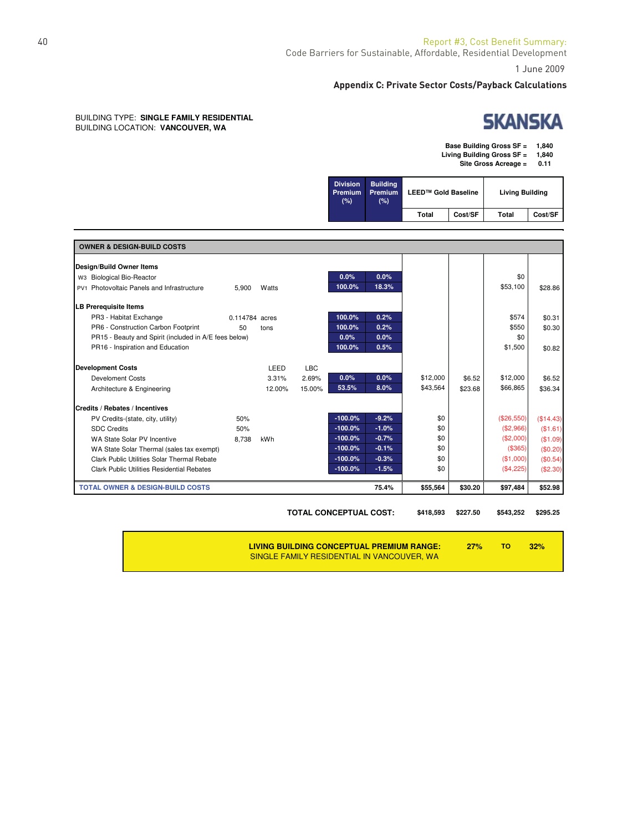1 June 2009

#### **Appendix C: Private Sector Costs/Payback Calculations**

#### BUILDING TYPE: **SINGLE FAMILY RESIDENTIAL** BUILDING LOCATION: **VANCOUVER, WA**

# **SKANSKA**

**Base Building Gross SF = 1,840**

**Living Building Gross SF = 1,840**

**Site Gross Acreage = 0.11**

| <b>Division</b><br>Premium<br>(%) | <b>Building</b><br><b>Premium</b><br>(%) | <b>LEED™ Gold Baseline</b> |         | <b>Living Building</b> |         |
|-----------------------------------|------------------------------------------|----------------------------|---------|------------------------|---------|
|                                   |                                          | Total                      | Cost/SF | Total                  | Cost/SF |

| <b>OWNER &amp; DESIGN-BUILD COSTS</b>                 |                |        |            |           |         |          |         |            |           |
|-------------------------------------------------------|----------------|--------|------------|-----------|---------|----------|---------|------------|-----------|
| Design/Build Owner Items                              |                |        |            |           |         |          |         |            |           |
| W3 Biological Bio-Reactor                             |                |        |            | 0.0%      | 0.0%    |          |         | \$0        |           |
| PV1 Photovoltaic Panels and Infrastructure            | 5,900          | Watts  |            | 100.0%    | 18.3%   |          |         | \$53,100   | \$28.86   |
| <b>ILB Prerequisite Items</b>                         |                |        |            |           |         |          |         |            |           |
| PR3 - Habitat Exchange                                | 0.114784 acres |        |            | 100.0%    | 0.2%    |          |         | \$574      | \$0.31    |
| PR6 - Construction Carbon Footprint                   | 50             | tons   |            | 100.0%    | 0.2%    |          |         | \$550      | \$0.30    |
| PR15 - Beauty and Spirit (included in A/E fees below) |                |        |            | 0.0%      | 0.0%    |          |         | \$0        |           |
| PR16 - Inspiration and Education                      |                |        |            | 100.0%    | 0.5%    |          |         | \$1,500    | \$0.82    |
| <b>Development Costs</b>                              |                | LEED   | <b>LBC</b> |           |         |          |         |            |           |
| <b>Develoment Costs</b>                               |                | 3.31%  | 2.69%      | 0.0%      | 0.0%    | \$12,000 | \$6.52  | \$12,000   | \$6.52    |
| Architecture & Engineering                            |                | 12.00% | 15.00%     | 53.5%     | 8.0%    | \$43,564 | \$23.68 | \$66,865   | \$36.34   |
| Credits / Rebates / Incentives                        |                |        |            |           |         |          |         |            |           |
| PV Credits-(state, city, utility)                     | 50%            |        |            | $-100.0%$ | $-9.2%$ | \$0      |         | (\$26,550) | (\$14.43) |
| <b>SDC Credits</b>                                    | 50%            |        |            | $-100.0%$ | $-1.0%$ | \$0      |         | (\$2,966)  | (\$1.61)  |
| WA State Solar PV Incentive                           | 8.738          | kWh    |            | $-100.0%$ | $-0.7%$ | \$0      |         | (\$2,000)  | (\$1.09)  |
| WA State Solar Thermal (sales tax exempt)             |                |        |            | $-100.0%$ | $-0.1%$ | \$0      |         | (\$365)    | (\$0.20)  |
| Clark Public Utilities Solar Thermal Rebate           |                |        |            | $-100.0%$ | $-0.3%$ | \$0      |         | (\$1,000)  | (\$0.54)  |
| <b>Clark Public Utilities Residential Rebates</b>     |                |        |            | $-100.0%$ | $-1.5%$ | \$0      |         | (\$4,225)  | (\$2.30)  |
| <b>TOTAL OWNER &amp; DESIGN-BUILD COSTS</b>           |                |        |            |           | 75.4%   | \$55,564 | \$30.20 | \$97,484   | \$52.98   |

**TOTAL CONCEPTUAL COST: \$418,593 \$227.50 \$543,252 \$295.25**

**LIVING BUILDING CONCEPTUAL PREMIUM RANGE: 27% TO 32%** SINGLE FAMILY RESIDENTIAL IN VANCOUVER, WA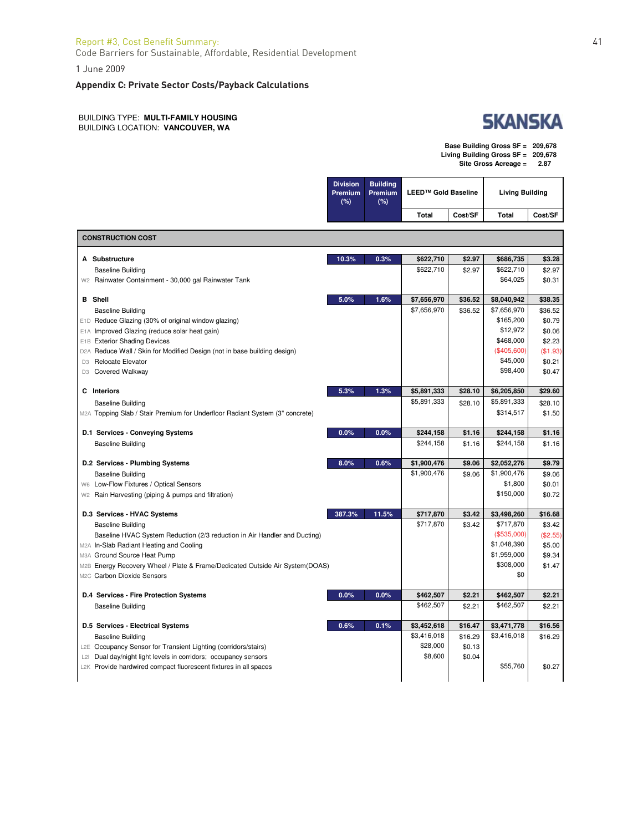#### Report #3, Cost Benefit Summary: 41

Code Barriers for Sustainable, Affordable, Residential Development

1 June 2009

#### **Appendix C: Private Sector Costs/Payback Calculations**

BUILDING TYPE: **MULTI-FAMILY HOUSING** BUILDING LOCATION: **VANCOUVER, WA**

|  | SKANSKA |  |
|--|---------|--|
|  |         |  |

٦

| Base Building Gross SF = 209,678     |      |
|--------------------------------------|------|
| Living Building Gross $SF = 209,678$ |      |
| Site Gross Acreage =                 | 2.87 |

Τ

|                                                                                                            | <b>Division</b><br>Premium<br>(%) | <b>Building</b><br>Premium<br>(%) | <b>LEED™ Gold Baseline</b> |         | <b>Living Building</b>     |          |
|------------------------------------------------------------------------------------------------------------|-----------------------------------|-----------------------------------|----------------------------|---------|----------------------------|----------|
|                                                                                                            |                                   |                                   | <b>Total</b>               | Cost/SF | Total                      | Cost/SF  |
| <b>CONSTRUCTION COST</b>                                                                                   |                                   |                                   |                            |         |                            |          |
| A Substructure                                                                                             | 10.3%                             | 0.3%                              | \$622,710                  | \$2.97  | \$686,735                  | \$3.28   |
| <b>Baseline Building</b>                                                                                   |                                   |                                   | \$622,710                  | \$2.97  | \$622,710                  | \$2.97   |
| W <sub>2</sub> Rainwater Containment - 30,000 gal Rainwater Tank                                           |                                   |                                   |                            |         | \$64,025                   | \$0.31   |
| <b>B</b> Shell                                                                                             | 5.0%                              | 1.6%                              | \$7,656,970                | \$36.52 | \$8,040,942                | \$38.35  |
| <b>Baseline Building</b>                                                                                   |                                   |                                   | \$7,656,970                | \$36.52 | \$7,656,970                | \$36.52  |
| E1D Reduce Glazing (30% of original window glazing)                                                        |                                   |                                   |                            |         | \$165,200                  | \$0.79   |
| E1A Improved Glazing (reduce solar heat gain)                                                              |                                   |                                   |                            |         | \$12,972                   | \$0.06   |
| E1B Exterior Shading Devices                                                                               |                                   |                                   |                            |         | \$468,000                  | \$2.23   |
| D2A Reduce Wall / Skin for Modified Design (not in base building design)                                   |                                   |                                   |                            |         | (\$405,600)                | (\$1.93) |
| D3 Relocate Elevator                                                                                       |                                   |                                   |                            |         | \$45,000<br>\$98,400       | \$0.21   |
| D3 Covered Walkway                                                                                         |                                   |                                   |                            |         |                            | \$0.47   |
| C Interiors                                                                                                | 5.3%                              | 1.3%                              | \$5,891,333                | \$28.10 | \$6,205,850                | \$29.60  |
| <b>Baseline Building</b>                                                                                   |                                   |                                   | \$5,891,333                | \$28.10 | \$5,891,333                | \$28.10  |
| M2A Topping Slab / Stair Premium for Underfloor Radiant System (3" concrete)                               |                                   |                                   |                            |         | \$314,517                  | \$1.50   |
| D.1 Services - Conveying Systems                                                                           | 0.0%                              | 0.0%                              | \$244,158                  | \$1.16  | \$244,158                  | \$1.16   |
| <b>Baseline Building</b>                                                                                   |                                   |                                   | \$244,158                  | \$1.16  | \$244,158                  | \$1.16   |
| D.2 Services - Plumbing Systems                                                                            | 8.0%                              | 0.6%                              | \$1,900,476                | \$9.06  | \$2,052,276                | \$9.79   |
| <b>Baseline Building</b>                                                                                   |                                   |                                   | \$1,900,476                | \$9.06  | \$1,900,476                | \$9.06   |
| W6 Low-Flow Fixtures / Optical Sensors                                                                     |                                   |                                   |                            |         | \$1,800                    | \$0.01   |
| W <sub>2</sub> Rain Harvesting (piping & pumps and filtration)                                             |                                   |                                   |                            |         | \$150,000                  | \$0.72   |
| D.3 Services - HVAC Systems                                                                                | 387.3%                            | 11.5%                             | \$717,870                  | \$3.42  | \$3,498,260                | \$16.68  |
| <b>Baseline Building</b>                                                                                   |                                   |                                   | \$717,870                  | \$3.42  | \$717,870                  | \$3.42   |
| Baseline HVAC System Reduction (2/3 reduction in Air Handler and Ducting)                                  |                                   |                                   |                            |         | (\$535,000)                | (\$2.55) |
| M2A In-Slab Radiant Heating and Cooling                                                                    |                                   |                                   |                            |         | \$1,048,390<br>\$1,959,000 | \$5.00   |
| M3A Ground Source Heat Pump                                                                                |                                   |                                   |                            |         | \$308,000                  | \$9.34   |
| M2B Energy Recovery Wheel / Plate & Frame/Dedicated Outside Air System(DOAS)<br>M2C Carbon Dioxide Sensors |                                   |                                   |                            |         | \$0                        | \$1.47   |
|                                                                                                            |                                   |                                   |                            |         |                            |          |
| D.4 Services - Fire Protection Systems                                                                     | 0.0%                              | 0.0%                              | \$462,507                  | \$2.21  | \$462,507                  | \$2.21   |
| <b>Baseline Building</b>                                                                                   |                                   |                                   | \$462,507                  | \$2.21  | \$462,507                  | \$2.21   |
| D.5 Services - Electrical Systems                                                                          | 0.6%                              | 0.1%                              | \$3,452,618                | \$16.47 | \$3,471,778                | \$16.56  |
| <b>Baseline Building</b>                                                                                   |                                   |                                   | \$3,416,018                | \$16.29 | \$3,416,018                | \$16.29  |
| L2E Occupancy Sensor for Transient Lighting (corridors/stairs)                                             |                                   |                                   | \$28,000                   | \$0.13  |                            |          |
| L2I Dual day/night light levels in corridors; occupancy sensors                                            |                                   |                                   | \$8,600                    | \$0.04  |                            |          |
| L2K Provide hardwired compact fluorescent fixtures in all spaces                                           |                                   |                                   |                            |         | \$55,760                   | \$0.27   |
|                                                                                                            |                                   |                                   |                            |         |                            |          |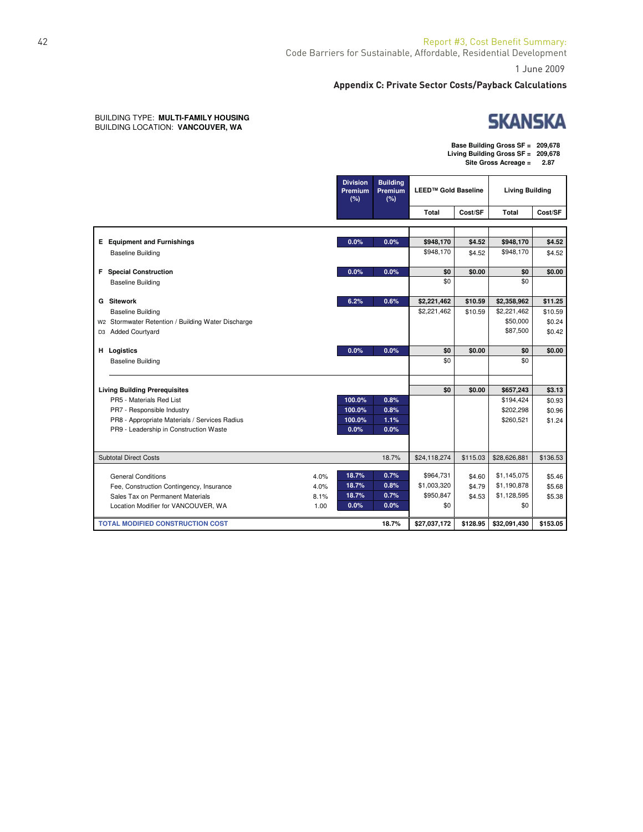٦

#### **Appendix C: Private Sector Costs/Payback Calculations**

#### BUILDING TYPE: **MULTI-FAMILY HOUSING** BUILDING LOCATION: **VANCOUVER, WA**

**Base Building Gross SF = 209,678 Living Building Gross SF = 209,678 Site Gross Acreage = 2.87**

Τ

|                                                                  |      | <b>Division</b><br>Premium<br>(%) | <b>Building</b><br>Premium<br>(%) | LEED™ Gold Baseline |          | <b>Living Building</b> |                  |
|------------------------------------------------------------------|------|-----------------------------------|-----------------------------------|---------------------|----------|------------------------|------------------|
|                                                                  |      |                                   |                                   | <b>Total</b>        | Cost/SF  | Total                  | Cost/SF          |
|                                                                  |      |                                   |                                   |                     |          |                        |                  |
| <b>E</b> Equipment and Furnishings                               |      | 0.0%                              | 0.0%                              | \$948,170           | \$4.52   | \$948,170              | \$4.52           |
| <b>Baseline Building</b>                                         |      |                                   |                                   | \$948,170           | \$4.52   | \$948,170              | \$4.52           |
| <b>F</b> Special Construction                                    |      | 0.0%                              | 0.0%                              | \$0                 | \$0.00   | \$0                    | \$0.00           |
| <b>Baseline Building</b>                                         |      |                                   |                                   | \$0                 |          | \$0                    |                  |
| <b>G</b> Sitework                                                |      | 6.2%                              | 0.6%                              | \$2,221,462         | \$10.59  | \$2,358,962            | \$11.25          |
| <b>Baseline Building</b>                                         |      |                                   |                                   | \$2,221,462         | \$10.59  | \$2,221,462            | \$10.59          |
| W2 Stormwater Retention / Building Water Discharge               |      |                                   |                                   |                     |          | \$50,000               | \$0.24           |
| D3 Added Courtyard                                               |      |                                   |                                   |                     |          | \$87,500               | \$0.42           |
| H Logistics                                                      |      | 0.0%                              | 0.0%                              | \$0                 | \$0.00   | \$0                    | \$0.00           |
| <b>Baseline Building</b>                                         |      |                                   |                                   | \$0                 |          | \$0                    |                  |
|                                                                  |      |                                   |                                   | \$0                 |          |                        |                  |
| <b>Living Building Prerequisites</b><br>PR5 - Materials Red List |      | 100.0%                            | 0.8%                              |                     | \$0.00   | \$657,243<br>\$194,424 | \$3.13           |
| PR7 - Responsible Industry                                       |      | 100.0%                            | 0.8%                              |                     |          | \$202,298              | \$0.93<br>\$0.96 |
| PR8 - Appropriate Materials / Services Radius                    |      | 100.0%                            | 1.1%                              |                     |          | \$260,521              | \$1.24           |
| PR9 - Leadership in Construction Waste                           |      | 0.0%                              | 0.0%                              |                     |          |                        |                  |
|                                                                  |      |                                   |                                   |                     |          |                        |                  |
| <b>Subtotal Direct Costs</b>                                     |      |                                   | 18.7%                             | \$24,118,274        | \$115.03 | \$28,626,881           | \$136.53         |
| <b>General Conditions</b>                                        | 4.0% | 18.7%                             | 0.7%                              | \$964,731           | \$4.60   | \$1,145,075            | \$5.46           |
| Fee, Construction Contingency, Insurance                         | 4.0% | 18.7%                             | 0.8%                              | \$1,003,320         | \$4.79   | \$1,190,878            | \$5.68           |
| Sales Tax on Permanent Materials                                 | 8.1% | 18.7%                             | 0.7%                              | \$950,847           | \$4.53   | \$1,128,595            | \$5.38           |
| Location Modifier for VANCOUVER, WA                              | 1.00 | 0.0%                              | 0.0%                              | \$0                 |          | \$0                    |                  |
| <b>TOTAL MODIFIED CONSTRUCTION COST</b>                          |      |                                   | 18.7%                             | \$27,037,172        | \$128.95 | \$32,091,430           | \$153.05         |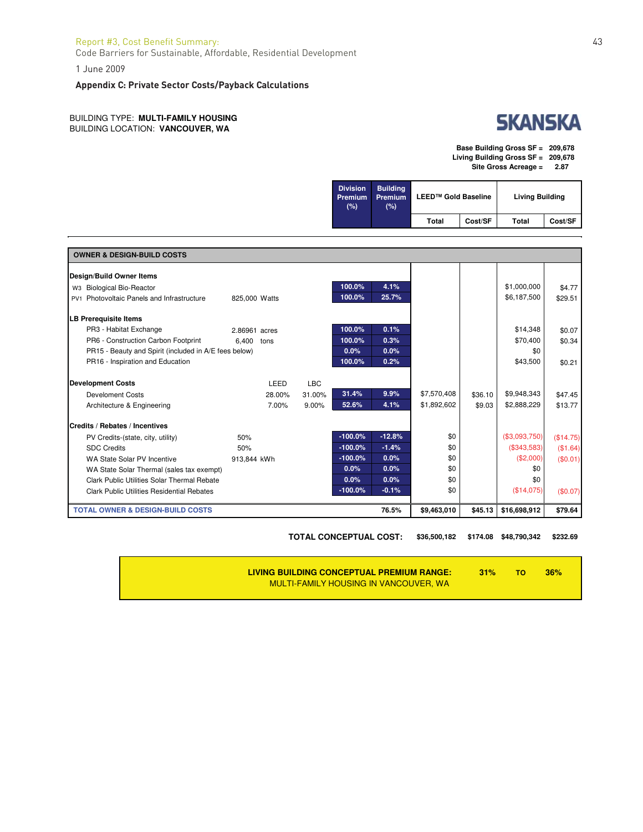#### Report #3, Cost Benefit Summary: 43

Code Barriers for Sustainable, Affordable, Residential Development

1 June 2009

#### **Appendix C: Private Sector Costs/Payback Calculations**

BUILDING TYPE: **MULTI-FAMILY HOUSING** BUILDING LOCATION: **VANCOUVER, WA**



**Base Building Gross SF = 209,678 Living Building Gross SF = 209,678 Site Gross Acreage = 2.87**

| <b>Division</b><br>Premium<br>$(\% )$ | <b>Building</b><br>Premium<br>(%) | LEED™ Gold Baseline |         | <b>Living Building</b> |         |
|---------------------------------------|-----------------------------------|---------------------|---------|------------------------|---------|
|                                       |                                   | Total               | Cost/SF | Total                  | Cost/SF |

| <b>OWNER &amp; DESIGN-BUILD COSTS</b>                 |               |            |           |          |             |         |               |           |
|-------------------------------------------------------|---------------|------------|-----------|----------|-------------|---------|---------------|-----------|
| Design/Build Owner Items                              |               |            |           |          |             |         |               |           |
| W3 Biological Bio-Reactor                             |               |            | 100.0%    | 4.1%     |             |         | \$1,000,000   | \$4.77    |
| PV1 Photovoltaic Panels and Infrastructure            | 825,000 Watts |            | 100.0%    | 25.7%    |             |         | \$6,187,500   | \$29.51   |
| <b>LB Prerequisite Items</b>                          |               |            |           |          |             |         |               |           |
| PR3 - Habitat Exchange                                | 2.86961 acres |            | 100.0%    | 0.1%     |             |         | \$14,348      | \$0.07    |
| PR6 - Construction Carbon Footprint                   | 6.400<br>tons |            | 100.0%    | 0.3%     |             |         | \$70,400      | \$0.34    |
| PR15 - Beauty and Spirit (included in A/E fees below) |               |            | 0.0%      | 0.0%     |             |         | \$0           |           |
| PR16 - Inspiration and Education                      |               |            | 100.0%    | 0.2%     |             |         | \$43,500      | \$0.21    |
| <b>Development Costs</b>                              | LEED          | <b>LBC</b> |           |          |             |         |               |           |
| <b>Develoment Costs</b>                               | 28.00%        | 31.00%     | 31.4%     | 9.9%     | \$7,570,408 | \$36.10 | \$9,948,343   | \$47.45   |
| Architecture & Engineering                            | 7.00%         | 9.00%      | 52.6%     | 4.1%     | \$1,892,602 | \$9.03  | \$2,888,229   | \$13.77   |
| Credits / Rebates / Incentives                        |               |            |           |          |             |         |               |           |
| PV Credits-(state, city, utility)                     | 50%           |            | $-100.0%$ | $-12.8%$ | \$0         |         | (\$3,093,750) | (\$14.75) |
| <b>SDC Credits</b>                                    | 50%           |            | $-100.0%$ | $-1.4%$  | \$0         |         | (\$343,583)   | (\$1.64)  |
| WA State Solar PV Incentive                           | 913.844 kWh   |            | $-100.0%$ | 0.0%     | \$0         |         | (\$2,000)     | (\$0.01)  |
| WA State Solar Thermal (sales tax exempt)             |               |            | 0.0%      | 0.0%     | \$0         |         | \$0           |           |
| Clark Public Utilities Solar Thermal Rebate           |               |            | 0.0%      | 0.0%     | \$0         |         | \$0           |           |
| <b>Clark Public Utilities Residential Rebates</b>     |               |            | $-100.0%$ | $-0.1%$  | \$0         |         | (\$14,075)    | (\$0.07)  |
| <b>TOTAL OWNER &amp; DESIGN-BUILD COSTS</b>           |               |            |           | 76.5%    | \$9,463,010 | \$45.13 | \$16,698,912  | \$79.64   |

**TOTAL CONCEPTUAL COST: \$36,500,182 \$174.08 \$48,790,342 \$232.69**

**LIVING BUILDING CONCEPTUAL PREMIUM RANGE: 31% TO 36%** MULTI-FAMILY HOUSING IN VANCOUVER, WA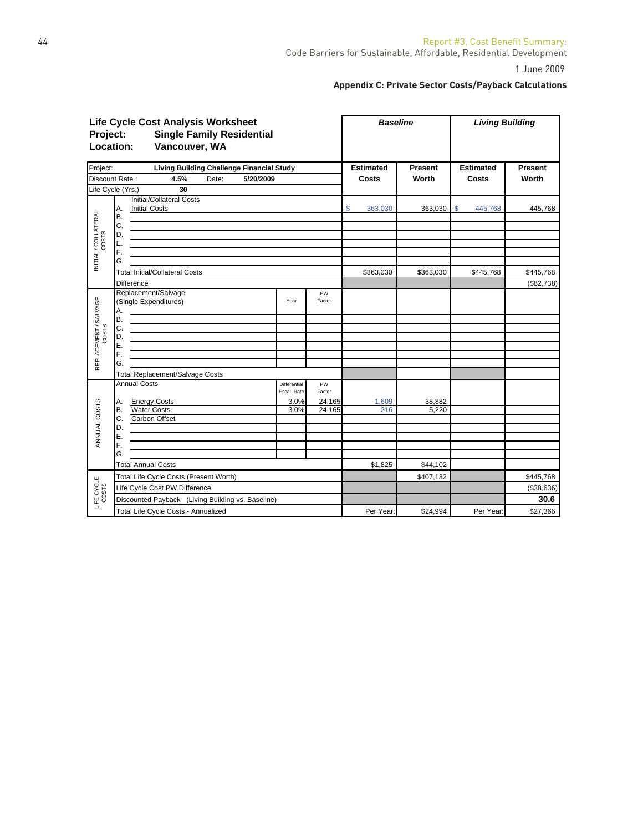# **Appendix C: Private Sector Costs/Payback Calculations**

| <b>Life Cycle Cost Analysis Worksheet</b><br><b>Single Family Residential</b><br>Project:<br>Location:<br>Vancouver, WA |                                                                                                                                                                                                                                                             |                             |              |                  | <b>Baseline</b> | <b>Living Building</b> |                         |  |
|-------------------------------------------------------------------------------------------------------------------------|-------------------------------------------------------------------------------------------------------------------------------------------------------------------------------------------------------------------------------------------------------------|-----------------------------|--------------|------------------|-----------------|------------------------|-------------------------|--|
| Project:                                                                                                                | <b>Living Building Challenge Financial Study</b>                                                                                                                                                                                                            |                             |              | <b>Estimated</b> | <b>Present</b>  | <b>Estimated</b>       | Present                 |  |
|                                                                                                                         | Discount Rate:<br>4.5%<br>Date:<br>5/20/2009                                                                                                                                                                                                                |                             |              | Costs            | Worth           | Costs                  | Worth                   |  |
|                                                                                                                         | Life Cycle (Yrs.)<br>30                                                                                                                                                                                                                                     |                             |              |                  |                 |                        |                         |  |
| INITIAL / COLLATERAL                                                                                                    | Initial/Collateral Costs<br><b>Initial Costs</b><br>Α.<br>В.<br>С.<br><u> 1989 - Johann John Stone, markin film yn y brening yn y brening yn y brening yn y brening y brening yn y bre</u><br>D.<br>E.<br><u> 1989 - Johann Barn, mars et al. (b. 1989)</u> |                             |              | \$<br>363,030    | 363,030         | \$<br>445,768          | 445,768                 |  |
|                                                                                                                         | F.<br>G.<br><b>Total Initial/Collateral Costs</b>                                                                                                                                                                                                           |                             |              | \$363,030        | \$363,030       | \$445,768              | \$445,768               |  |
|                                                                                                                         | <b>Difference</b>                                                                                                                                                                                                                                           |                             |              |                  |                 |                        | (\$82,738)              |  |
|                                                                                                                         | Replacement/Salvage<br>(Single Expenditures)<br>Α.<br>B.                                                                                                                                                                                                    | Year                        | PW<br>Factor |                  |                 |                        |                         |  |
| REPLACEMENT / SALVAGE<br>COSTS                                                                                          | C.<br>D.<br>Е.<br>F.                                                                                                                                                                                                                                        |                             |              |                  |                 |                        |                         |  |
|                                                                                                                         | G.                                                                                                                                                                                                                                                          |                             |              |                  |                 |                        |                         |  |
|                                                                                                                         | <b>Total Replacement/Salvage Costs</b>                                                                                                                                                                                                                      |                             |              |                  |                 |                        |                         |  |
|                                                                                                                         | <b>Annual Costs</b>                                                                                                                                                                                                                                         | Differential<br>Escal. Rate | PW<br>Factor |                  |                 |                        |                         |  |
|                                                                                                                         | <b>Energy Costs</b><br>Α.                                                                                                                                                                                                                                   | 3.0%                        | 24.165       | 1,609            | 38,882          |                        |                         |  |
| ANNUAL COSTS                                                                                                            | <b>Water Costs</b><br>В.<br>Carbon Offset<br>С.<br>D.                                                                                                                                                                                                       | 3.0%                        | 24.165       | 216              | 5.220           |                        |                         |  |
|                                                                                                                         | E.<br>F.                                                                                                                                                                                                                                                    |                             |              |                  |                 |                        |                         |  |
|                                                                                                                         | G.                                                                                                                                                                                                                                                          |                             |              |                  |                 |                        |                         |  |
|                                                                                                                         | <b>Total Annual Costs</b>                                                                                                                                                                                                                                   |                             |              | \$1,825          | \$44,102        |                        |                         |  |
| LIFE CYCLE<br>COSTS                                                                                                     | Total Life Cycle Costs (Present Worth)<br>Life Cycle Cost PW Difference                                                                                                                                                                                     |                             |              |                  | \$407,132       |                        | \$445,768<br>(\$38,636) |  |
|                                                                                                                         | Discounted Payback (Living Building vs. Baseline)                                                                                                                                                                                                           |                             |              |                  |                 |                        | 30.6                    |  |
|                                                                                                                         | Total Life Cycle Costs - Annualized                                                                                                                                                                                                                         |                             |              | Per Year:        | \$24,994        | Per Year:              | \$27,366                |  |